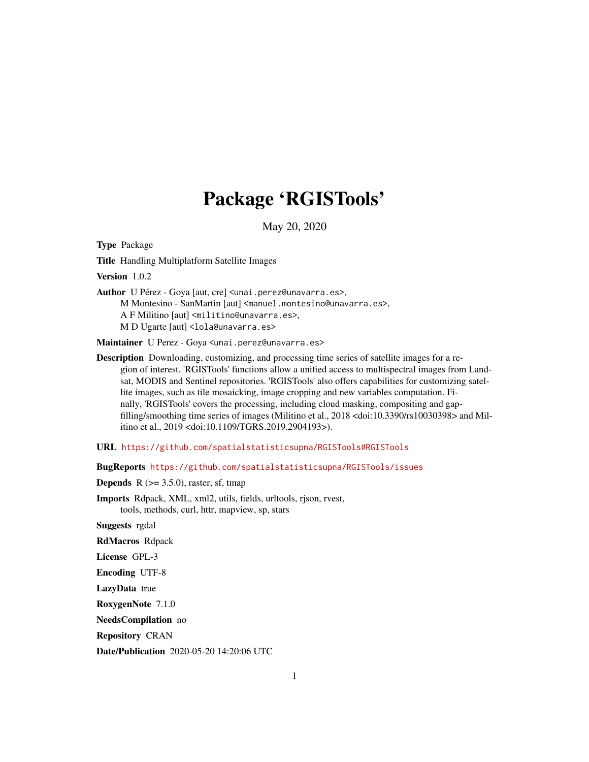# Package 'RGISTools'

May 20, 2020

<span id="page-0-0"></span>Type Package

Title Handling Multiplatform Satellite Images

Version 1.0.2

Author U Pérez - Goya [aut, cre] <unai.perez@unavarra.es>, M Montesino - SanMartin [aut] <manuel.montesino@unavarra.es>, A F Militino [aut] <militino@unavarra.es>, M D Ugarte [aut] <lola@unavarra.es>

Maintainer U Perez - Goya <unai.perez@unavarra.es>

Description Downloading, customizing, and processing time series of satellite images for a region of interest. 'RGISTools' functions allow a unified access to multispectral images from Landsat, MODIS and Sentinel repositories. 'RGISTools' also offers capabilities for customizing satellite images, such as tile mosaicking, image cropping and new variables computation. Finally, 'RGISTools' covers the processing, including cloud masking, compositing and gapfilling/smoothing time series of images (Militino et al., 2018 <doi:10.3390/rs10030398> and Militino et al., 2019 <doi:10.1109/TGRS.2019.2904193>).

URL <https://github.com/spatialstatisticsupna/RGISTools#RGISTools>

BugReports <https://github.com/spatialstatisticsupna/RGISTools/issues>

**Depends** R  $(>= 3.5.0)$ , raster, sf, tmap

Imports Rdpack, XML, xml2, utils, fields, urltools, rjson, rvest, tools, methods, curl, httr, mapview, sp, stars

Suggests rgdal

RdMacros Rdpack

License GPL-3

Encoding UTF-8

LazyData true

RoxygenNote 7.1.0

NeedsCompilation no

Repository CRAN

Date/Publication 2020-05-20 14:20:06 UTC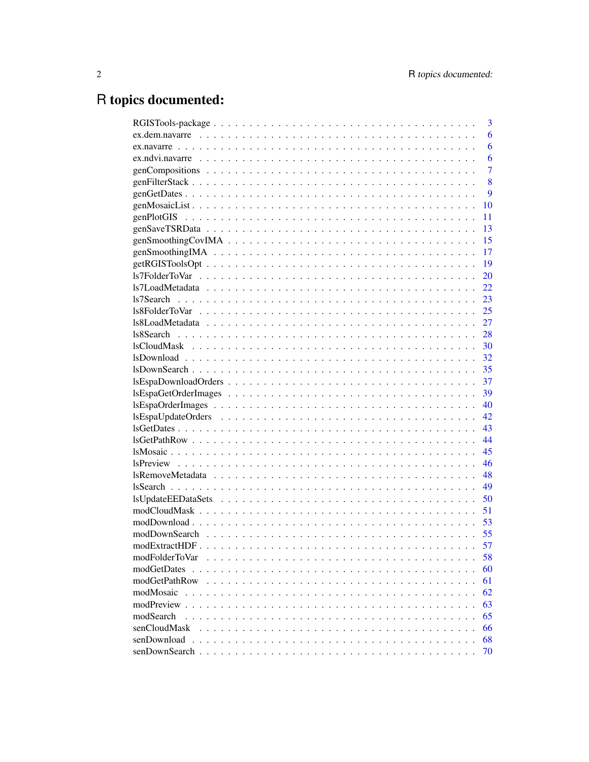# R topics documented:

|                                                                                                                | 3  |
|----------------------------------------------------------------------------------------------------------------|----|
|                                                                                                                | 6  |
|                                                                                                                | 6  |
|                                                                                                                | 6  |
|                                                                                                                | 7  |
|                                                                                                                | 8  |
|                                                                                                                | 9  |
|                                                                                                                | 10 |
|                                                                                                                | 11 |
|                                                                                                                | 13 |
| $genSmoothingCovIMA \dots \dots \dots \dots \dots \dots \dots \dots \dots \dots \dots \dots \dots \dots \dots$ | 15 |
|                                                                                                                | 17 |
|                                                                                                                | 19 |
|                                                                                                                | 20 |
|                                                                                                                | 22 |
|                                                                                                                | 23 |
|                                                                                                                | 25 |
|                                                                                                                | 27 |
| 28                                                                                                             |    |
| 30                                                                                                             |    |
| 32                                                                                                             |    |
| 35                                                                                                             |    |
| 37                                                                                                             |    |
| 39                                                                                                             |    |
|                                                                                                                | 40 |
| 42.                                                                                                            |    |
| 43                                                                                                             |    |
| 44                                                                                                             |    |
| 45                                                                                                             |    |
| 46                                                                                                             |    |
| 48                                                                                                             |    |
| 49                                                                                                             |    |
|                                                                                                                | 50 |
|                                                                                                                | 51 |
| 53                                                                                                             |    |
| 55                                                                                                             |    |
| 57                                                                                                             |    |
| modFolderToVar                                                                                                 | 58 |
| modGetDates                                                                                                    | 60 |
| modGetPathRow                                                                                                  | 61 |
| modMosaic                                                                                                      | 62 |
| modPreview                                                                                                     | 63 |
| modSearch                                                                                                      | 65 |
| senCloudMask                                                                                                   | 66 |
|                                                                                                                | 68 |
| senDownload                                                                                                    |    |
|                                                                                                                | 70 |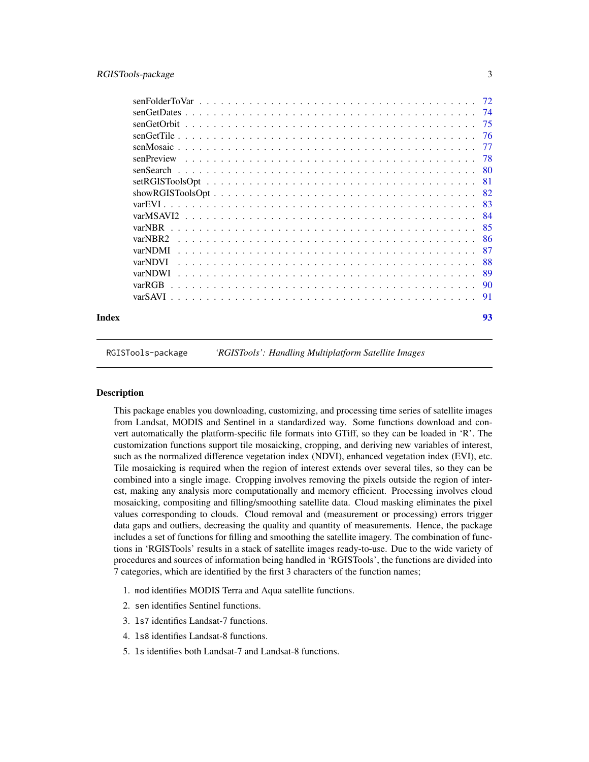<span id="page-2-0"></span>

|                                                                                                        | 93  |
|--------------------------------------------------------------------------------------------------------|-----|
|                                                                                                        |     |
| varRGB                                                                                                 |     |
| varNDWI                                                                                                | -89 |
| varNDVI                                                                                                | 88  |
| varNDMI                                                                                                | -87 |
| varNBR2                                                                                                |     |
| varNBR                                                                                                 | -85 |
|                                                                                                        |     |
|                                                                                                        |     |
| $showRGISToolsOpt \ldots \ldots \ldots \ldots \ldots \ldots \ldots \ldots \ldots \ldots \ldots \ldots$ | -82 |
|                                                                                                        | -81 |
|                                                                                                        | -80 |
| senPreview                                                                                             | -78 |
|                                                                                                        | -77 |
|                                                                                                        | -76 |
| senGetOrbit                                                                                            | -75 |
|                                                                                                        |     |
|                                                                                                        |     |
|                                                                                                        |     |

RGISTools-package *'RGISTools': Handling Multiplatform Satellite Images*

# Description

This package enables you downloading, customizing, and processing time series of satellite images from Landsat, MODIS and Sentinel in a standardized way. Some functions download and convert automatically the platform-specific file formats into GTiff, so they can be loaded in 'R'. The customization functions support tile mosaicking, cropping, and deriving new variables of interest, such as the normalized difference vegetation index (NDVI), enhanced vegetation index (EVI), etc. Tile mosaicking is required when the region of interest extends over several tiles, so they can be combined into a single image. Cropping involves removing the pixels outside the region of interest, making any analysis more computationally and memory efficient. Processing involves cloud mosaicking, compositing and filling/smoothing satellite data. Cloud masking eliminates the pixel values corresponding to clouds. Cloud removal and (measurement or processing) errors trigger data gaps and outliers, decreasing the quality and quantity of measurements. Hence, the package includes a set of functions for filling and smoothing the satellite imagery. The combination of functions in 'RGISTools' results in a stack of satellite images ready-to-use. Due to the wide variety of procedures and sources of information being handled in 'RGISTools', the functions are divided into 7 categories, which are identified by the first 3 characters of the function names;

- 1. mod identifies MODIS Terra and Aqua satellite functions.
- 2. sen identifies Sentinel functions.
- 3. ls7 identifies Landsat-7 functions.
- 4. ls8 identifies Landsat-8 functions.
- 5. ls identifies both Landsat-7 and Landsat-8 functions.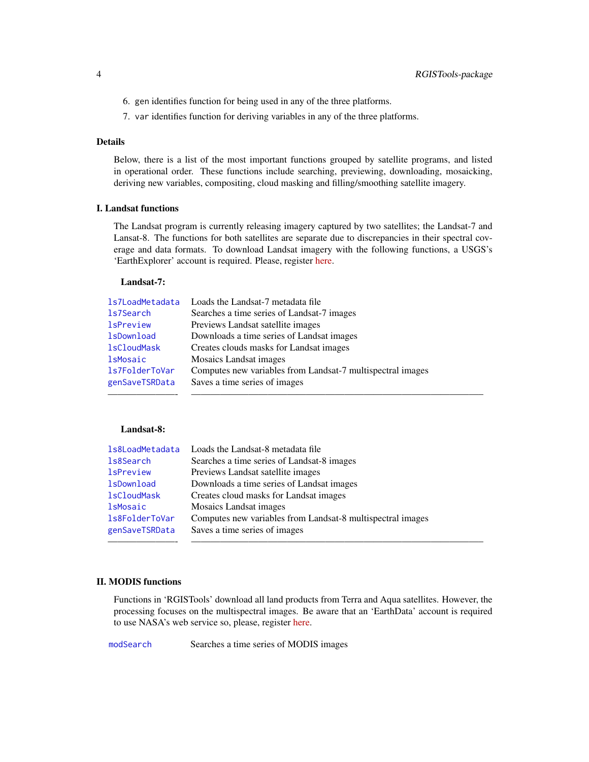- 6. gen identifies function for being used in any of the three platforms.
- 7. var identifies function for deriving variables in any of the three platforms.

# Details

Below, there is a list of the most important functions grouped by satellite programs, and listed in operational order. These functions include searching, previewing, downloading, mosaicking, deriving new variables, compositing, cloud masking and filling/smoothing satellite imagery.

#### I. Landsat functions

The Landsat program is currently releasing imagery captured by two satellites; the Landsat-7 and Lansat-8. The functions for both satellites are separate due to discrepancies in their spectral coverage and data formats. To download Landsat imagery with the following functions, a USGS's 'EarthExplorer' account is required. Please, register [here.](https://ers.cr.usgs.gov/register/)

## Landsat-7:

| 1s7LoadMetadata    | Loads the Landsat-7 metadata file                          |
|--------------------|------------------------------------------------------------|
| 1s7Search          | Searches a time series of Landsat-7 images                 |
| <b>lsPreview</b>   | Previews Landsat satellite images                          |
| <b>lsDownload</b>  | Downloads a time series of Landsat images                  |
| <b>lsCloudMask</b> | Creates clouds masks for Landsat images                    |
| <b>lsMosaic</b>    | Mosaics Landsat images                                     |
| 1s7FolderToVar     | Computes new variables from Landsat-7 multispectral images |
| genSaveTSRData     | Saves a time series of images                              |
|                    |                                                            |

## Landsat-8:

| 1s8LoadMetadata    | Loads the Landsat-8 metadata file                          |
|--------------------|------------------------------------------------------------|
| 1s8Search          | Searches a time series of Landsat-8 images                 |
| <b>lsPreview</b>   | Previews Landsat satellite images                          |
| <b>lsDownload</b>  | Downloads a time series of Landsat images                  |
| <b>lsCloudMask</b> | Creates cloud masks for Landsat images                     |
| <b>lsMosaic</b>    | <b>Mosaics Landsat images</b>                              |
| 1s8FolderToVar     | Computes new variables from Landsat-8 multispectral images |
| genSaveTSRData     | Saves a time series of images                              |
|                    |                                                            |

## II. MODIS functions

Functions in 'RGISTools' download all land products from Terra and Aqua satellites. However, the processing focuses on the multispectral images. Be aware that an 'EarthData' account is required to use NASA's web service so, please, register [here.](https://urs.earthdata.nasa.gov/users/new)

[modSearch](#page-64-1) Searches a time series of MODIS images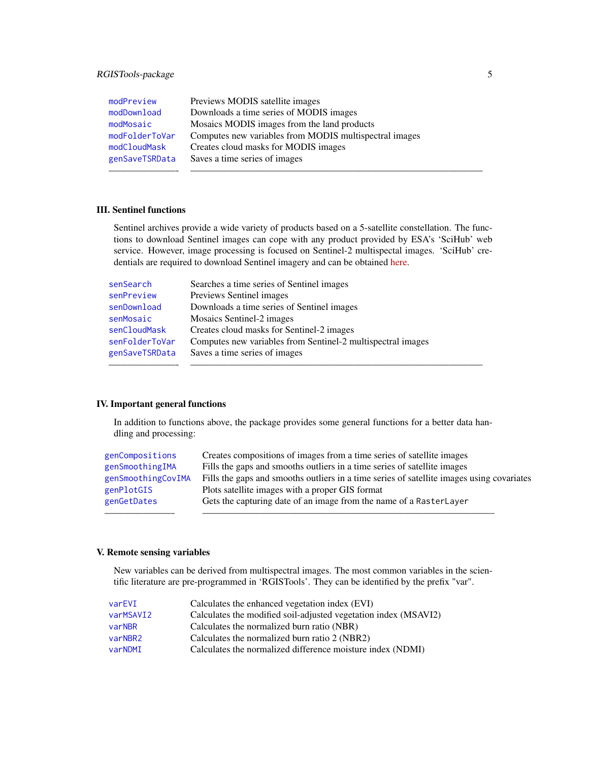| modPreview     | Previews MODIS satellite images                        |
|----------------|--------------------------------------------------------|
| modDownload    | Downloads a time series of MODIS images                |
| modMosaic      | Mosaics MODIS images from the land products            |
| modFolderToVar | Computes new variables from MODIS multispectral images |
| modCloudMask   | Creates cloud masks for MODIS images                   |
| genSaveTSRData | Saves a time series of images                          |
|                |                                                        |

## III. Sentinel functions

Sentinel archives provide a wide variety of products based on a 5-satellite constellation. The functions to download Sentinel images can cope with any product provided by ESA's 'SciHub' web service. However, image processing is focused on Sentinel-2 multispectal images. 'SciHub' credentials are required to download Sentinel imagery and can be obtained [here.](https://scihub.copernicus.eu/dhus/#/self-registration)

| senSearch      | Searches a time series of Sentinel images                   |
|----------------|-------------------------------------------------------------|
| senPreview     | Previews Sentinel images                                    |
| senDownload    | Downloads a time series of Sentinel images                  |
| senMosaic      | Mosaics Sentinel-2 images                                   |
| senCloudMask   | Creates cloud masks for Sentinel-2 images                   |
| senFolderToVar | Computes new variables from Sentinel-2 multispectral images |
| genSaveTSRData | Saves a time series of images                               |
|                |                                                             |

# IV. Important general functions

In addition to functions above, the package provides some general functions for a better data handling and processing:

| genCompositions    | Creates compositions of images from a time series of satellite images                     |
|--------------------|-------------------------------------------------------------------------------------------|
| genSmoothingIMA    | Fills the gaps and smooths outliers in a time series of satellite images                  |
| genSmoothingCovIMA | Fills the gaps and smooths outliers in a time series of satellite images using covariates |
| genPlotGIS         | Plots satellite images with a proper GIS format                                           |
| genGetDates        | Gets the capturing date of an image from the name of a RasterLayer                        |
|                    |                                                                                           |

## V. Remote sensing variables

New variables can be derived from multispectral images. The most common variables in the scientific literature are pre-programmed in 'RGISTools'. They can be identified by the prefix "var".

| varEVI    | Calculates the enhanced vegetation index (EVI)                  |
|-----------|-----------------------------------------------------------------|
| varMSAVI2 | Calculates the modified soil-adjusted vegetation index (MSAVI2) |
| varNBR    | Calculates the normalized burn ratio (NBR)                      |
| varNBR2   | Calculates the normalized burn ratio 2 (NBR2)                   |
| varNDMI   | Calculates the normalized difference moisture index (NDMI)      |
|           |                                                                 |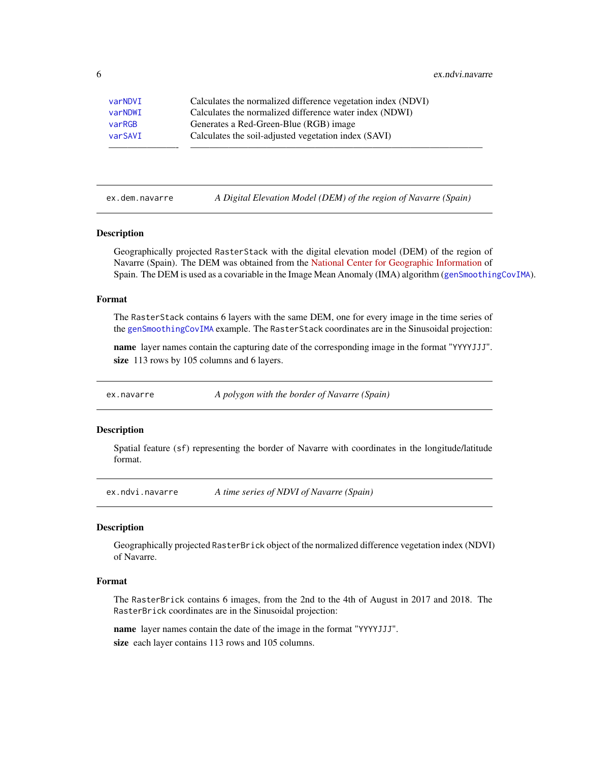<span id="page-5-0"></span>6 ex.ndvi.navarre

| varNDVI | Calculates the normalized difference vegetation index (NDVI) |
|---------|--------------------------------------------------------------|
| varNDWI | Calculates the normalized difference water index (NDWI)      |
| varRGB  | Generates a Red-Green-Blue (RGB) image                       |
| varSAVI | Calculates the soil-adjusted vegetation index (SAVI)         |
|         |                                                              |

ex.dem.navarre *A Digital Elevation Model (DEM) of the region of Navarre (Spain)*

#### Description

Geographically projected RasterStack with the digital elevation model (DEM) of the region of Navarre (Spain). The DEM was obtained from the [National Center for Geographic Information](http://centrodedescargas.cnig.es/CentroDescargas/locale?request_locale=en) of Spain. The DEM is used as a covariable in the Image Mean Anomaly (IMA) algorithm ([genSmoothingCovIMA](#page-14-1)).

#### Format

The RasterStack contains 6 layers with the same DEM, one for every image in the time series of the [genSmoothingCovIMA](#page-14-1) example. The RasterStack coordinates are in the Sinusoidal projection:

name layer names contain the capturing date of the corresponding image in the format "YYYYJJJ". size 113 rows by 105 columns and 6 layers.

ex.navarre *A polygon with the border of Navarre (Spain)*

## **Description**

Spatial feature (sf) representing the border of Navarre with coordinates in the longitude/latitude format.

ex.ndvi.navarre *A time series of NDVI of Navarre (Spain)*

#### Description

Geographically projected RasterBrick object of the normalized difference vegetation index (NDVI) of Navarre.

#### Format

The RasterBrick contains 6 images, from the 2nd to the 4th of August in 2017 and 2018. The RasterBrick coordinates are in the Sinusoidal projection:

name layer names contain the date of the image in the format "YYYYJJJ". size each layer contains 113 rows and 105 columns.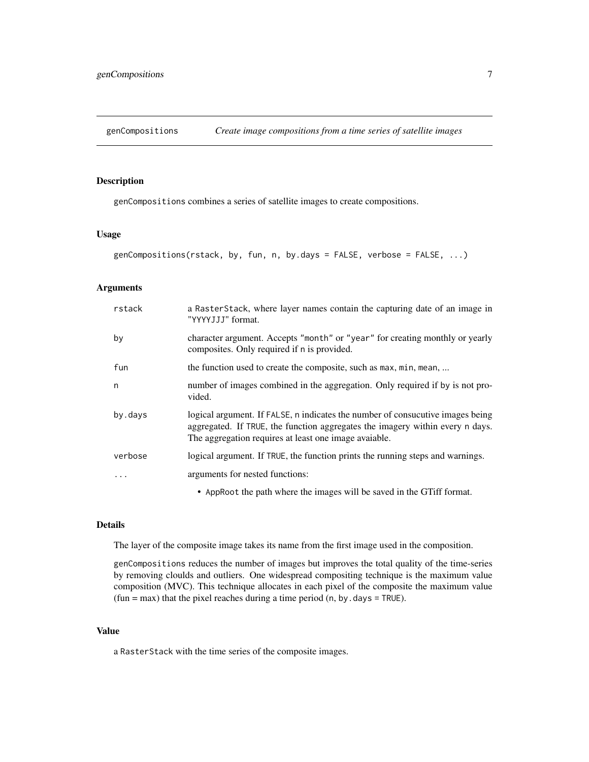<span id="page-6-1"></span><span id="page-6-0"></span>genCompositions *Create image compositions from a time series of satellite images*

# Description

genCompositions combines a series of satellite images to create compositions.

# Usage

```
genCompositions(rstack, by, fun, n, by.days = FALSE, verbose = FALSE, ...)
```
# Arguments

| rstack  | a RasterStack, where layer names contain the capturing date of an image in<br>"YYYYJJJ" format.                                                                                                                          |
|---------|--------------------------------------------------------------------------------------------------------------------------------------------------------------------------------------------------------------------------|
| by      | character argument. Accepts "month" or "year" for creating monthly or yearly<br>composites. Only required if n is provided.                                                                                              |
| fun     | the function used to create the composite, such as max, min, mean,                                                                                                                                                       |
| n       | number of images combined in the aggregation. Only required if by is not pro-<br>vided.                                                                                                                                  |
| by.days | logical argument. If FALSE, n indicates the number of consucutive images being<br>aggregated. If TRUE, the function aggregates the imagery within every n days.<br>The aggregation requires at least one image avaiable. |
| verbose | logical argument. If TRUE, the function prints the running steps and warnings.                                                                                                                                           |
| .       | arguments for nested functions:                                                                                                                                                                                          |
|         | • AppRoot the path where the images will be saved in the GTiff format.                                                                                                                                                   |

## Details

The layer of the composite image takes its name from the first image used in the composition.

genCompositions reduces the number of images but improves the total quality of the time-series by removing cloulds and outliers. One widespread compositing technique is the maximum value composition (MVC). This technique allocates in each pixel of the composite the maximum value  $(fun = max)$  that the pixel reaches during a time period  $(n, by days = TRUE)$ .

# Value

a RasterStack with the time series of the composite images.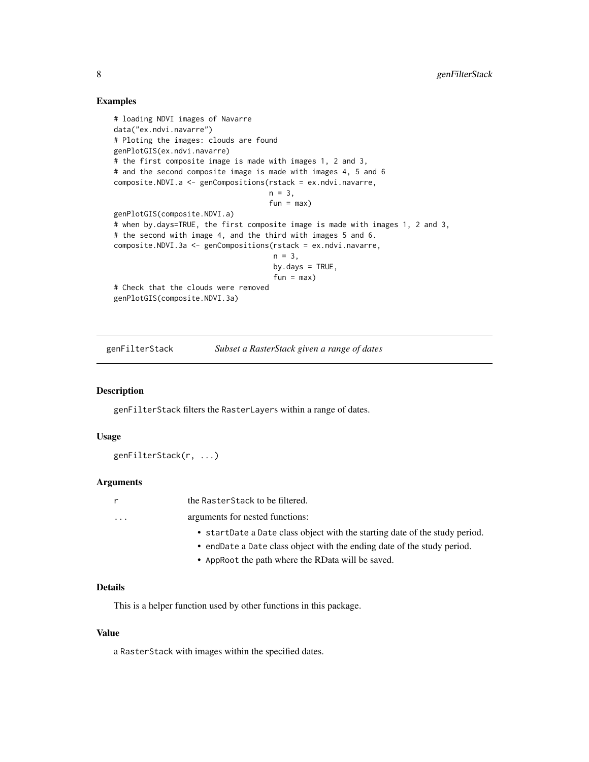## Examples

```
# loading NDVI images of Navarre
data("ex.ndvi.navarre")
# Ploting the images: clouds are found
genPlotGIS(ex.ndvi.navarre)
# the first composite image is made with images 1, 2 and 3,
# and the second composite image is made with images 4, 5 and 6
composite.NDVI.a <- genCompositions(rstack = ex.ndvi.navarre,
                                    n = 3,
                                    fun = max)genPlotGIS(composite.NDVI.a)
# when by.days=TRUE, the first composite image is made with images 1, 2 and 3,
# the second with image 4, and the third with images 5 and 6.
composite.NDVI.3a <- genCompositions(rstack = ex.ndvi.navarre,
                                     n = 3,
                                     by.days = TRUE,
                                     fun = max)# Check that the clouds were removed
genPlotGIS(composite.NDVI.3a)
```
genFilterStack *Subset a RasterStack given a range of dates*

# **Description**

genFilterStack filters the RasterLayers within a range of dates.

#### Usage

genFilterStack(r, ...)

#### Arguments

|                         | the RasterStack to be filtered.                                             |
|-------------------------|-----------------------------------------------------------------------------|
| $\cdot$ $\cdot$ $\cdot$ | arguments for nested functions:                                             |
|                         | • startDate a Date class object with the starting date of the study period. |
|                         | • endDate a Date class object with the ending date of the study period.     |
|                         | • Approot the path where the RData will be saved.                           |

## Details

This is a helper function used by other functions in this package.

#### Value

a RasterStack with images within the specified dates.

<span id="page-7-0"></span>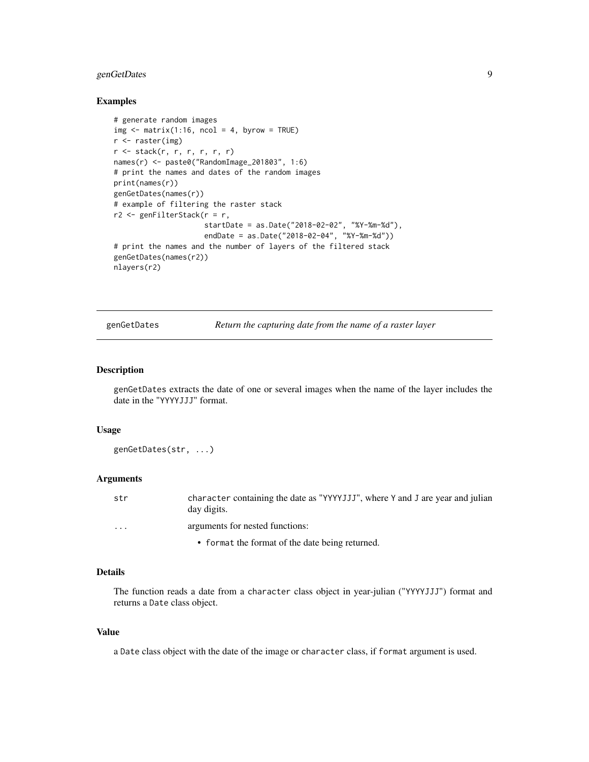# <span id="page-8-0"></span>genGetDates 9

## Examples

```
# generate random images
img \leftarrow matrix(1:16, ncol = 4, byrow = TRUE)r <- raster(img)
r <- stack(r, r, r, r, r, r)
names(r) <- paste0("RandomImage_201803", 1:6)
# print the names and dates of the random images
print(names(r))
genGetDates(names(r))
# example of filtering the raster stack
r2 <- genFilterStack(r = r,
                     startDate = as.Date("2018-02-02", "%Y-%m-%d"),
                     endDate = as.Date("2018-02-04", "%Y-%m-%d"))
# print the names and the number of layers of the filtered stack
genGetDates(names(r2))
nlayers(r2)
```
<span id="page-8-1"></span>genGetDates *Return the capturing date from the name of a raster layer*

## Description

genGetDates extracts the date of one or several images when the name of the layer includes the date in the "YYYYJJJ" format.

## Usage

genGetDates(str, ...)

## Arguments

| str      | character containing the date as "YYYYJJJ", where Y and J are year and julian<br>day digits. |
|----------|----------------------------------------------------------------------------------------------|
| $\cdots$ | arguments for nested functions:                                                              |
|          | • format the format of the date being returned.                                              |

# Details

The function reads a date from a character class object in year-julian ("YYYYJJJ") format and returns a Date class object.

#### Value

a Date class object with the date of the image or character class, if format argument is used.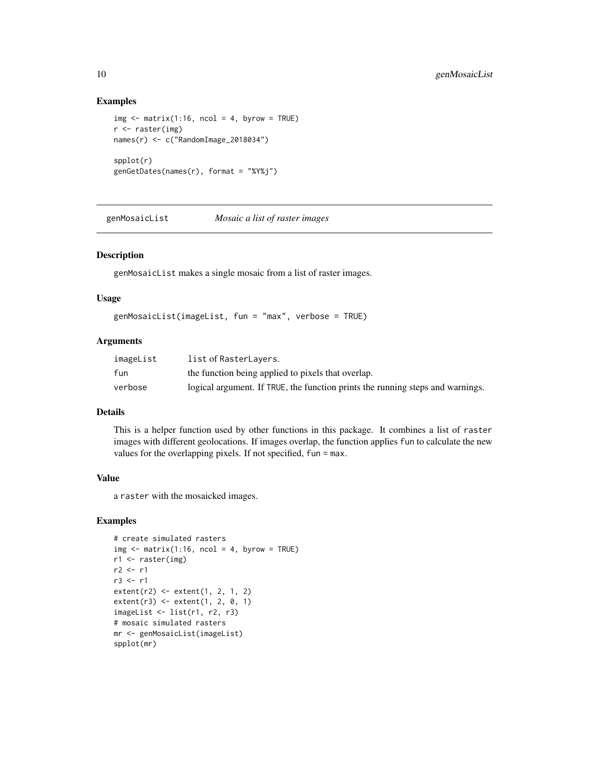## Examples

```
img \leq matrix(1:16, ncol = 4, byrow = TRUE)
r <- raster(img)
names(r) <- c("RandomImage_2018034")
spplot(r)
genGetDates(names(r), format = "%Y%j")
```
genMosaicList *Mosaic a list of raster images*

## Description

genMosaicList makes a single mosaic from a list of raster images.

## Usage

genMosaicList(imageList, fun = "max", verbose = TRUE)

## Arguments

| imageList | list of RasterLayers.                                                          |
|-----------|--------------------------------------------------------------------------------|
| fun       | the function being applied to pixels that overlap.                             |
| verbose   | logical argument. If TRUE, the function prints the running steps and warnings. |

# Details

This is a helper function used by other functions in this package. It combines a list of raster images with different geolocations. If images overlap, the function applies fun to calculate the new values for the overlapping pixels. If not specified, fun = max.

# Value

a raster with the mosaicked images.

## Examples

```
# create simulated rasters
img \leftarrow matrix(1:16, ncol = 4, byrow = TRUE)r1 <- raster(img)
r2 <- r1
r3 < - r1extent(r2) <- extent(1, 2, 1, 2)
extent(r3) <- extent(1, 2, 0, 1)
imageList \leftarrow list(r1, r2, r3)# mosaic simulated rasters
mr <- genMosaicList(imageList)
spplot(mr)
```
<span id="page-9-0"></span>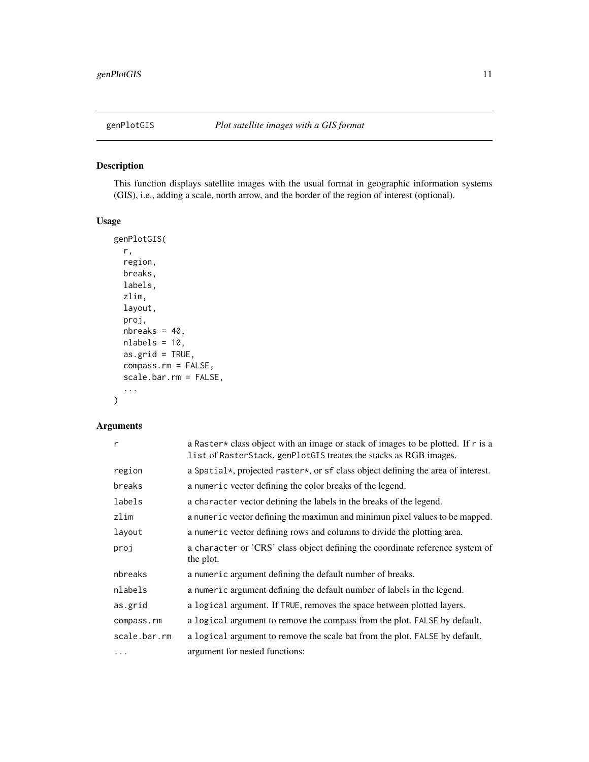<span id="page-10-1"></span><span id="page-10-0"></span>

# Description

This function displays satellite images with the usual format in geographic information systems (GIS), i.e., adding a scale, north arrow, and the border of the region of interest (optional).

# Usage

```
genPlotGIS(
 r,
  region,
 breaks,
  labels,
  zlim,
  layout,
 proj,
 nbreaks = 40,
 nlabels = 10,
 as.grid = TRUE,
  compass.rm = FALSE,
  scale.bar.rm = FALSE,
  ...
)
```
# Arguments

| $\mathsf{r}$ | a Raster * class object with an image or stack of images to be plotted. If r is a<br>list of RasterStack, genPlotGIS treates the stacks as RGB images. |
|--------------|--------------------------------------------------------------------------------------------------------------------------------------------------------|
| region       | a Spatial*, projected raster*, or sf class object defining the area of interest.                                                                       |
| breaks       | a numeric vector defining the color breaks of the legend.                                                                                              |
| labels       | a character vector defining the labels in the breaks of the legend.                                                                                    |
| zlim         | a numeric vector defining the maximun and minimun pixel values to be mapped.                                                                           |
| layout       | a numeric vector defining rows and columns to divide the plotting area.                                                                                |
| proj         | a character or 'CRS' class object defining the coordinate reference system of<br>the plot.                                                             |
| nbreaks      | a numeric argument defining the default number of breaks.                                                                                              |
| nlabels      | a numeric argument defining the default number of labels in the legend.                                                                                |
| as.grid      | a logical argument. If TRUE, removes the space between plotted layers.                                                                                 |
| compass.rm   | a logical argument to remove the compass from the plot. FALSE by default.                                                                              |
| scale.bar.rm | a logical argument to remove the scale bat from the plot. FALSE by default.                                                                            |
| .            | argument for nested functions:                                                                                                                         |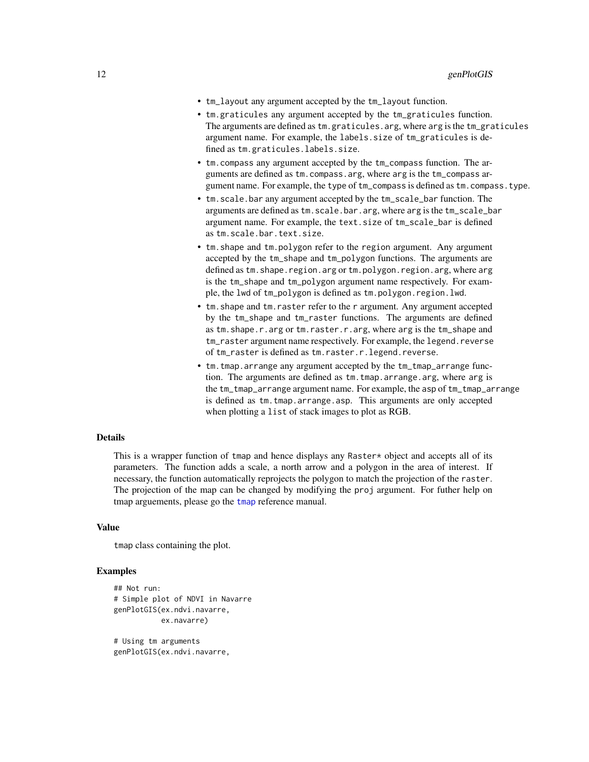- tm\_layout any argument accepted by the tm\_layout function.
- tm.graticules any argument accepted by the tm\_graticules function. The arguments are defined as tm.graticules.arg, where arg is the tm\_graticules argument name. For example, the labels.size of tm\_graticules is defined as tm.graticules.labels.size.
- tm.compass any argument accepted by the tm\_compass function. The arguments are defined as tm.compass.arg, where arg is the tm\_compass argument name. For example, the type of tm\_compass is defined as tm.compass.type.
- tm.scale.bar any argument accepted by the tm\_scale\_bar function. The arguments are defined as tm.scale.bar.arg, where arg is the tm\_scale\_bar argument name. For example, the text.size of tm\_scale\_bar is defined as tm.scale.bar.text.size.
- tm.shape and tm.polygon refer to the region argument. Any argument accepted by the tm\_shape and tm\_polygon functions. The arguments are defined as tm.shape.region.arg or tm.polygon.region.arg, where arg is the tm\_shape and tm\_polygon argument name respectively. For example, the lwd of tm\_polygon is defined as tm.polygon.region.lwd.
- tm.shape and tm.raster refer to the r argument. Any argument accepted by the tm\_shape and tm\_raster functions. The arguments are defined as tm.shape.r.arg or tm.raster.r.arg, where arg is the tm\_shape and tm\_raster argument name respectively. For example, the legend.reverse of tm\_raster is defined as tm.raster.r.legend.reverse.
- tm.tmap.arrange any argument accepted by the tm\_tmap\_arrange function. The arguments are defined as tm.tmap.arrange.arg, where arg is the tm\_tmap\_arrange argument name. For example, the asp of tm\_tmap\_arrange is defined as tm.tmap.arrange.asp. This arguments are only accepted when plotting a list of stack images to plot as RGB.

## Details

This is a wrapper function of tmap and hence displays any Raster\* object and accepts all of its parameters. The function adds a scale, a north arrow and a polygon in the area of interest. If necessary, the function automatically reprojects the polygon to match the projection of the raster. The projection of the map can be changed by modifying the proj argument. For futher help on tmap arguements, please go the [tmap](#page-0-0) reference manual.

## Value

tmap class containing the plot.

## Examples

```
## Not run:
# Simple plot of NDVI in Navarre
genPlotGIS(ex.ndvi.navarre,
           ex.navarre)
```
# Using tm arguments genPlotGIS(ex.ndvi.navarre,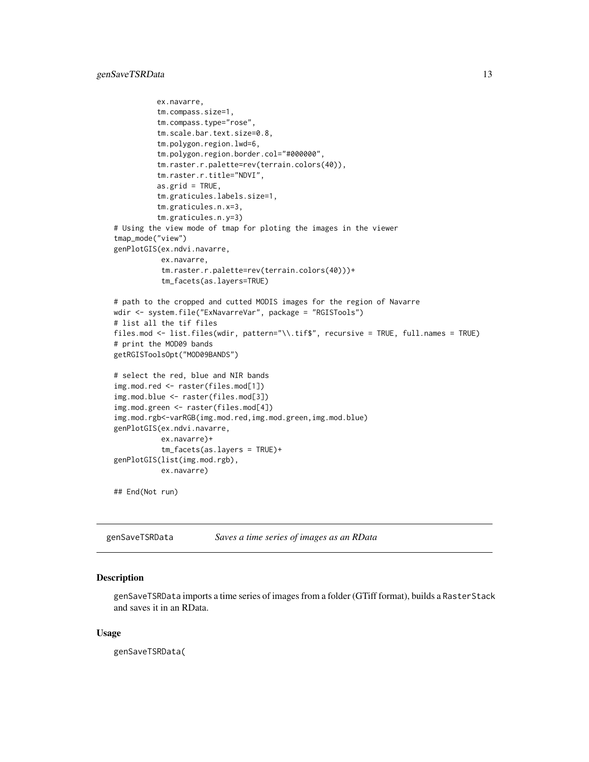```
ex.navarre,
          tm.compass.size=1,
          tm.compass.type="rose",
          tm.scale.bar.text.size=0.8,
          tm.polygon.region.lwd=6,
          tm.polygon.region.border.col="#000000",
          tm.raster.r.palette=rev(terrain.colors(40)),
          tm.raster.r.title="NDVI",
          as.grid = TRUE,
          tm.graticules.labels.size=1,
          tm.graticules.n.x=3,
          tm.graticules.n.y=3)
# Using the view mode of tmap for ploting the images in the viewer
tmap_mode("view")
genPlotGIS(ex.ndvi.navarre,
           ex.navarre,
           tm.raster.r.palette=rev(terrain.colors(40)))+
           tm_facets(as.layers=TRUE)
# path to the cropped and cutted MODIS images for the region of Navarre
wdir <- system.file("ExNavarreVar", package = "RGISTools")
# list all the tif files
files.mod <- list.files(wdir, pattern="\\.tif$", recursive = TRUE, full.names = TRUE)
# print the MOD09 bands
getRGISToolsOpt("MOD09BANDS")
# select the red, blue and NIR bands
img.mod.red <- raster(files.mod[1])
img.mod.blue <- raster(files.mod[3])
img.mod.green <- raster(files.mod[4])
img.mod.rgb<-varRGB(img.mod.red,img.mod.green,img.mod.blue)
genPlotGIS(ex.ndvi.navarre,
           ex.navarre)+
           tm_facets(as.layers = TRUE)+
genPlotGIS(list(img.mod.rgb),
           ex.navarre)
## End(Not run)
```
<span id="page-12-1"></span>genSaveTSRData *Saves a time series of images as an RData*

#### Description

genSaveTSRData imports a time series of images from a folder (GTiff format), builds a RasterStack and saves it in an RData.

#### Usage

genSaveTSRData(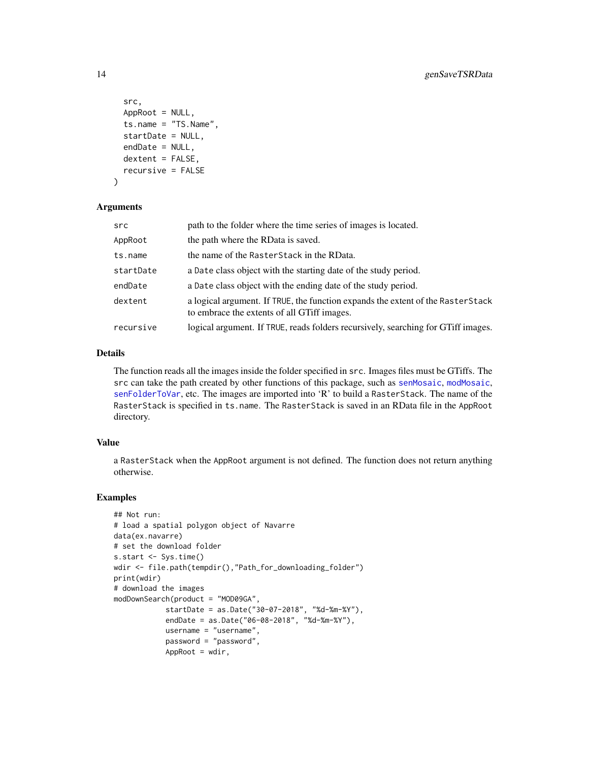```
src,
  AppRoot = NULL,
  ts.name = "TS.Name",
  startDate = NULL,
  endDate = NULL,
 dextent = FALSE,
  recursive = FALSE
\lambda
```
#### **Arguments**

| src       | path to the folder where the time series of images is located.                                                                 |
|-----------|--------------------------------------------------------------------------------------------------------------------------------|
| AppRoot   | the path where the RData is saved.                                                                                             |
| ts.name   | the name of the RasterStack in the RData.                                                                                      |
| startDate | a Date class object with the starting date of the study period.                                                                |
| endDate   | a Date class object with the ending date of the study period.                                                                  |
| dextent   | a logical argument. If TRUE, the function expands the extent of the RasterStack<br>to embrace the extents of all GTiff images. |
| recursive | logical argument. If TRUE, reads folders recursively, searching for GTiff images.                                              |

# Details

The function reads all the images inside the folder specified in src. Images files must be GTiffs. The src can take the path created by other functions of this package, such as [senMosaic](#page-76-1), [modMosaic](#page-61-1), [senFolderToVar](#page-71-1), etc. The images are imported into 'R' to build a RasterStack. The name of the RasterStack is specified in ts.name. The RasterStack is saved in an RData file in the AppRoot directory.

## Value

a RasterStack when the AppRoot argument is not defined. The function does not return anything otherwise.

# Examples

```
## Not run:
# load a spatial polygon object of Navarre
data(ex.navarre)
# set the download folder
s.start <- Sys.time()
wdir <- file.path(tempdir(),"Path_for_downloading_folder")
print(wdir)
# download the images
modDownSearch(product = "MOD09GA",
            startDate = as.Date("30-07-2018", "%d-%m-%Y"),
            endDate = as.Date("06-08-2018", "%d-%m-%Y"),
            username = "username",
            password = "password",
            AppRoot = wdir,
```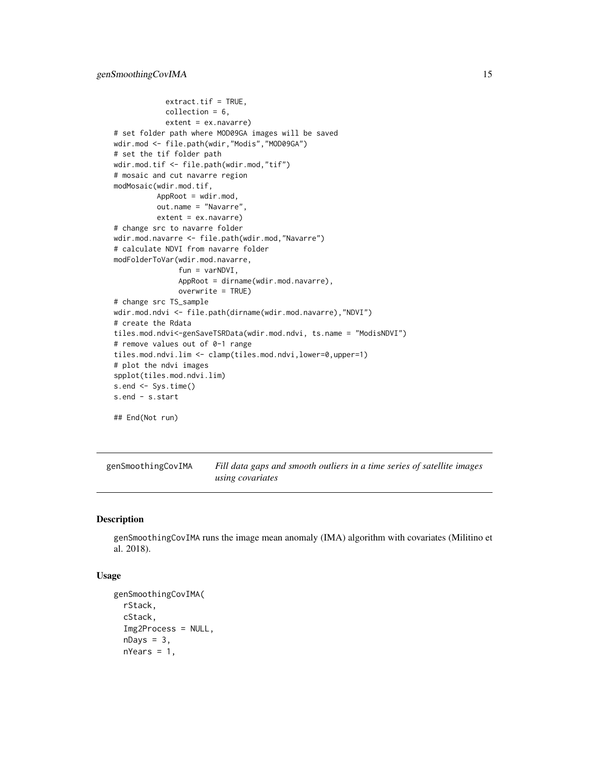```
extract.tf = TRUE,collection = 6,
            extent = ex.navarre)
# set folder path where MOD09GA images will be saved
wdir.mod <- file.path(wdir,"Modis","MOD09GA")
# set the tif folder path
wdir.mod.tif <- file.path(wdir.mod,"tif")
# mosaic and cut navarre region
modMosaic(wdir.mod.tif,
          AppRoot = wdir.mod,
          out.name = "Navarre",
          extent = ex.navarre)
# change src to navarre folder
wdir.mod.navarre <- file.path(wdir.mod,"Navarre")
# calculate NDVI from navarre folder
modFolderToVar(wdir.mod.navarre,
               fun = varNDVI,
               AppRoot = dirname(wdir.mod.navarre),
               overwrite = TRUE)
# change src TS_sample
wdir.mod.ndvi <- file.path(dirname(wdir.mod.navarre),"NDVI")
# create the Rdata
tiles.mod.ndvi<-genSaveTSRData(wdir.mod.ndvi, ts.name = "ModisNDVI")
# remove values out of 0-1 range
tiles.mod.ndvi.lim <- clamp(tiles.mod.ndvi,lower=0,upper=1)
# plot the ndvi images
spplot(tiles.mod.ndvi.lim)
s.end <- Sys.time()
s.end - s.start
## End(Not run)
```
<span id="page-14-1"></span>genSmoothingCovIMA *Fill data gaps and smooth outliers in a time series of satellite images using covariates*

# Description

genSmoothingCovIMA runs the image mean anomaly (IMA) algorithm with covariates (Militino et al. 2018).

# Usage

```
genSmoothingCovIMA(
 rStack,
  cStack,
  Img2Process = NULL,
  nDays = 3,
  nYears = 1,
```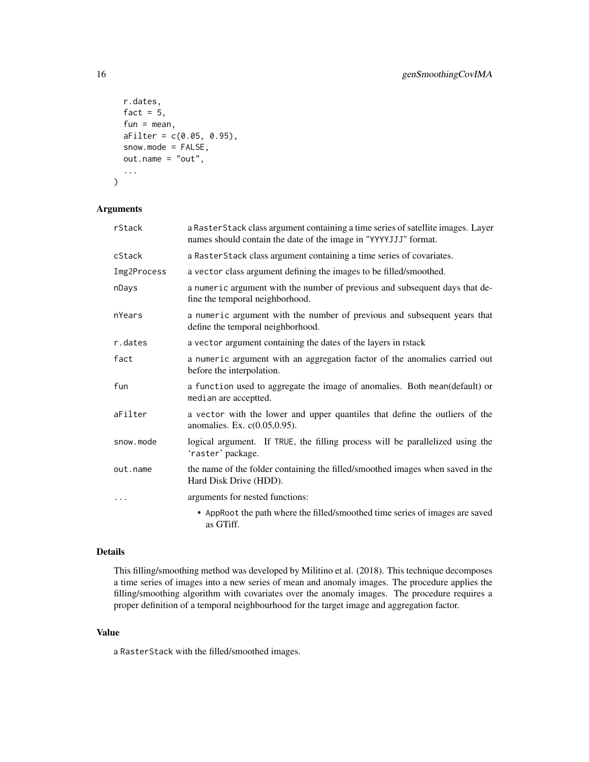```
r.dates,
 fact = 5,
  fun = mean,aFilter = c(0.05, 0.95),
  snow.mode = FALSE,
  out.name = "out",
  ...
)
```
# Arguments

| rStack      | a Raster Stack class argument containing a time series of satellite images. Layer<br>names should contain the date of the image in "YYYYJJJ" format. |
|-------------|------------------------------------------------------------------------------------------------------------------------------------------------------|
| cStack      | a RasterStack class argument containing a time series of covariates.                                                                                 |
| Img2Process | a vector class argument defining the images to be filled/smoothed.                                                                                   |
| nDays       | a numeric argument with the number of previous and subsequent days that de-<br>fine the temporal neighborhood.                                       |
| nYears      | a numeric argument with the number of previous and subsequent years that<br>define the temporal neighborhood.                                        |
| r.dates     | a vector argument containing the dates of the layers in rstack                                                                                       |
| fact        | a numeric argument with an aggregation factor of the anomalies carried out<br>before the interpolation.                                              |
| fun         | a function used to aggregate the image of anomalies. Both mean(default) or<br>median are acceptted.                                                  |
| aFilter     | a vector with the lower and upper quantiles that define the outliers of the<br>anomalies. Ex. c(0.05,0.95).                                          |
| snow.mode   | logical argument. If TRUE, the filling process will be parallelized using the<br>'raster' package.                                                   |
| out.name    | the name of the folder containing the filled/smoothed images when saved in the<br>Hard Disk Drive (HDD).                                             |
| $\ddots$    | arguments for nested functions:                                                                                                                      |
|             | • AppRoot the path where the filled/smoothed time series of images are saved<br>as GTiff.                                                            |

## Details

This filling/smoothing method was developed by Militino et al. (2018). This technique decomposes a time series of images into a new series of mean and anomaly images. The procedure applies the filling/smoothing algorithm with covariates over the anomaly images. The procedure requires a proper definition of a temporal neighbourhood for the target image and aggregation factor.

#### Value

a RasterStack with the filled/smoothed images.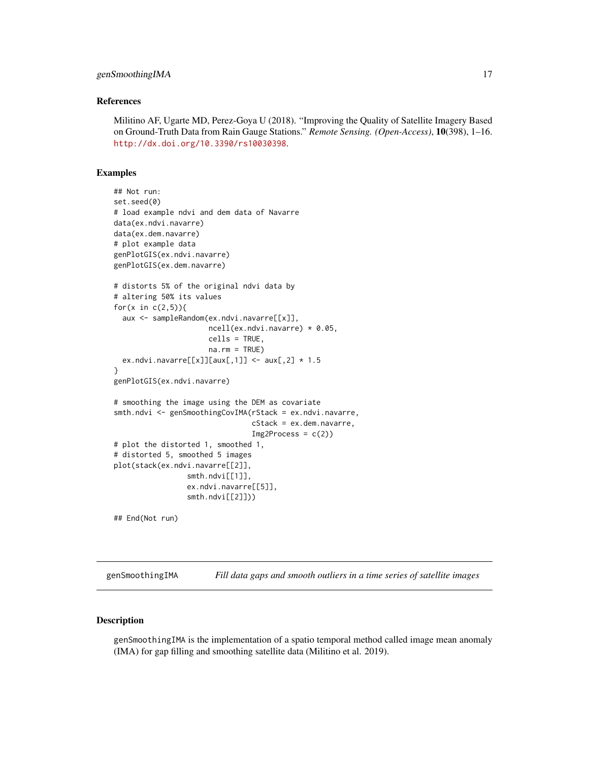#### <span id="page-16-0"></span>References

Militino AF, Ugarte MD, Perez-Goya U (2018). "Improving the Quality of Satellite Imagery Based on Ground-Truth Data from Rain Gauge Stations." *Remote Sensing. (Open-Access)*, 10(398), 1–16. <http://dx.doi.org/10.3390/rs10030398>.

## Examples

```
## Not run:
set.seed(0)
# load example ndvi and dem data of Navarre
data(ex.ndvi.navarre)
data(ex.dem.navarre)
# plot example data
genPlotGIS(ex.ndvi.navarre)
genPlotGIS(ex.dem.navarre)
# distorts 5% of the original ndvi data by
# altering 50% its values
for(x in c(2,5)){
 aux <- sampleRandom(ex.ndvi.navarre[[x]],
                      ncell(ex.ndvi.navarre) * 0.05,
                      cells = TRUE,
                      na.rm = TRUE)
 ex.ndvi.navarre[[x]][aux[,1]] <- aux[,2] * 1.5}
genPlotGIS(ex.ndvi.navarre)
# smoothing the image using the DEM as covariate
smth.ndvi <- genSmoothingCovIMA(rStack = ex.ndvi.navarre,
                                cStack = ex.dem.navarre,
                                Img2Process = c(2)# plot the distorted 1, smoothed 1,
# distorted 5, smoothed 5 images
plot(stack(ex.ndvi.navarre[[2]],
                 smth.ndvi[[1]],
                 ex.ndvi.navarre[[5]],
                 smth.ndvi[[2]]))
## End(Not run)
```
<span id="page-16-1"></span>genSmoothingIMA *Fill data gaps and smooth outliers in a time series of satellite images*

## Description

genSmoothingIMA is the implementation of a spatio temporal method called image mean anomaly (IMA) for gap filling and smoothing satellite data (Militino et al. 2019).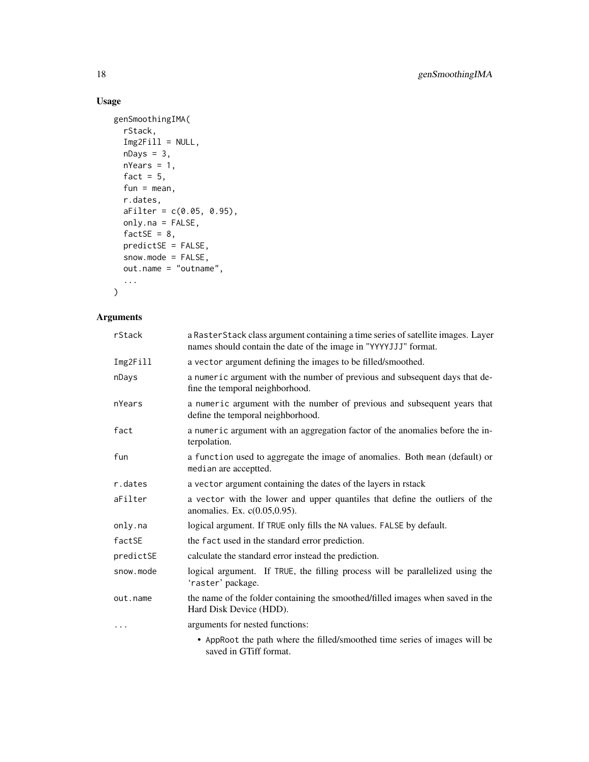# Usage

```
genSmoothingIMA(
  rStack,
  Img2Fill = NULL,nDays = 3,
  nYears = 1,
  fact = 5,
  fun = mean,r.dates,
  aFilter = c(0.05, 0.95),
  only.na = FALSE,
  factSE = 8,
  predictSE = FALSE,
  snow.mode = FALSE,
 out.name = "outname",
  ...
\mathcal{L}
```
# Arguments

| rStack    | a RasterStack class argument containing a time series of satellite images. Layer<br>names should contain the date of the image in "YYYYJJJ" format. |
|-----------|-----------------------------------------------------------------------------------------------------------------------------------------------------|
| Img2Fill  | a vector argument defining the images to be filled/smoothed.                                                                                        |
| nDays     | a numeric argument with the number of previous and subsequent days that de-<br>fine the temporal neighborhood.                                      |
| nYears    | a numeric argument with the number of previous and subsequent years that<br>define the temporal neighborhood.                                       |
| fact      | a numeric argument with an aggregation factor of the anomalies before the in-<br>terpolation.                                                       |
| fun       | a function used to aggregate the image of anomalies. Both mean (default) or<br>median are acceptted.                                                |
| r.dates   | a vector argument containing the dates of the layers in rstack                                                                                      |
| aFilter   | a vector with the lower and upper quantiles that define the outliers of the<br>anomalies. Ex. c(0.05,0.95).                                         |
| only.na   | logical argument. If TRUE only fills the NA values. FALSE by default.                                                                               |
| factSE    | the fact used in the standard error prediction.                                                                                                     |
| predictSE | calculate the standard error instead the prediction.                                                                                                |
| snow.mode | logical argument. If TRUE, the filling process will be parallelized using the<br>'raster' package.                                                  |
| out.name  | the name of the folder containing the smoothed/filled images when saved in the<br>Hard Disk Device (HDD).                                           |
| .         | arguments for nested functions:                                                                                                                     |
|           | • AppRoot the path where the filled/smoothed time series of images will be<br>saved in GTiff format.                                                |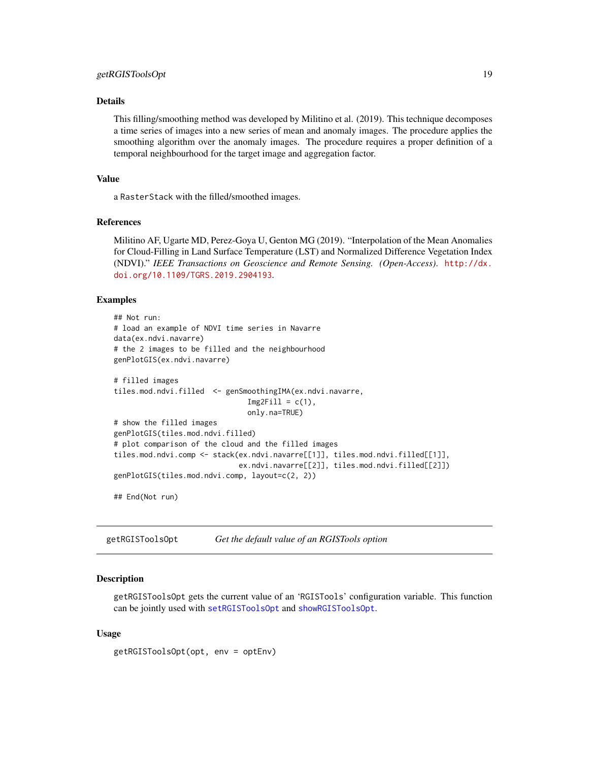#### <span id="page-18-0"></span>Details

This filling/smoothing method was developed by Militino et al. (2019). This technique decomposes a time series of images into a new series of mean and anomaly images. The procedure applies the smoothing algorithm over the anomaly images. The procedure requires a proper definition of a temporal neighbourhood for the target image and aggregation factor.

## Value

a RasterStack with the filled/smoothed images.

#### References

Militino AF, Ugarte MD, Perez-Goya U, Genton MG (2019). "Interpolation of the Mean Anomalies for Cloud-Filling in Land Surface Temperature (LST) and Normalized Difference Vegetation Index (NDVI)." *IEEE Transactions on Geoscience and Remote Sensing. (Open-Access)*. [http://dx.](http://dx.doi.org/10.1109/TGRS.2019.2904193) [doi.org/10.1109/TGRS.2019.2904193](http://dx.doi.org/10.1109/TGRS.2019.2904193).

#### Examples

```
## Not run:
# load an example of NDVI time series in Navarre
data(ex.ndvi.navarre)
# the 2 images to be filled and the neighbourhood
genPlotGIS(ex.ndvi.navarre)
# filled images
tiles.mod.ndvi.filled <- genSmoothingIMA(ex.ndvi.navarre,
                               Img2Fill = c(1),only.na=TRUE)
# show the filled images
genPlotGIS(tiles.mod.ndvi.filled)
# plot comparison of the cloud and the filled images
tiles.mod.ndvi.comp <- stack(ex.ndvi.navarre[[1]], tiles.mod.ndvi.filled[[1]],
                             ex.ndvi.navarre[[2]], tiles.mod.ndvi.filled[[2]])
genPlotGIS(tiles.mod.ndvi.comp, layout=c(2, 2))
```
## End(Not run)

getRGISToolsOpt *Get the default value of an RGISTools option*

#### **Description**

getRGISToolsOpt gets the current value of an 'RGISTools' configuration variable. This function can be jointly used with [setRGISToolsOpt](#page-80-1) and [showRGISToolsOpt](#page-81-1).

## Usage

getRGISToolsOpt(opt, env = optEnv)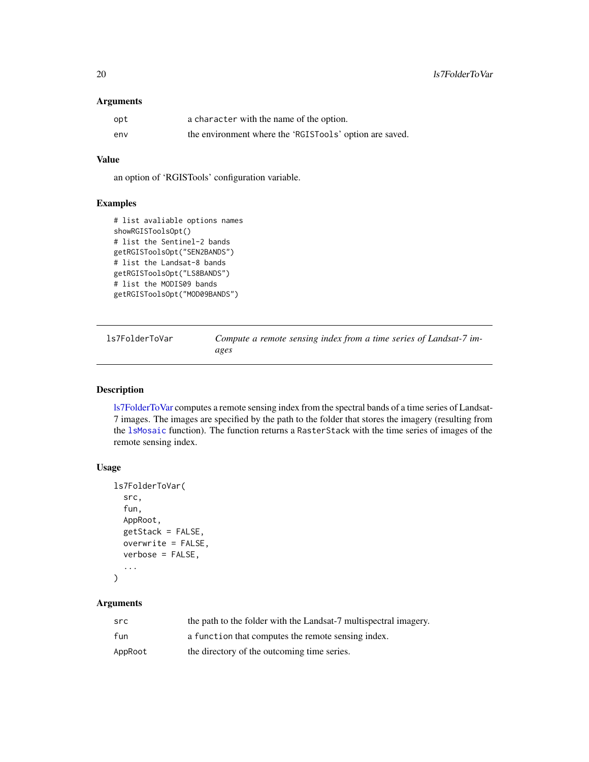# <span id="page-19-0"></span>Arguments

| opt | a character with the name of the option.                |
|-----|---------------------------------------------------------|
| env | the environment where the 'RGISTools' option are saved. |

## Value

an option of 'RGISTools' configuration variable.

## Examples

```
# list avaliable options names
showRGISToolsOpt()
# list the Sentinel-2 bands
getRGISToolsOpt("SEN2BANDS")
# list the Landsat-8 bands
getRGISToolsOpt("LS8BANDS")
# list the MODIS09 bands
getRGISToolsOpt("MOD09BANDS")
```
<span id="page-19-1"></span>ls7FolderToVar *Compute a remote sensing index from a time series of Landsat-7 images*

# Description

[ls7FolderToVar](#page-19-1) computes a remote sensing index from the spectral bands of a time series of Landsat-7 images. The images are specified by the path to the folder that stores the imagery (resulting from the [lsMosaic](#page-44-1) function). The function returns a RasterStack with the time series of images of the remote sensing index.

# Usage

```
ls7FolderToVar(
  src,
  fun,
  AppRoot,
  getStack = FALSE,
  overwrite = FALSE,
  verbose = FALSE,
  ...
)
```
# Arguments

| src     | the path to the folder with the Landsat-7 multispectral imagery. |
|---------|------------------------------------------------------------------|
| fun     | a function that computes the remote sensing index.               |
| AppRoot | the directory of the outcoming time series.                      |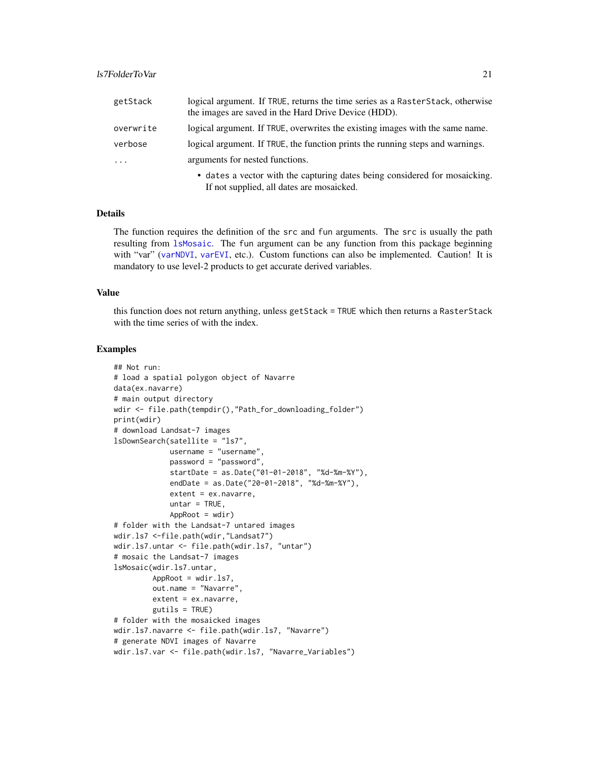| getStack                | logical argument. If TRUE, returns the time series as a Raster Stack, otherwise<br>the images are saved in the Hard Drive Device (HDD). |
|-------------------------|-----------------------------------------------------------------------------------------------------------------------------------------|
| overwrite               | logical argument. If TRUE, overwrites the existing images with the same name.                                                           |
| verbose                 | logical argument. If TRUE, the function prints the running steps and warnings.                                                          |
| $\cdot$ $\cdot$ $\cdot$ | arguments for nested functions.                                                                                                         |
|                         | • dates a vector with the capturing dates being considered for mosaicking.                                                              |

If not supplied, all dates are mosaicked.

Details

The function requires the definition of the src and fun arguments. The src is usually the path resulting from [lsMosaic](#page-44-1). The fun argument can be any function from this package beginning with "var" ([varNDVI](#page-87-1), [varEVI](#page-82-1), etc.). Custom functions can also be implemented. Caution! It is mandatory to use level-2 products to get accurate derived variables.

#### Value

this function does not return anything, unless getStack = TRUE which then returns a RasterStack with the time series of with the index.

# Examples

```
## Not run:
# load a spatial polygon object of Navarre
data(ex.navarre)
# main output directory
wdir <- file.path(tempdir(),"Path_for_downloading_folder")
print(wdir)
# download Landsat-7 images
lsDownSearch(satellite = "ls7",
            username = "username",
             password = "password",
             startDate = as.Date("01-01-2018", "%d-%m-%Y"),
             endDate = as.Date("20-01-2018", "%d-%m-%Y"),
             extent = ex.navarre,
             untar = TRUE,AppRoot = wdir)# folder with the Landsat-7 untared images
wdir.ls7 <-file.path(wdir,"Landsat7")
wdir.ls7.untar <- file.path(wdir.ls7, "untar")
# mosaic the Landsat-7 images
lsMosaic(wdir.ls7.untar,
         AppRoot = wdir.ls7,
         out.name = "Navarre",
         extent = ex.navarre,
         gutils = TRUE)
# folder with the mosaicked images
wdir.ls7.navarre <- file.path(wdir.ls7, "Navarre")
# generate NDVI images of Navarre
wdir.ls7.var <- file.path(wdir.ls7, "Navarre_Variables")
```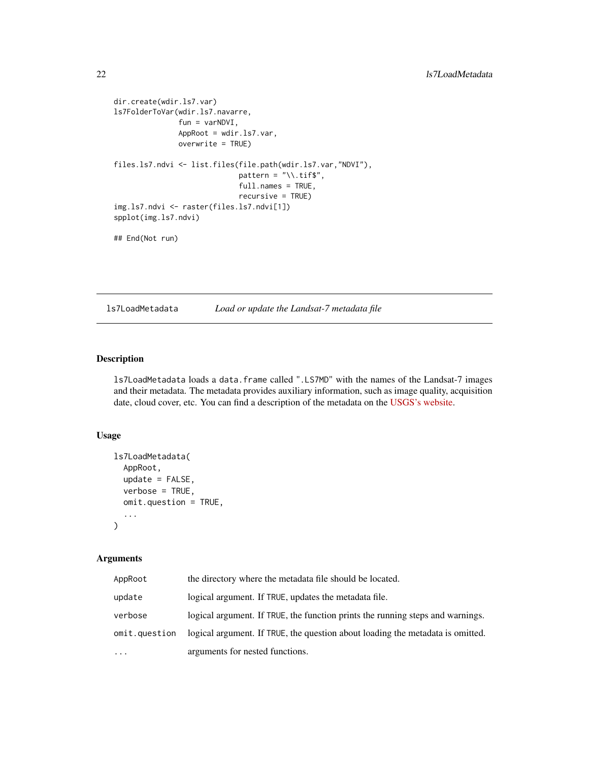```
dir.create(wdir.ls7.var)
ls7FolderToVar(wdir.ls7.navarre,
               fun = varNDVI,
               AppRoot = wdir.ls7.var,
               overwrite = TRUE)
files.ls7.ndvi <- list.files(file.path(wdir.ls7.var,"NDVI"),
                             pattern = "\wedge\ldotstif$",
                              full.names = TRUE,
                              recursive = TRUE)
img.ls7.ndvi <- raster(files.ls7.ndvi[1])
spplot(img.ls7.ndvi)
```
## End(Not run)

<span id="page-21-1"></span>ls7LoadMetadata *Load or update the Landsat-7 metadata file*

# Description

ls7LoadMetadata loads a data.frame called ".LS7MD" with the names of the Landsat-7 images and their metadata. The metadata provides auxiliary information, such as image quality, acquisition date, cloud cover, etc. You can find a description of the metadata on the [USGS's website.](https://www.usgs.gov/land-resources/nli/landsat/bulk-metadata-service)

## Usage

```
ls7LoadMetadata(
  AppRoot,
  update = FALSE,verbose = TRUE,
  omit.question = TRUE,
  ...
\mathcal{L}
```
## Arguments

| AppRoot       | the directory where the metadata file should be located.                       |
|---------------|--------------------------------------------------------------------------------|
| update        | logical argument. If TRUE, updates the metadata file.                          |
| verbose       | logical argument. If TRUE, the function prints the running steps and warnings. |
| omit.question | logical argument. If TRUE, the question about loading the metadata is omitted. |
| $\cdots$      | arguments for nested functions.                                                |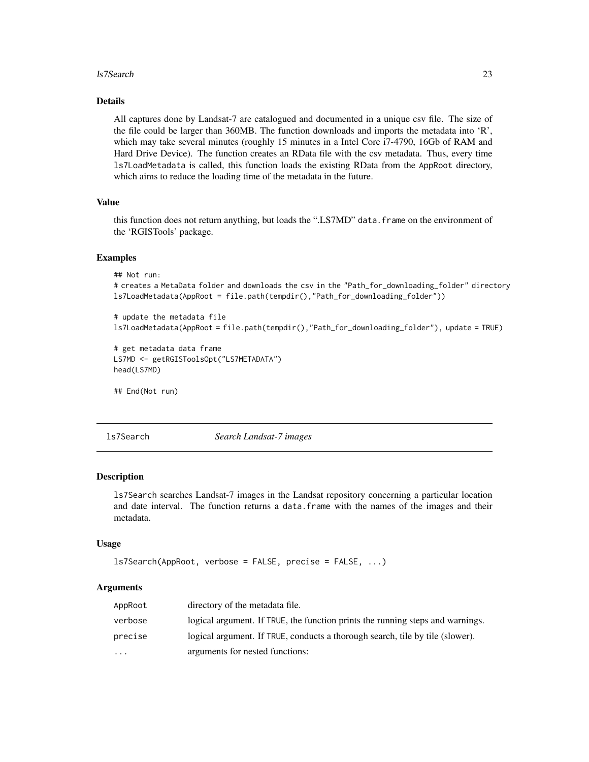## <span id="page-22-0"></span>ls7Search 23

# Details

All captures done by Landsat-7 are catalogued and documented in a unique csv file. The size of the file could be larger than 360MB. The function downloads and imports the metadata into 'R', which may take several minutes (roughly 15 minutes in a Intel Core i7-4790, 16Gb of RAM and Hard Drive Device). The function creates an RData file with the csv metadata. Thus, every time ls7LoadMetadata is called, this function loads the existing RData from the AppRoot directory, which aims to reduce the loading time of the metadata in the future.

## Value

this function does not return anything, but loads the ".LS7MD" data.frame on the environment of the 'RGISTools' package.

## Examples

```
## Not run:
```

```
# creates a MetaData folder and downloads the csv in the "Path_for_downloading_folder" directory
ls7LoadMetadata(AppRoot = file.path(tempdir(),"Path_for_downloading_folder"))
```

```
# update the metadata file
ls7LoadMetadata(AppRoot = file.path(tempdir(),"Path_for_downloading_folder"), update = TRUE)
```

```
# get metadata data frame
LS7MD <- getRGISToolsOpt("LS7METADATA")
head(LS7MD)
```
## End(Not run)

<span id="page-22-1"></span>

ls7Search *Search Landsat-7 images*

## Description

ls7Search searches Landsat-7 images in the Landsat repository concerning a particular location and date interval. The function returns a data.frame with the names of the images and their metadata.

## Usage

```
ls7Search(AppRoot, verbose = FALSE, precise = FALSE, ...)
```
# Arguments

| AppRoot   | directory of the metadata file.                                                |
|-----------|--------------------------------------------------------------------------------|
| verbose   | logical argument. If TRUE, the function prints the running steps and warnings. |
| precise   | logical argument. If TRUE, conducts a thorough search, tile by tile (slower).  |
| $\ddotsc$ | arguments for nested functions:                                                |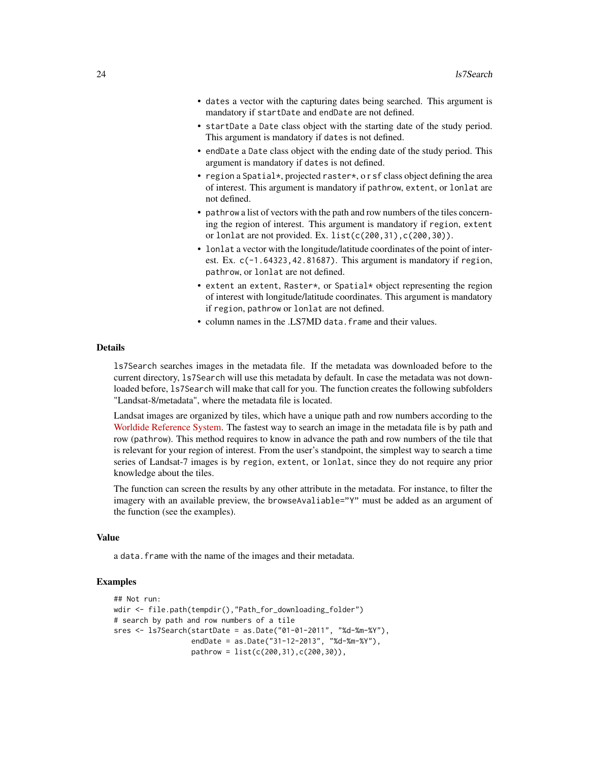- dates a vector with the capturing dates being searched. This argument is mandatory if startDate and endDate are not defined.
- startDate a Date class object with the starting date of the study period. This argument is mandatory if dates is not defined.
- endDate a Date class object with the ending date of the study period. This argument is mandatory if dates is not defined.
- region a Spatial\*, projected raster\*, or sf class object defining the area of interest. This argument is mandatory if pathrow, extent, or lonlat are not defined.
- pathrow a list of vectors with the path and row numbers of the tiles concerning the region of interest. This argument is mandatory if region, extent or lonlat are not provided. Ex. list(c(200,31),c(200,30)).
- lonlat a vector with the longitude/latitude coordinates of the point of interest. Ex.  $c(-1.64323, 42.81687)$ . This argument is mandatory if region, pathrow, or lonlat are not defined.
- extent an extent, Raster\*, or Spatial\* object representing the region of interest with longitude/latitude coordinates. This argument is mandatory if region, pathrow or lonlat are not defined.
- column names in the .LS7MD data. frame and their values.

#### Details

ls7Search searches images in the metadata file. If the metadata was downloaded before to the current directory, ls7Search will use this metadata by default. In case the metadata was not downloaded before, ls7Search will make that call for you. The function creates the following subfolders "Landsat-8/metadata", where the metadata file is located.

Landsat images are organized by tiles, which have a unique path and row numbers according to the [Worldide Reference System.](https://landsat.gsfc.nasa.gov/the-worldwide-reference-system/) The fastest way to search an image in the metadata file is by path and row (pathrow). This method requires to know in advance the path and row numbers of the tile that is relevant for your region of interest. From the user's standpoint, the simplest way to search a time series of Landsat-7 images is by region, extent, or lonlat, since they do not require any prior knowledge about the tiles.

The function can screen the results by any other attribute in the metadata. For instance, to filter the imagery with an available preview, the browseAvaliable="Y" must be added as an argument of the function (see the examples).

## Value

a data. frame with the name of the images and their metadata.

#### Examples

```
## Not run:
wdir <- file.path(tempdir(),"Path_for_downloading_folder")
# search by path and row numbers of a tile
sres <- ls7Search(startDate = as.Date("01-01-2011", "%d-%m-%Y"),
                  endDate = as.Date("31-12-2013", "%d-%m-%Y"),
                  pathrow = list(c(200,31),c(200,30)),
```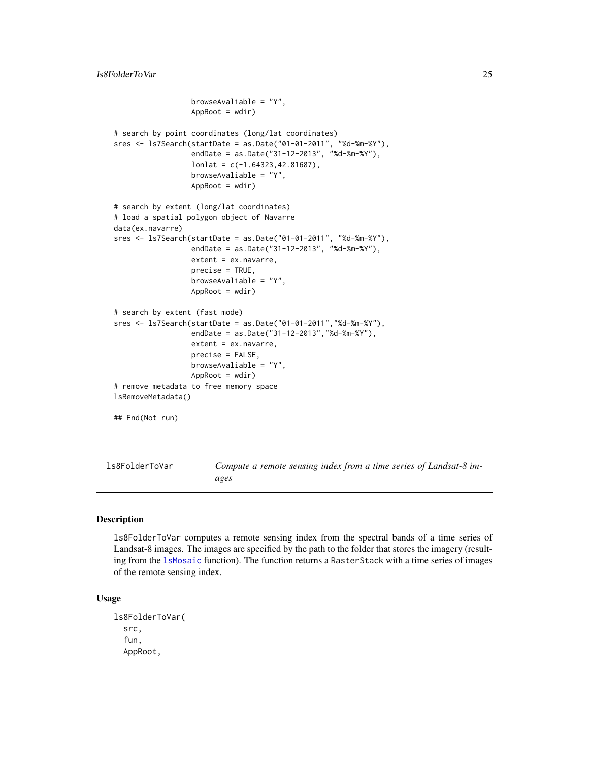```
browseAvaliable = "Y",
                  AppRoot = wdir)# search by point coordinates (long/lat coordinates)
sres <- ls7Search(startDate = as.Date("01-01-2011", "%d-%m-%Y"),
                  endDate = as.Date("31-12-2013", "%d-%m-%Y"),
                  lonlat = c(-1.64323, 42.81687),browseAvaliable = "Y",
                  AppRoot = wdir)# search by extent (long/lat coordinates)
# load a spatial polygon object of Navarre
data(ex.navarre)
sres <- ls7Search(startDate = as.Date("01-01-2011", "%d-%m-%Y"),
                  endDate = as.Date("31-12-2013", "%d-%m-%Y"),
                  extent = ex.navarre,
                  precise = TRUE,
                  browseAvaliable = "Y",
                  AppRoot = wdir)
# search by extent (fast mode)
sres <- ls7Search(startDate = as.Date("01-01-2011","%d-%m-%Y"),
                  endDate = as.Date("31-12-2013","%d-%m-%Y"),
                  extent = ex.navarre,
                  precise = FALSE,
                  browseAvaliable = "Y",
                  AppRoot = wdir)
# remove metadata to free memory space
lsRemoveMetadata()
## End(Not run)
```
<span id="page-24-1"></span>ls8FolderToVar *Compute a remote sensing index from a time series of Landsat-8 images*

# Description

ls8FolderToVar computes a remote sensing index from the spectral bands of a time series of Landsat-8 images. The images are specified by the path to the folder that stores the imagery (resulting from the [lsMosaic](#page-44-1) function). The function returns a RasterStack with a time series of images of the remote sensing index.

#### Usage

```
ls8FolderToVar(
  src,
  fun,
  AppRoot,
```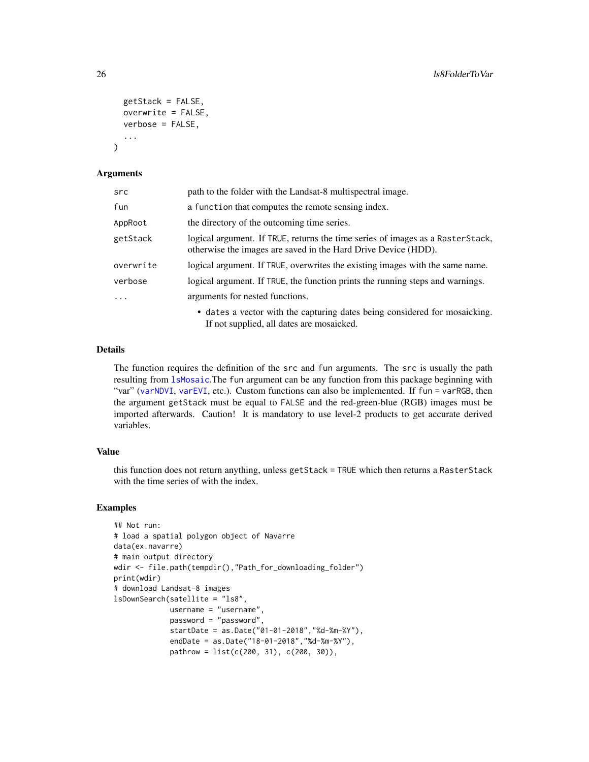```
getStack = FALSE,
  overwrite = FALSE,
  verbose = FALSE,
  ...
\lambda
```
# Arguments

| src       | path to the folder with the Landsat-8 multispectral image.                                                                                       |
|-----------|--------------------------------------------------------------------------------------------------------------------------------------------------|
| fun       | a function that computes the remote sensing index.                                                                                               |
| AppRoot   | the directory of the outcoming time series.                                                                                                      |
| getStack  | logical argument. If TRUE, returns the time series of images as a RasterStack,<br>otherwise the images are saved in the Hard Drive Device (HDD). |
| overwrite | logical argument. If TRUE, overwrites the existing images with the same name.                                                                    |
| verbose   | logical argument. If TRUE, the function prints the running steps and warnings.                                                                   |
| .         | arguments for nested functions.                                                                                                                  |
|           | • dates a vector with the capturing dates being considered for mosaicking.<br>If not supplied, all dates are mosaicked.                          |

## Details

The function requires the definition of the src and fun arguments. The src is usually the path resulting from [lsMosaic](#page-44-1).The fun argument can be any function from this package beginning with "var" ([varNDVI](#page-87-1), [varEVI](#page-82-1), etc.). Custom functions can also be implemented. If fun = varRGB, then the argument getStack must be equal to FALSE and the red-green-blue (RGB) images must be imported afterwards. Caution! It is mandatory to use level-2 products to get accurate derived variables.

# Value

this function does not return anything, unless getStack = TRUE which then returns a RasterStack with the time series of with the index.

# Examples

```
## Not run:
# load a spatial polygon object of Navarre
data(ex.navarre)
# main output directory
wdir <- file.path(tempdir(),"Path_for_downloading_folder")
print(wdir)
# download Landsat-8 images
lsDownSearch(satellite = "ls8",
             username = "username",
             password = "password",
             startDate = as.Date("01-01-2018","%d-%m-%Y"),
             endDate = as.Date("18-01-2018","%d-%m-%Y"),
             pathrow = list(c(200, 31), c(200, 30)),
```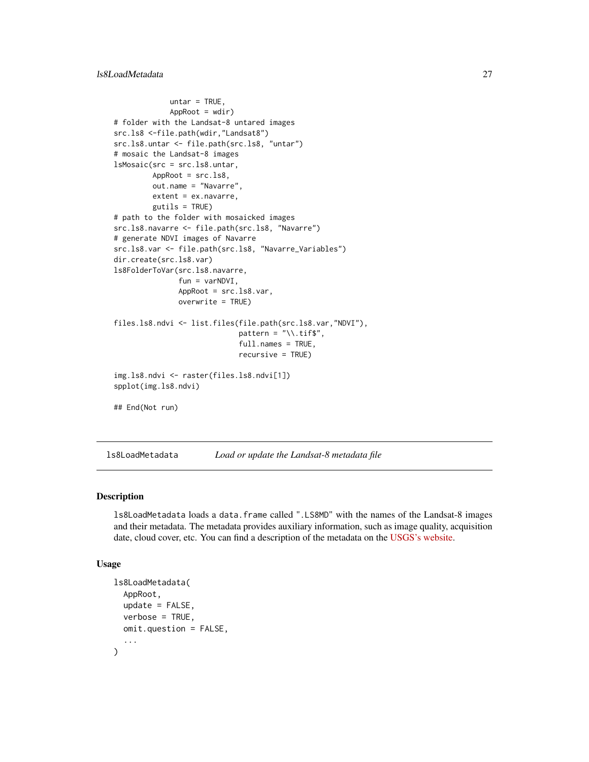```
untar = TRUE,
             AppRoot = wdir)# folder with the Landsat-8 untared images
src.ls8 <-file.path(wdir,"Landsat8")
src.ls8.untar <- file.path(src.ls8, "untar")
# mosaic the Landsat-8 images
lsMosaic(src = src.ls8.untar,
        AppRoot = src.ls8,
        out.name = "Navarre",
        extent = ex.navarre,
         gutils = TRUE)
# path to the folder with mosaicked images
src.ls8.navarre <- file.path(src.ls8, "Navarre")
# generate NDVI images of Navarre
src.ls8.var <- file.path(src.ls8, "Navarre_Variables")
dir.create(src.ls8.var)
ls8FolderToVar(src.ls8.navarre,
               fun = varNDVI,
               AppRoot = src.ls8.var,
               overwrite = TRUE)
files.ls8.ndvi <- list.files(file.path(src.ls8.var,"NDVI"),
                             pattern = "\wedge \text{diff$",}full.names = TRUE,
                             recursive = TRUE)
img.ls8.ndvi <- raster(files.ls8.ndvi[1])
spplot(img.ls8.ndvi)
## End(Not run)
```
<span id="page-26-1"></span>ls8LoadMetadata *Load or update the Landsat-8 metadata file*

#### Description

ls8LoadMetadata loads a data.frame called ".LS8MD" with the names of the Landsat-8 images and their metadata. The metadata provides auxiliary information, such as image quality, acquisition date, cloud cover, etc. You can find a description of the metadata on the [USGS's website.](https://www.usgs.gov/land-resources/nli/landsat/bulk-metadata-service)

#### Usage

```
ls8LoadMetadata(
  AppRoot,
  update = FALSE,
  verbose = TRUE,
 omit.question = FALSE,
  ...
)
```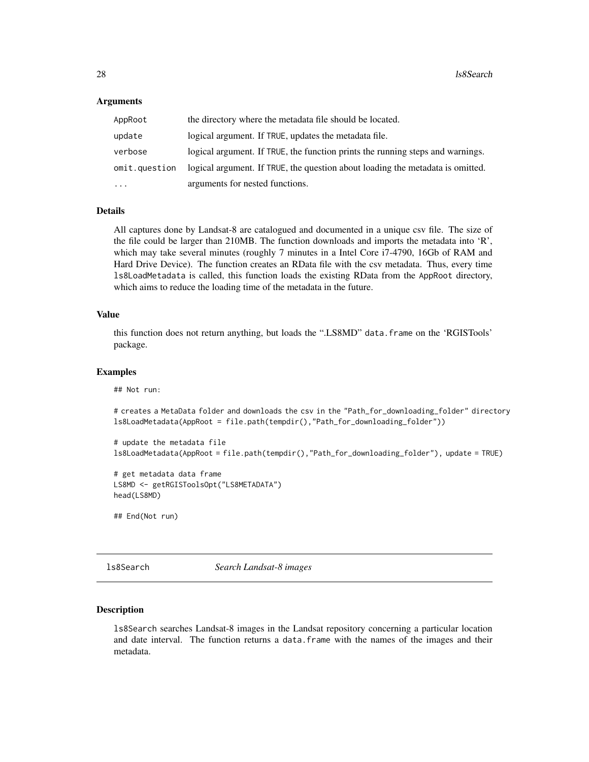## <span id="page-27-0"></span>Arguments

| AppRoot       | the directory where the metadata file should be located.                       |
|---------------|--------------------------------------------------------------------------------|
| update        | logical argument. If TRUE, updates the metadata file.                          |
| verbose       | logical argument. If TRUE, the function prints the running steps and warnings. |
| omit.question | logical argument. If TRUE, the question about loading the metadata is omitted. |
| $\cdots$      | arguments for nested functions.                                                |

# Details

All captures done by Landsat-8 are catalogued and documented in a unique csv file. The size of the file could be larger than 210MB. The function downloads and imports the metadata into 'R', which may take several minutes (roughly 7 minutes in a Intel Core i7-4790, 16Gb of RAM and Hard Drive Device). The function creates an RData file with the csv metadata. Thus, every time ls8LoadMetadata is called, this function loads the existing RData from the AppRoot directory, which aims to reduce the loading time of the metadata in the future.

## Value

this function does not return anything, but loads the ".LS8MD" data.frame on the 'RGISTools' package.

# Examples

## Not run:

# creates a MetaData folder and downloads the csv in the "Path\_for\_downloading\_folder" directory ls8LoadMetadata(AppRoot = file.path(tempdir(),"Path\_for\_downloading\_folder"))

```
# update the metadata file
ls8LoadMetadata(AppRoot = file.path(tempdir(),"Path_for_downloading_folder"), update = TRUE)
```

```
# get metadata data frame
LS8MD <- getRGISToolsOpt("LS8METADATA")
head(LS8MD)
```
## End(Not run)

<span id="page-27-1"></span>ls8Search *Search Landsat-8 images*

## **Description**

ls8Search searches Landsat-8 images in the Landsat repository concerning a particular location and date interval. The function returns a data.frame with the names of the images and their metadata.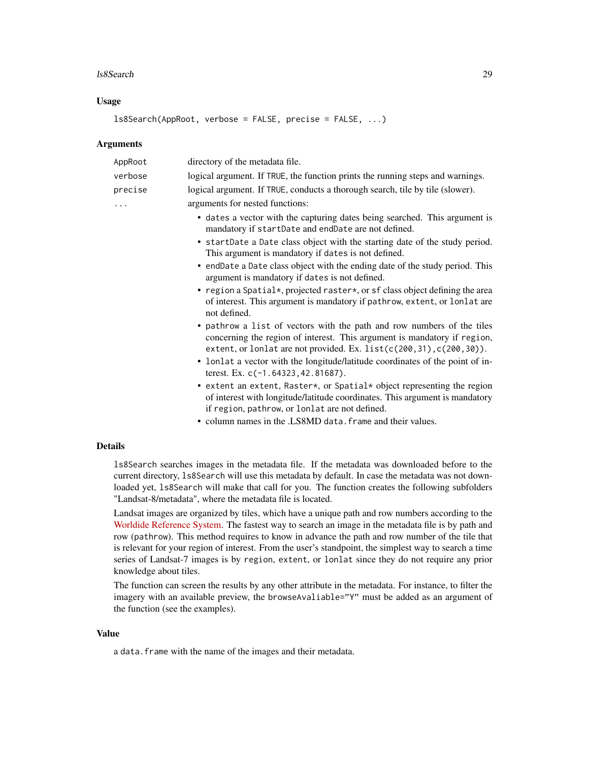#### ls8Search 29

## Usage

ls8Search(AppRoot, verbose = FALSE, precise = FALSE, ...)

## Arguments

| AppRoot        | directory of the metadata file.                                                                                                                                                                                          |
|----------------|--------------------------------------------------------------------------------------------------------------------------------------------------------------------------------------------------------------------------|
| verbose        | logical argument. If TRUE, the function prints the running steps and warnings.                                                                                                                                           |
| precise        | logical argument. If TRUE, conducts a thorough search, tile by tile (slower).                                                                                                                                            |
| $\cdots$       | arguments for nested functions:                                                                                                                                                                                          |
|                | • dates a vector with the capturing dates being searched. This argument is<br>mandatory if startDate and endDate are not defined.                                                                                        |
|                | • startDate a Date class object with the starting date of the study period.<br>This argument is mandatory if dates is not defined.                                                                                       |
|                | • endDate a Date class object with the ending date of the study period. This<br>argument is mandatory if dates is not defined.                                                                                           |
|                | • region a Spatial*, projected raster*, or sf class object defining the area<br>of interest. This argument is mandatory if pathrow, extent, or lonlat are<br>not defined.                                                |
|                | • pathrow a list of vectors with the path and row numbers of the tiles<br>concerning the region of interest. This argument is mandatory if region,<br>extent, or lonlat are not provided. Ex. list(c(200,31),c(200,30)). |
|                | • lonlat a vector with the longitude/latitude coordinates of the point of in-<br>terest. Ex. c(-1.64323, 42.81687).                                                                                                      |
|                | • extent an extent, Raster*, or Spatial* object representing the region<br>of interest with longitude/latitude coordinates. This argument is mandatory<br>if region, pathrow, or lonlat are not defined.                 |
|                | • column names in the .LS8MD data. frame and their values.                                                                                                                                                               |
| <b>Details</b> |                                                                                                                                                                                                                          |
|                | 1s8Search searches images in the metadata file. If the metadata was downloaded before to the<br>current directory 1s8Search will use this metadata by default. In case the metadata was not down-                        |

current directory, ls8Search will use this metadata by default. In case the metadata was not downloaded yet, ls8Search will make that call for you. The function creates the following subfolders "Landsat-8/metadata", where the metadata file is located.

Landsat images are organized by tiles, which have a unique path and row numbers according to the [Worldide Reference System.](https://landsat.gsfc.nasa.gov/the-worldwide-reference-system/) The fastest way to search an image in the metadata file is by path and row (pathrow). This method requires to know in advance the path and row number of the tile that is relevant for your region of interest. From the user's standpoint, the simplest way to search a time series of Landsat-7 images is by region, extent, or lonlat since they do not require any prior knowledge about tiles.

The function can screen the results by any other attribute in the metadata. For instance, to filter the imagery with an available preview, the browseAvaliable="Y" must be added as an argument of the function (see the examples).

## Value

a data. frame with the name of the images and their metadata.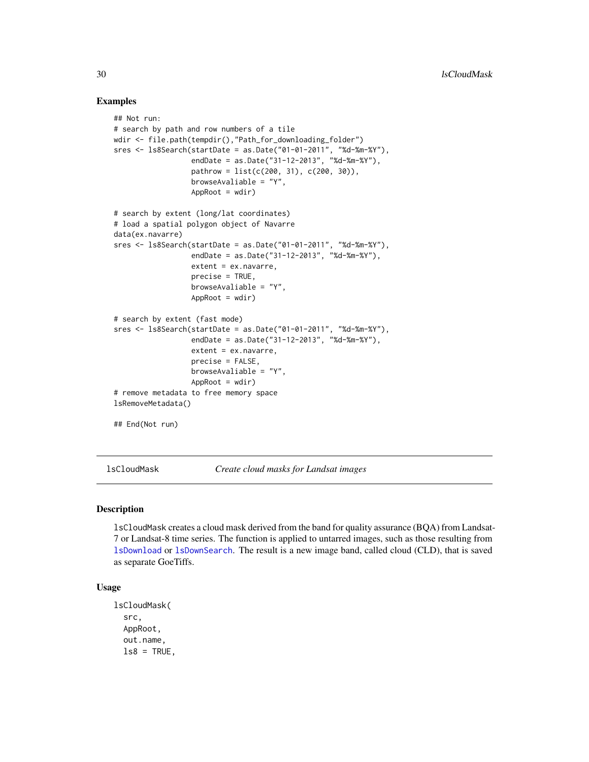## Examples

```
## Not run:
# search by path and row numbers of a tile
wdir <- file.path(tempdir(),"Path_for_downloading_folder")
sres <- ls8Search(startDate = as.Date("01-01-2011", "%d-%m-%Y"),
                  endDate = as.Date("31-12-2013", "%d-%m-%Y"),
                  pathrow = list(c(200, 31), c(200, 30)),
                  browseAvaliable = "Y",
                  AppRoot = wdir)# search by extent (long/lat coordinates)
# load a spatial polygon object of Navarre
data(ex.navarre)
sres <- ls8Search(startDate = as.Date("01-01-2011", "%d-%m-%Y"),
                  endDate = as.Date("31-12-2013", "%d-%m-%Y"),
                  extent = ex.navarre,
                  precise = TRUE,
                  browseAvaliable = "Y",
                  AppRoot = wdir)# search by extent (fast mode)
sres <- ls8Search(startDate = as.Date("01-01-2011", "%d-%m-%Y"),
                  endDate = as.Date("31-12-2013", "%d-%m-%Y"),
                  extent = ex.navarre,
                  precise = FALSE,
                  browseAvaliable = "Y",
                  AppRoot = wdir)# remove metadata to free memory space
lsRemoveMetadata()
## End(Not run)
```
<span id="page-29-1"></span>lsCloudMask *Create cloud masks for Landsat images*

## Description

lsCloudMask creates a cloud mask derived from the band for quality assurance (BQA) from Landsat-7 or Landsat-8 time series. The function is applied to untarred images, such as those resulting from [lsDownload](#page-31-1) or [lsDownSearch](#page-34-1). The result is a new image band, called cloud (CLD), that is saved as separate GoeTiffs.

#### Usage

```
lsCloudMask(
  src,
  AppRoot,
  out.name,
  ls8 = TRUE,
```
<span id="page-29-0"></span>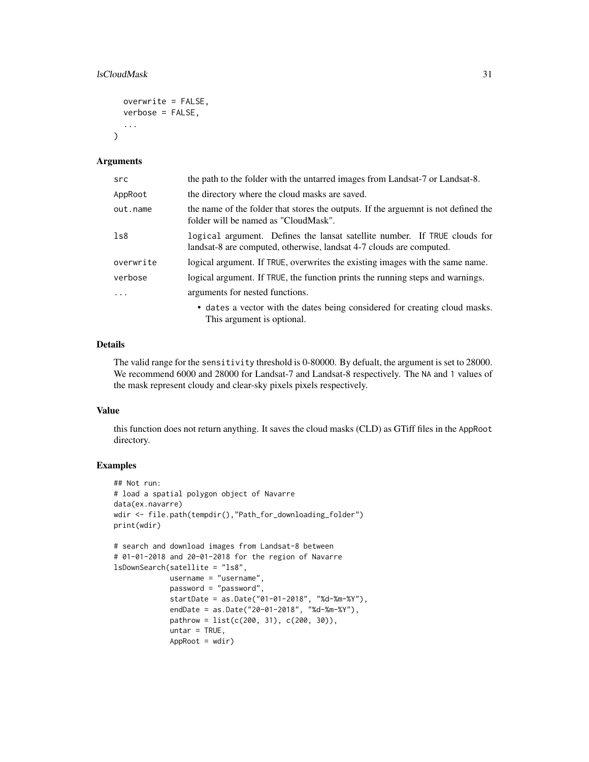## lsCloudMask 31

```
overwrite = FALSE,
verbose = FALSE,
...
```
#### Arguments

 $\lambda$ 

| src       | the path to the folder with the untarred images from Landsat-7 or Landsat-8.                                                                       |
|-----------|----------------------------------------------------------------------------------------------------------------------------------------------------|
| AppRoot   | the directory where the cloud masks are saved.                                                                                                     |
| out.name  | the name of the folder that stores the outputs. If the arguemnt is not defined the<br>folder will be named as "CloudMask".                         |
| 1s8       | logical argument. Defines the lansat satellite number. If TRUE clouds for<br>lands at 8 are computed, otherwise, lands at 4-7 clouds are computed. |
| overwrite | logical argument. If TRUE, overwrites the existing images with the same name.                                                                      |
| verbose   | logical argument. If TRUE, the function prints the running steps and warnings.                                                                     |
| $\cdot$   | arguments for nested functions.                                                                                                                    |
|           | • dates a vector with the dates being considered for creating cloud masks.<br>This argument is optional.                                           |

## Details

The valid range for the sensitivity threshold is 0-80000. By defualt, the argument is set to 28000. We recommend 6000 and 28000 for Landsat-7 and Landsat-8 respectively. The NA and 1 values of the mask represent cloudy and clear-sky pixels pixels respectively.

#### Value

this function does not return anything. It saves the cloud masks (CLD) as GTiff files in the AppRoot directory.

# Examples

```
## Not run:
# load a spatial polygon object of Navarre
data(ex.navarre)
wdir <- file.path(tempdir(),"Path_for_downloading_folder")
print(wdir)
# search and download images from Landsat-8 between
# 01-01-2018 and 20-01-2018 for the region of Navarre
lsDownSearch(satellite = "ls8",
            username = "username",
             password = "password",
             startDate = as.Date("01-01-2018", "%d-%m-%Y"),
             endDate = as.Date("20-01-2018", "%d-%m-%Y"),
             pathrow = list(c(200, 31), c(200, 30)),untar = TRUE,
             AppRoot = wdir)
```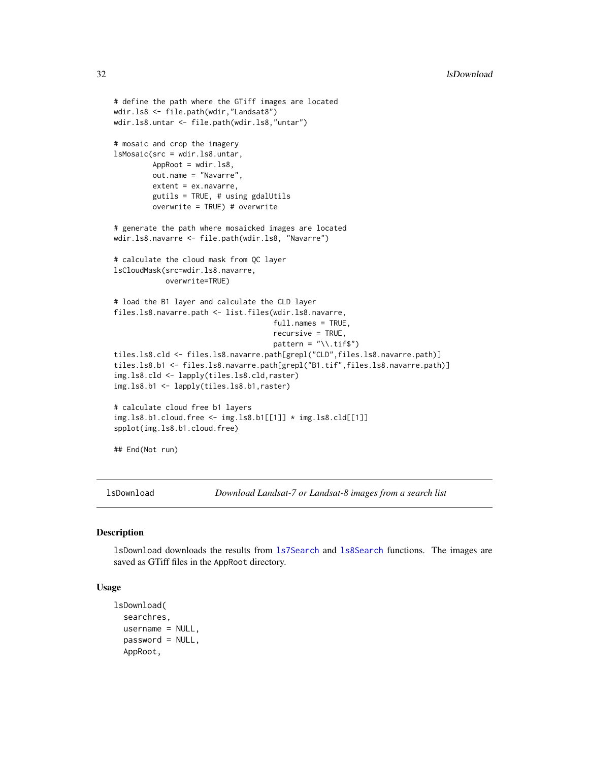```
# define the path where the GTiff images are located
wdir.ls8 <- file.path(wdir,"Landsat8")
wdir.ls8.untar <- file.path(wdir.ls8,"untar")
# mosaic and crop the imagery
lsMosaic(src = wdir.ls8.untar,
        AppRoot = wdir.ls8,
        out.name = "Navarre",
        extent = ex.navarre,
        gutils = TRUE, # using gdalUtils
        overwrite = TRUE) # overwrite
# generate the path where mosaicked images are located
wdir.ls8.navarre <- file.path(wdir.ls8, "Navarre")
# calculate the cloud mask from QC layer
lsCloudMask(src=wdir.ls8.navarre,
            overwrite=TRUE)
# load the B1 layer and calculate the CLD layer
files.ls8.navarre.path <- list.files(wdir.ls8.navarre,
                                     full.names = TRUE,
                                     recursive = TRUE,
                                     pattern = "\wedge \text{diff$''})
tiles.ls8.cld <- files.ls8.navarre.path[grepl("CLD",files.ls8.navarre.path)]
tiles.ls8.b1 <- files.ls8.navarre.path[grepl("B1.tif",files.ls8.navarre.path)]
img.ls8.cld <- lapply(tiles.ls8.cld,raster)
img.ls8.b1 <- lapply(tiles.ls8.b1,raster)
# calculate cloud free b1 layers
img.ls8.b1.cloud.free <- img.ls8.b1[[1]] * img.ls8.cld[[1]]
spplot(img.ls8.b1.cloud.free)
## End(Not run)
```
<span id="page-31-1"></span>lsDownload *Download Landsat-7 or Landsat-8 images from a search list*

# Description

lsDownload downloads the results from [ls7Search](#page-22-1) and [ls8Search](#page-27-1) functions. The images are saved as GTiff files in the AppRoot directory.

#### Usage

```
lsDownload(
  searchres,
  username = NULL,
  password = NULL,
  AppRoot,
```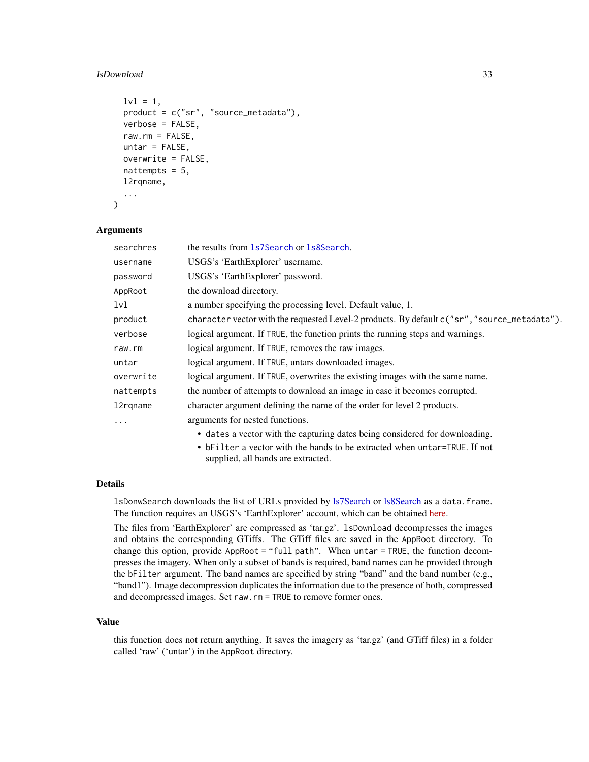## lsDownload 33

```
1v1 = 1,
product = c("sr", "source_metadata"),
verbose = FALSE,
raw.rm = FALSE,
untar = FALSE,
overwrite = FALSE,
nattempts = 5,
l2rqname,
...
```
## Arguments

)

| searchres | the results from 1s7Search or 1s8Search.                                                     |
|-----------|----------------------------------------------------------------------------------------------|
| username  | USGS's 'EarthExplorer' username.                                                             |
| password  | USGS's 'EarthExplorer' password.                                                             |
| AppRoot   | the download directory.                                                                      |
| 1v1       | a number specifying the processing level. Default value, 1.                                  |
| product   | character vector with the requested Level-2 products. By default c("sr", "source_metadata"). |
| verbose   | logical argument. If TRUE, the function prints the running steps and warnings.               |
| raw.rm    | logical argument. If TRUE, removes the raw images.                                           |
| untar     | logical argument. If TRUE, untars downloaded images.                                         |
| overwrite | logical argument. If TRUE, overwrites the existing images with the same name.                |
| nattempts | the number of attempts to download an image in case it becomes corrupted.                    |
| 12rgname  | character argument defining the name of the order for level 2 products.                      |
| $\ddotsc$ | arguments for nested functions.                                                              |
|           | • dates a vector with the capturing dates being considered for downloading.                  |
|           | $\bullet$ bEilton a vector with the bands to be extrested when untan-TDUE. If not            |

• bFilter a vector with the bands to be extracted when untar=TRUE. If not supplied, all bands are extracted.

# Details

lsDonwSearch downloads the list of URLs provided by [ls7Search](#page-22-1) or [ls8Search](#page-27-1) as a data.frame. The function requires an USGS's 'EarthExplorer' account, which can be obtained [here.](https://ers.cr.usgs.gov/register/)

The files from 'EarthExplorer' are compressed as 'tar.gz'. lsDownload decompresses the images and obtains the corresponding GTiffs. The GTiff files are saved in the AppRoot directory. To change this option, provide AppRoot = "full path". When untar = TRUE, the function decompresses the imagery. When only a subset of bands is required, band names can be provided through the bFilter argument. The band names are specified by string "band" and the band number (e.g., "band1"). Image decompression duplicates the information due to the presence of both, compressed and decompressed images. Set raw.rm = TRUE to remove former ones.

#### Value

this function does not return anything. It saves the imagery as 'tar.gz' (and GTiff files) in a folder called 'raw' ('untar') in the AppRoot directory.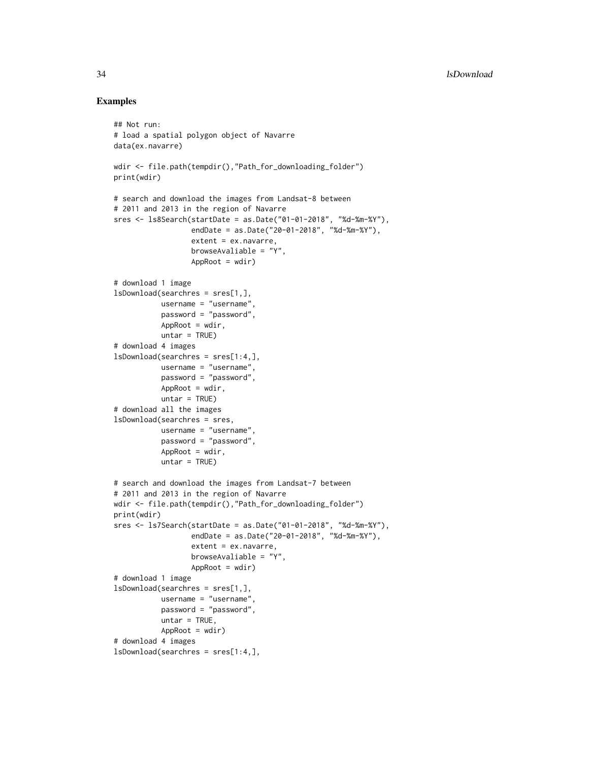## Examples

```
## Not run:
# load a spatial polygon object of Navarre
data(ex.navarre)
wdir <- file.path(tempdir(),"Path_for_downloading_folder")
print(wdir)
# search and download the images from Landsat-8 between
# 2011 and 2013 in the region of Navarre
sres <- ls8Search(startDate = as.Date("01-01-2018", "%d-%m-%Y"),
                  endDate = as.Date("20-01-2018", "%d-%m-%Y"),
                  extent = ex.navarre,
                  browseAvaliable = "Y",
                  AppRoot = wdir)# download 1 image
lsDownload(searchres = sres[1,],
          username = "username",
           password = "password",
          AppRoot = wdir,
          untar = TRUE)
# download 4 images
lsDownload(searchres = sres[1:4,],
          username = "username",
          password = "password",
          AppRoot = wdir,untar = TRUE)
# download all the images
lsDownload(searchres = sres,
          username = "username",
           password = "password",
           AppRoot = wdir,untar = TRUE)
# search and download the images from Landsat-7 between
# 2011 and 2013 in the region of Navarre
wdir <- file.path(tempdir(),"Path_for_downloading_folder")
print(wdir)
sres <- ls7Search(startDate = as.Date("01-01-2018", "%d-%m-%Y"),
                  endDate = as.Date("20-01-2018", "%d-%m-%Y"),
                  extent = ex.navarre,
                  browseAvaliable = "Y",
                  AppRoot = wdir)
# download 1 image
lsDownload(searchres = sres[1,],
          username = "username",
           password = "password",
          untar = TRUE,
          AppRoot = wdir)
# download 4 images
lsDownload(searchres = sres[1:4,],
```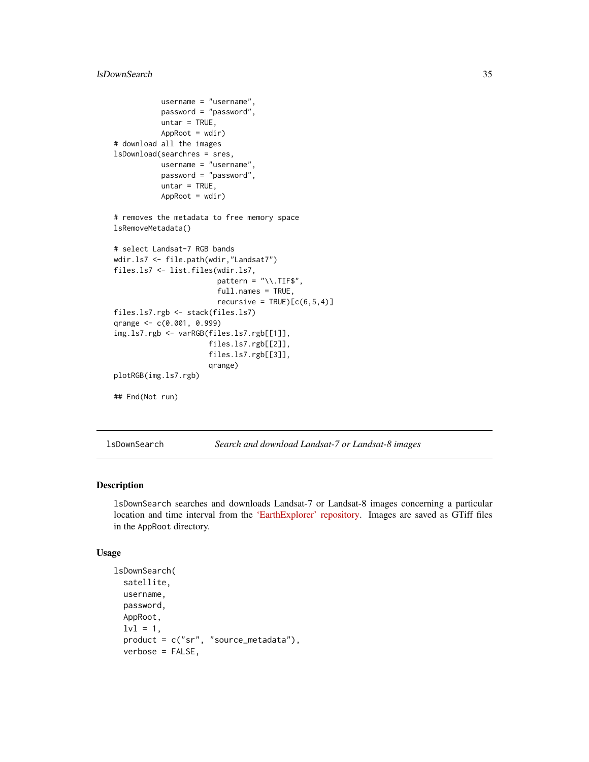```
username = "username",
           password = "password",
           untar = TRUE,
           AppRoot = wdir)# download all the images
lsDownload(searchres = sres,
           username = "username",
           password = "password",
           untar = TRUE,
           AppRoot = wdir)
# removes the metadata to free memory space
lsRemoveMetadata()
# select Landsat-7 RGB bands
wdir.ls7 <- file.path(wdir,"Landsat7")
files.ls7 <- list.files(wdir.ls7,
                        pattern = "\wedge.TIF$",
                        full.names = TRUE,
                        recursively = TRUE)[c(6,5,4)]files.ls7.rgb <- stack(files.ls7)
qrange <- c(0.001, 0.999)
img.ls7.rgb <- varRGB(files.ls7.rgb[[1]],
                      files.ls7.rgb[[2]],
                      files.ls7.rgb[[3]],
                      qrange)
plotRGB(img.ls7.rgb)
## End(Not run)
```
<span id="page-34-1"></span>lsDownSearch *Search and download Landsat-7 or Landsat-8 images*

## Description

lsDownSearch searches and downloads Landsat-7 or Landsat-8 images concerning a particular location and time interval from the ['EarthExplorer' repository.](https://earthexplorer.usgs.gov/) Images are saved as GTiff files in the AppRoot directory.

## Usage

```
lsDownSearch(
  satellite,
  username,
  password,
  AppRoot,
  1v1 = 1,
  product = c("sr", "source_metadata"),
  verbose = FALSE,
```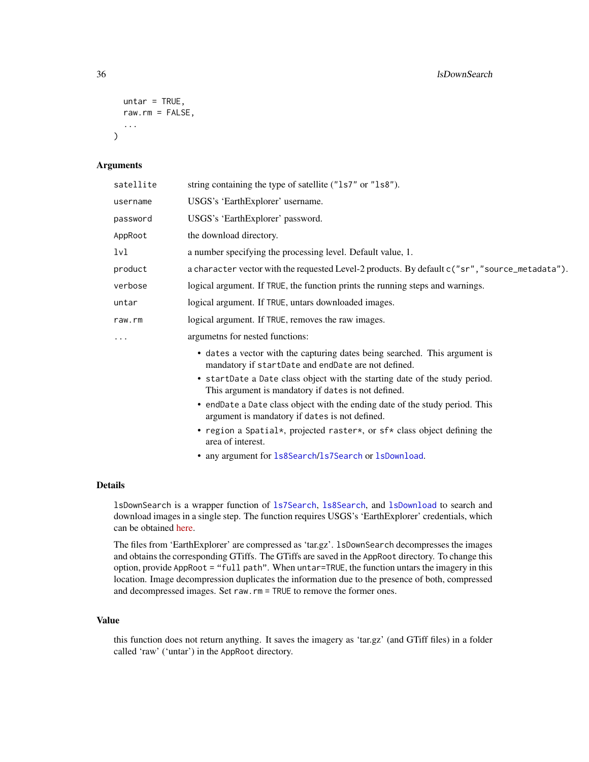```
untar = TRUE,
  raw.rm = FALSE,
  ...
\lambda
```
## Arguments

| satellite | string containing the type of satellite ("1s7" or "1s8").                                                                          |
|-----------|------------------------------------------------------------------------------------------------------------------------------------|
| username  | USGS's 'EarthExplorer' username.                                                                                                   |
| password  | USGS's 'EarthExplorer' password.                                                                                                   |
| AppRoot   | the download directory.                                                                                                            |
| 1v1       | a number specifying the processing level. Default value, 1.                                                                        |
| product   | a character vector with the requested Level-2 products. By default c("sr", "source_metadata").                                     |
| verbose   | logical argument. If TRUE, the function prints the running steps and warnings.                                                     |
| untar     | logical argument. If TRUE, untars downloaded images.                                                                               |
| raw.rm    | logical argument. If TRUE, removes the raw images.                                                                                 |
| .         | argumetns for nested functions:                                                                                                    |
|           | • dates a vector with the capturing dates being searched. This argument is<br>mandatory if startDate and endDate are not defined.  |
|           | • startDate a Date class object with the starting date of the study period.<br>This argument is mandatory if dates is not defined. |
|           | • endDate a Date class object with the ending date of the study period. This<br>argument is mandatory if dates is not defined.     |
|           | • region a Spatial*, projected raster*, or sf* class object defining the<br>area of interest.                                      |
|           |                                                                                                                                    |

• any argument for [ls8Search](#page-27-1)/[ls7Search](#page-22-1) or [lsDownload](#page-31-1).

#### Details

lsDownSearch is a wrapper function of [ls7Search](#page-22-1), [ls8Search](#page-27-1), and [lsDownload](#page-31-1) to search and download images in a single step. The function requires USGS's 'EarthExplorer' credentials, which can be obtained [here.](https://ers.cr.usgs.gov/register/)

The files from 'EarthExplorer' are compressed as 'tar.gz'. lsDownSearch decompresses the images and obtains the corresponding GTiffs. The GTiffs are saved in the AppRoot directory. To change this option, provide AppRoot = "full path". When untar=TRUE, the function untars the imagery in this location. Image decompression duplicates the information due to the presence of both, compressed and decompressed images. Set raw.rm = TRUE to remove the former ones.

# Value

this function does not return anything. It saves the imagery as 'tar.gz' (and GTiff files) in a folder called 'raw' ('untar') in the AppRoot directory.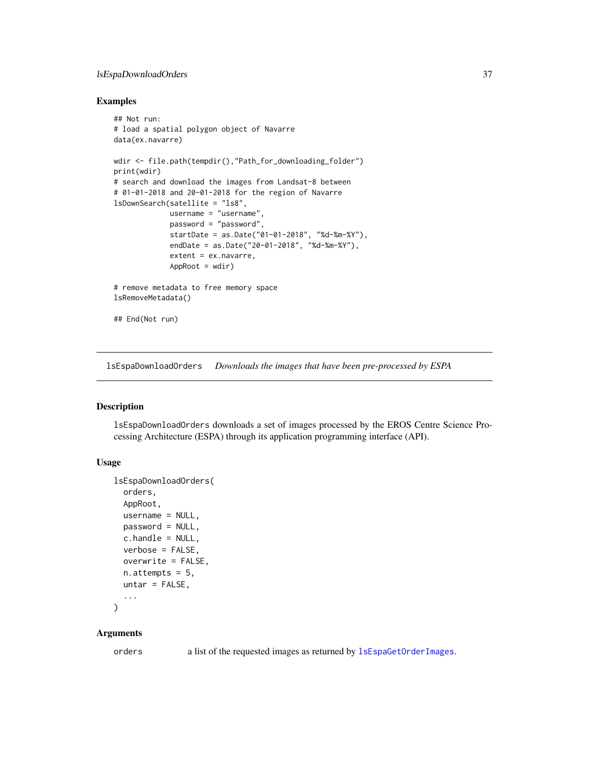# lsEspaDownloadOrders 37

# Examples

```
## Not run:
# load a spatial polygon object of Navarre
data(ex.navarre)
wdir <- file.path(tempdir(),"Path_for_downloading_folder")
print(wdir)
# search and download the images from Landsat-8 between
# 01-01-2018 and 20-01-2018 for the region of Navarre
lsDownSearch(satellite = "ls8",
            username = "username",
             password = "password",
             startDate = as.Date("01-01-2018", "%d-%m-%Y"),
             endDate = as.Date("20-01-2018", "%d-%m-%Y"),
             extent = ex.navarre,
             AppRoot = wdir)# remove metadata to free memory space
lsRemoveMetadata()
## End(Not run)
```
<span id="page-36-0"></span>lsEspaDownloadOrders *Downloads the images that have been pre-processed by ESPA*

# Description

lsEspaDownloadOrders downloads a set of images processed by the EROS Centre Science Processing Architecture (ESPA) through its application programming interface (API).

## Usage

```
lsEspaDownloadOrders(
  orders,
 AppRoot,
 username = NULL,
 password = NULL,
 c.handle = NULL,
 verbose = FALSE,
 overwrite = FALSE,
 n.attempts = 5,untar = FALSE,
  ...
\lambda
```
## Arguments

orders a list of the requested images as returned by  $l$ sEspaGetOrderImages.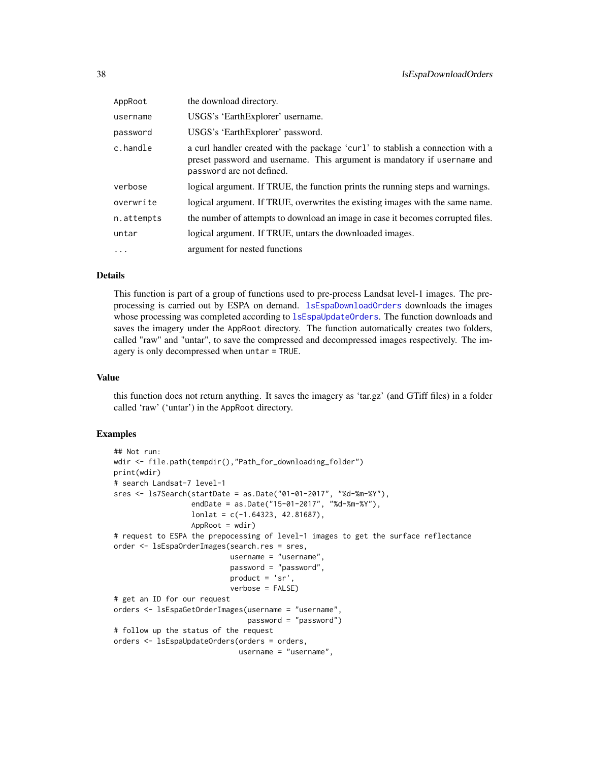| AppRoot    | the download directory.                                                                                                                                                                 |
|------------|-----------------------------------------------------------------------------------------------------------------------------------------------------------------------------------------|
| username   | USGS's 'EarthExplorer' username.                                                                                                                                                        |
| password   | USGS's 'EarthExplorer' password.                                                                                                                                                        |
| c.handle   | a curl handler created with the package 'curl' to stablish a connection with a<br>preset password and username. This argument is mandatory if username and<br>password are not defined. |
| verbose    | logical argument. If TRUE, the function prints the running steps and warnings.                                                                                                          |
| overwrite  | logical argument. If TRUE, overwrites the existing images with the same name.                                                                                                           |
| n.attempts | the number of attempts to download an image in case it becomes corrupted files.                                                                                                         |
| untar      | logical argument. If TRUE, untars the downloaded images.                                                                                                                                |
| $\ddotsc$  | argument for nested functions                                                                                                                                                           |

# Details

This function is part of a group of functions used to pre-process Landsat level-1 images. The preprocessing is carried out by ESPA on demand. [lsEspaDownloadOrders](#page-36-0) downloads the images whose processing was completed according to 1sEspaUpdateOrders. The function downloads and saves the imagery under the AppRoot directory. The function automatically creates two folders, called "raw" and "untar", to save the compressed and decompressed images respectively. The imagery is only decompressed when untar = TRUE.

#### Value

this function does not return anything. It saves the imagery as 'tar.gz' (and GTiff files) in a folder called 'raw' ('untar') in the AppRoot directory.

```
## Not run:
wdir <- file.path(tempdir(),"Path_for_downloading_folder")
print(wdir)
# search Landsat-7 level-1
sres <- ls7Search(startDate = as.Date("01-01-2017", "%d-%m-%Y"),
                  endDate = as.Date("15-01-2017", "%d-%m-%Y"),
                  lonlat = c(-1.64323, 42.81687),
                  AppRoot = wdir)# request to ESPA the prepocessing of level-1 images to get the surface reflectance
order <- lsEspaOrderImages(search.res = sres,
                           username = "username",
                           password = "password",
                           product = 'sr',
                           verbose = FALSE)
# get an ID for our request
orders <- lsEspaGetOrderImages(username = "username",
                               password = "password")
# follow up the status of the request
orders <- lsEspaUpdateOrders(orders = orders,
                            username = "username",
```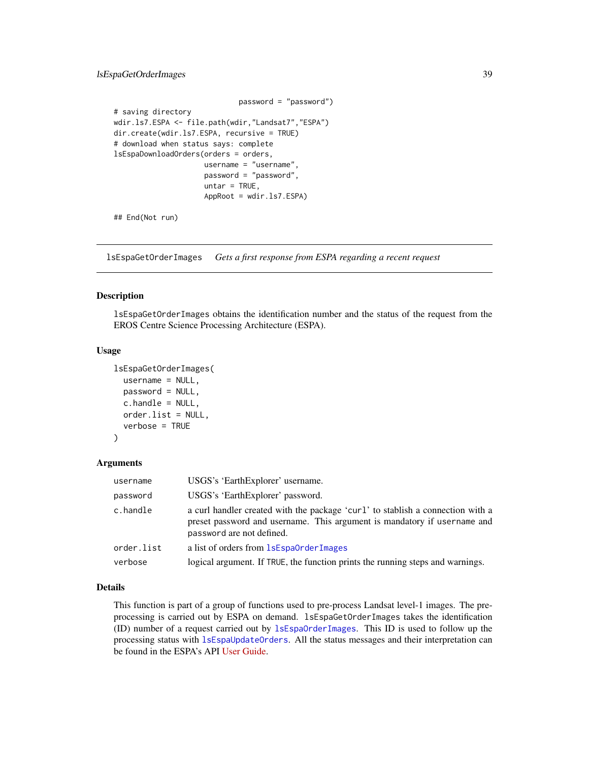# lsEspaGetOrderImages 39

```
password = "password")
# saving directory
wdir.ls7.ESPA <- file.path(wdir,"Landsat7","ESPA")
dir.create(wdir.ls7.ESPA, recursive = TRUE)
# download when status says: complete
lsEspaDownloadOrders(orders = orders,
                    username = "username",
                     password = "password",
                    untar = TRUE,AppRoot = wdir.ls7.ESPA)
```
## End(Not run)

<span id="page-38-0"></span>lsEspaGetOrderImages *Gets a first response from ESPA regarding a recent request*

# Description

lsEspaGetOrderImages obtains the identification number and the status of the request from the EROS Centre Science Processing Architecture (ESPA).

## Usage

```
lsEspaGetOrderImages(
  username = NULL,
  password = NULL,
  c.handle = NULL,
  order.list = NULL,
  verbose = TRUE
)
```
#### Arguments

| username   | USGS's 'EarthExplorer' username.                                                                                                                                                        |
|------------|-----------------------------------------------------------------------------------------------------------------------------------------------------------------------------------------|
| password   | USGS's 'EarthExplorer' password.                                                                                                                                                        |
| c.handle   | a curl handler created with the package 'curl' to stablish a connection with a<br>preset password and username. This argument is mandatory if username and<br>password are not defined. |
| order.list | a list of orders from <b>1sEspa0rderImages</b>                                                                                                                                          |
| verbose    | logical argument. If TRUE, the function prints the running steps and warnings.                                                                                                          |

### Details

This function is part of a group of functions used to pre-process Landsat level-1 images. The preprocessing is carried out by ESPA on demand. lsEspaGetOrderImages takes the identification (ID) number of a request carried out by [lsEspaOrderImages](#page-39-0). This ID is used to follow up the processing status with [lsEspaUpdateOrders](#page-41-0). All the status messages and their interpretation can be found in the ESPA's API [User Guide.](https://www.usgs.gov/media/files/eros-science-processing-architecture-demand-interface-user-guide)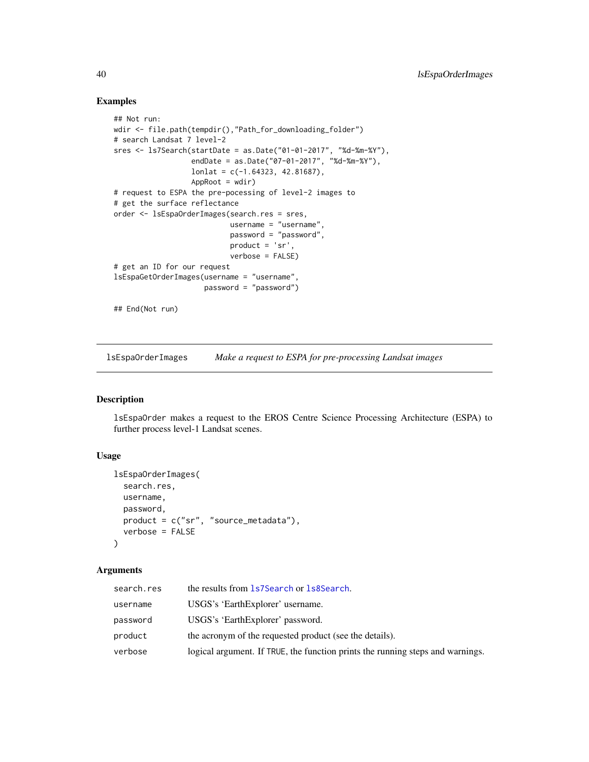## Examples

```
## Not run:
wdir <- file.path(tempdir(),"Path_for_downloading_folder")
# search Landsat 7 level-2
sres <- ls7Search(startDate = as.Date("01-01-2017", "%d-%m-%Y"),
                  endDate = as.Date("07-01-2017", "%d-%m-%Y"),
                  lonlat = c(-1.64323, 42.81687),
                  AppRoot = wdir)# request to ESPA the pre-pocessing of level-2 images to
# get the surface reflectance
order <- lsEspaOrderImages(search.res = sres,
                           username = "username",
                           password = "password",
                           product = 'sr',
                           verbose = FALSE)
# get an ID for our request
lsEspaGetOrderImages(username = "username",
                     password = "password")
## End(Not run)
```
<span id="page-39-0"></span>lsEspaOrderImages *Make a request to ESPA for pre-processing Landsat images*

## Description

lsEspaOrder makes a request to the EROS Centre Science Processing Architecture (ESPA) to further process level-1 Landsat scenes.

# Usage

```
lsEspaOrderImages(
  search.res,
  username,
  password,
  product = c("sr", "source_metadata"),
  verbose = FALSE
\lambda
```
## Arguments

| search.res | the results from 1s7Search or 1s8Search.                                       |
|------------|--------------------------------------------------------------------------------|
| username   | USGS's 'EarthExplorer' username.                                               |
| password   | USGS's 'EarthExplorer' password.                                               |
| product    | the acronym of the requested product (see the details).                        |
| verbose    | logical argument. If TRUE, the function prints the running steps and warnings. |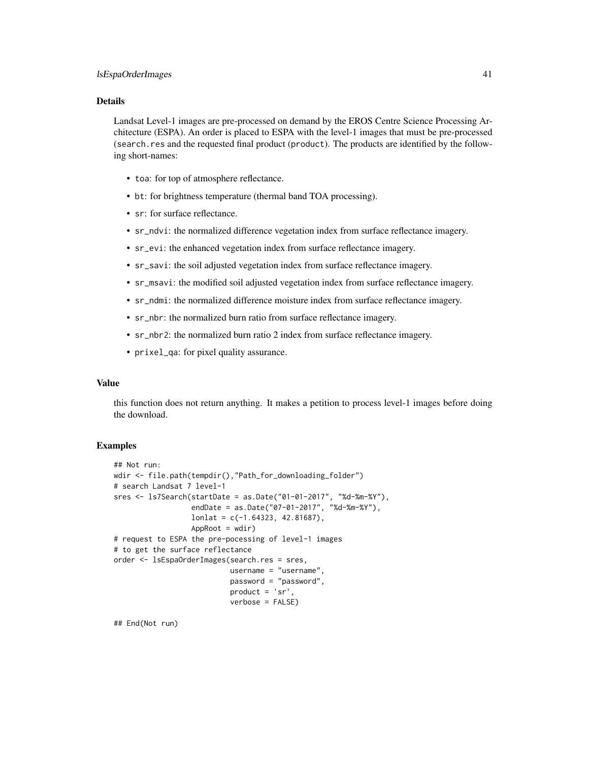## Details

Landsat Level-1 images are pre-processed on demand by the EROS Centre Science Processing Architecture (ESPA). An order is placed to ESPA with the level-1 images that must be pre-processed (search.res and the requested final product (product). The products are identified by the following short-names:

- toa: for top of atmosphere reflectance.
- bt: for brightness temperature (thermal band TOA processing).
- sr: for surface reflectance.
- sr\_ndvi: the normalized difference vegetation index from surface reflectance imagery.
- sr\_evi: the enhanced vegetation index from surface reflectance imagery.
- sr\_savi: the soil adjusted vegetation index from surface reflectance imagery.
- sr\_msavi: the modified soil adjusted vegetation index from surface reflectance imagery.
- sr\_ndmi: the normalized difference moisture index from surface reflectance imagery.
- sr\_nbr: the normalized burn ratio from surface reflectance imagery.
- sr\_nbr2: the normalized burn ratio 2 index from surface reflectance imagery.
- prixel\_qa: for pixel quality assurance.

### Value

this function does not return anything. It makes a petition to process level-1 images before doing the download.

## **Examples**

```
## Not run:
wdir <- file.path(tempdir(),"Path_for_downloading_folder")
# search Landsat 7 level-1
sres <- ls7Search(startDate = as.Date("01-01-2017", "%d-%m-%Y"),
                  endDate = as.Date("07-01-2017", "%d-%m-%Y"),
                  lonlat = c(-1.64323, 42.81687),AppRoot = wdir)# request to ESPA the pre-pocessing of level-1 images
# to get the surface reflectance
order <- lsEspaOrderImages(search.res = sres,
                           username = "username",
                           password = "password",
                           product = 'sr',
                           verbose = FALSE)
```
## End(Not run)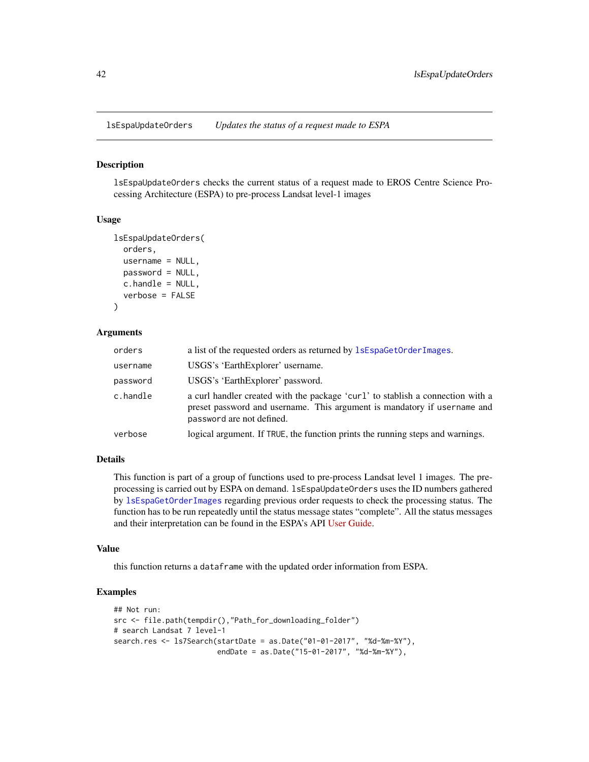<span id="page-41-0"></span>lsEspaUpdateOrders *Updates the status of a request made to ESPA*

### Description

lsEspaUpdateOrders checks the current status of a request made to EROS Centre Science Processing Architecture (ESPA) to pre-process Landsat level-1 images

#### Usage

```
lsEspaUpdateOrders(
  orders,
 username = NULL,
 password = NULL,
  c.handle = NULL,
  verbose = FALSE
)
```
## Arguments

| orders   | a list of the requested orders as returned by $l$ sEspaGetOrderImages.                                                                                                                  |
|----------|-----------------------------------------------------------------------------------------------------------------------------------------------------------------------------------------|
| username | USGS's 'EarthExplorer' username.                                                                                                                                                        |
| password | USGS's 'EarthExplorer' password.                                                                                                                                                        |
| c.handle | a curl handler created with the package 'curl' to stablish a connection with a<br>preset password and username. This argument is mandatory if username and<br>password are not defined. |
| verbose  | logical argument. If TRUE, the function prints the running steps and warnings.                                                                                                          |

#### Details

This function is part of a group of functions used to pre-process Landsat level 1 images. The preprocessing is carried out by ESPA on demand. lsEspaUpdateOrders uses the ID numbers gathered by [lsEspaGetOrderImages](#page-38-0) regarding previous order requests to check the processing status. The function has to be run repeatedly until the status message states "complete". All the status messages and their interpretation can be found in the ESPA's API [User Guide.](https://www.usgs.gov/media/files/eros-science-processing-architecture-demand-interface-user-guide)

#### Value

this function returns a dataframe with the updated order information from ESPA.

```
## Not run:
src <- file.path(tempdir(),"Path_for_downloading_folder")
# search Landsat 7 level-1
search.res <- ls7Search(startDate = as.Date("01-01-2017", "%d-%m-%Y"),
                        endDate = as.Date("15-01-2017", "%d-%m-%Y"),
```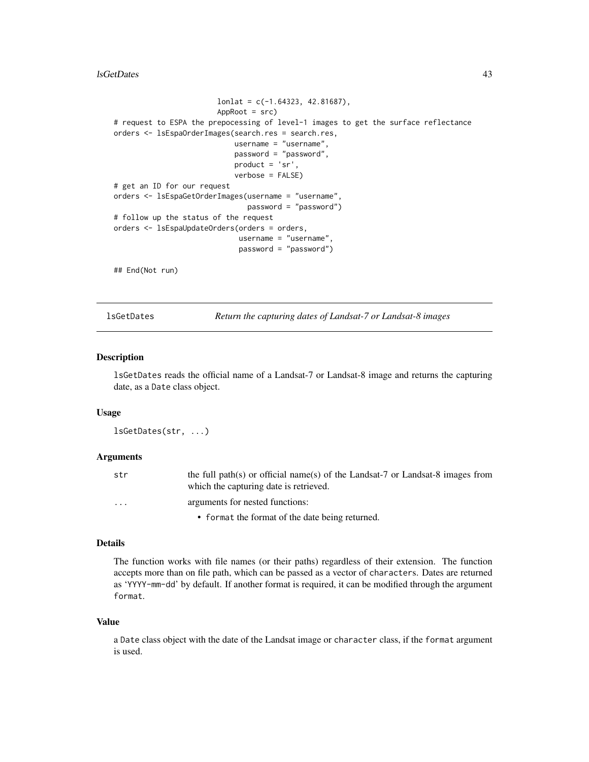#### lsGetDates 43

```
lonlat = c(-1.64323, 42.81687),AppRoot = src)
# request to ESPA the prepocessing of level-1 images to get the surface reflectance
orders <- lsEspaOrderImages(search.res = search.res,
                            username = "username",
                            password = "password",
                            product = 'sr',
                            verbose = FALSE)
# get an ID for our request
orders <- lsEspaGetOrderImages(username = "username",
                               password = "password")
# follow up the status of the request
orders <- lsEspaUpdateOrders(orders = orders,
                             username = "username",
                             password = "password")
## End(Not run)
```
lsGetDates *Return the capturing dates of Landsat-7 or Landsat-8 images*

#### Description

lsGetDates reads the official name of a Landsat-7 or Landsat-8 image and returns the capturing date, as a Date class object.

## Usage

lsGetDates(str, ...)

#### Arguments

| str                     | the full path(s) or official name(s) of the Landsat-7 or Landsat-8 images from<br>which the capturing date is retrieved. |
|-------------------------|--------------------------------------------------------------------------------------------------------------------------|
| $\cdot$ $\cdot$ $\cdot$ | arguments for nested functions:                                                                                          |
|                         | • format the format of the date being returned.                                                                          |

#### Details

The function works with file names (or their paths) regardless of their extension. The function accepts more than on file path, which can be passed as a vector of characters. Dates are returned as 'YYYY-mm-dd' by default. If another format is required, it can be modified through the argument format.

#### Value

a Date class object with the date of the Landsat image or character class, if the format argument is used.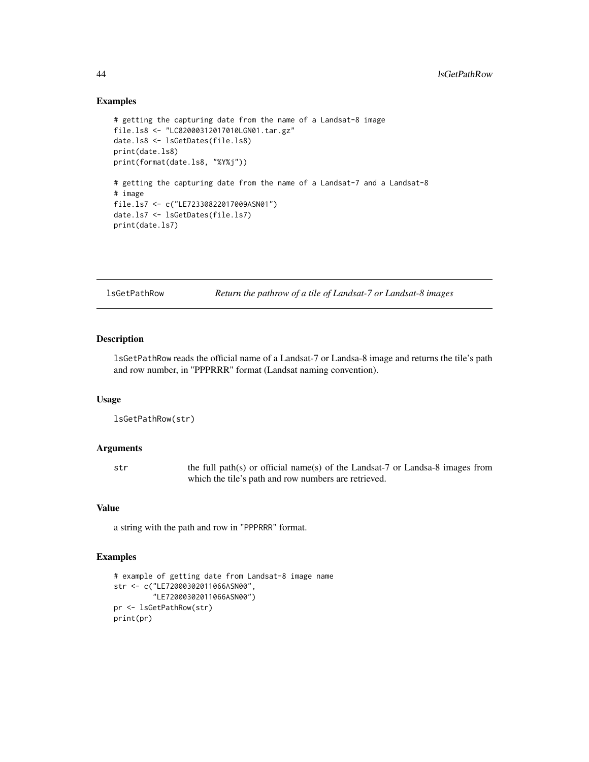## Examples

```
# getting the capturing date from the name of a Landsat-8 image
file.ls8 <- "LC82000312017010LGN01.tar.gz"
date.ls8 <- lsGetDates(file.ls8)
print(date.ls8)
print(format(date.ls8, "%Y%j"))
# getting the capturing date from the name of a Landsat-7 and a Landsat-8
# image
file.ls7 <- c("LE72330822017009ASN01")
date.ls7 <- lsGetDates(file.ls7)
print(date.ls7)
```
lsGetPathRow *Return the pathrow of a tile of Landsat-7 or Landsat-8 images*

# Description

lsGetPathRow reads the official name of a Landsat-7 or Landsa-8 image and returns the tile's path and row number, in "PPPRRR" format (Landsat naming convention).

#### Usage

```
lsGetPathRow(str)
```
## Arguments

str the full path(s) or official name(s) of the Landsat-7 or Landsa-8 images from which the tile's path and row numbers are retrieved.

# Value

a string with the path and row in "PPPRRR" format.

```
# example of getting date from Landsat-8 image name
str <- c("LE72000302011066ASN00",
         "LE72000302011066ASN00")
pr <- lsGetPathRow(str)
print(pr)
```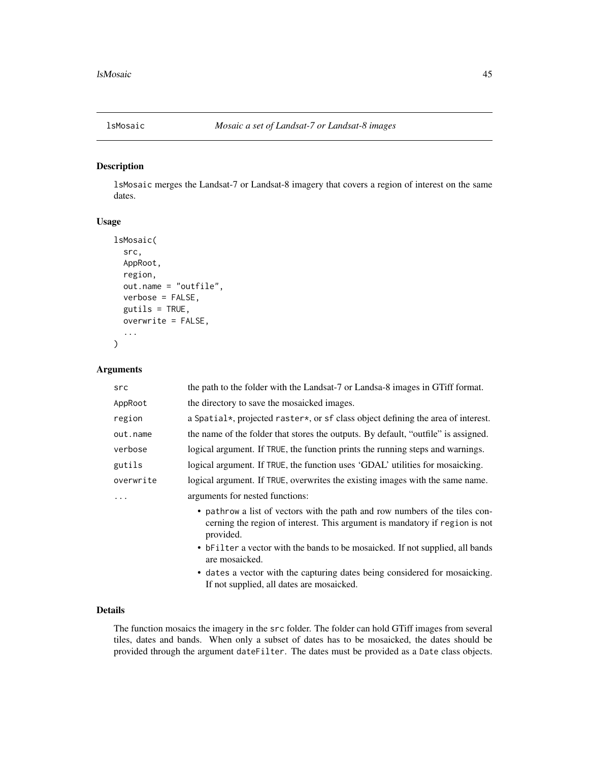# Description

lsMosaic merges the Landsat-7 or Landsat-8 imagery that covers a region of interest on the same dates.

# Usage

```
lsMosaic(
  src,
  AppRoot,
  region,
  out.name = "outfile",
  verbose = FALSE,
  gutils = TRUE,
  overwrite = FALSE,
  ...
)
```
## Arguments

| src       | the path to the folder with the Landsat-7 or Landsa-8 images in GTiff format.                                                                                           |
|-----------|-------------------------------------------------------------------------------------------------------------------------------------------------------------------------|
| AppRoot   | the directory to save the mosaicked images.                                                                                                                             |
| region    | a Spatial*, projected raster*, or sf class object defining the area of interest.                                                                                        |
| out.name  | the name of the folder that stores the outputs. By default, "outfile" is assigned.                                                                                      |
| verbose   | logical argument. If TRUE, the function prints the running steps and warnings.                                                                                          |
| gutils    | logical argument. If TRUE, the function uses 'GDAL' utilities for mosaicking.                                                                                           |
| overwrite | logical argument. If TRUE, overwrites the existing images with the same name.                                                                                           |
|           | arguments for nested functions:                                                                                                                                         |
|           | • pathrow a list of vectors with the path and row numbers of the tiles con-<br>cerning the region of interest. This argument is mandatory if region is not<br>provided. |
|           | • bFilter a vector with the bands to be mosaicked. If not supplied, all bands<br>are mosaicked.                                                                         |
|           | • dates a vector with the capturing dates being considered for mosaicking.<br>If not supplied, all dates are mosaicked.                                                 |

# Details

The function mosaics the imagery in the src folder. The folder can hold GTiff images from several tiles, dates and bands. When only a subset of dates has to be mosaicked, the dates should be provided through the argument dateFilter. The dates must be provided as a Date class objects.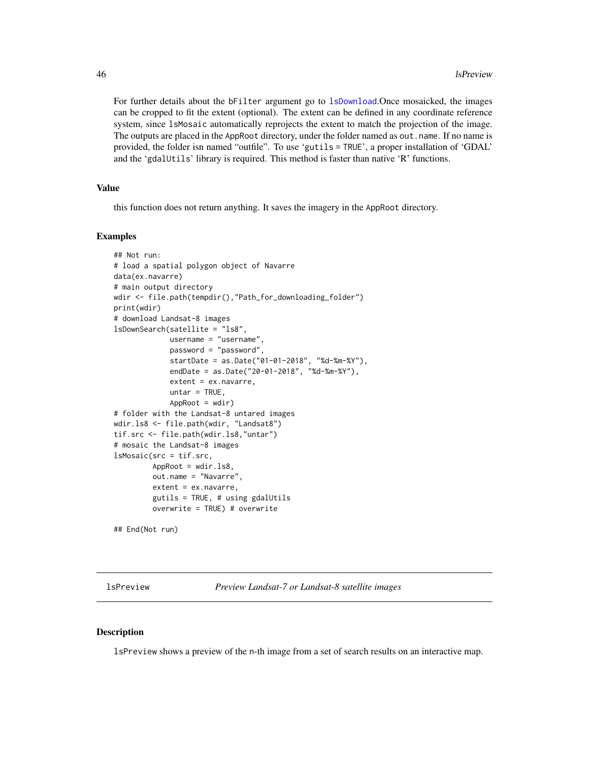For further details about the bFilter argument go to [lsDownload](#page-31-0).Once mosaicked, the images can be cropped to fit the extent (optional). The extent can be defined in any coordinate reference system, since lsMosaic automatically reprojects the extent to match the projection of the image. The outputs are placed in the AppRoot directory, under the folder named as out.name. If no name is provided, the folder isn named "outfile". To use 'gutils = TRUE', a proper installation of 'GDAL' and the 'gdalUtils' library is required. This method is faster than native 'R' functions.

### Value

this function does not return anything. It saves the imagery in the AppRoot directory.

### Examples

```
## Not run:
# load a spatial polygon object of Navarre
data(ex.navarre)
# main output directory
wdir <- file.path(tempdir(),"Path_for_downloading_folder")
print(wdir)
# download Landsat-8 images
lsDownSearch(satellite = "ls8",
             username = "username",
             password = "password",
             startDate = as.Date("01-01-2018", "%d-%m-%Y"),
             endDate = as.Date("20-01-2018", "%d-%m-%Y"),
             extent = ex.navarre,
             untar = TRUE,
             AppRoot = wdir)# folder with the Landsat-8 untared images
wdir.ls8 <- file.path(wdir, "Landsat8")
tif.src <- file.path(wdir.ls8,"untar")
# mosaic the Landsat-8 images
lsMosaic(src = tif.src,
         AppRoot = wdir.ls8,
         out.name = "Navarre",
         extent = ex.navarre,
         gutils = TRUE, # using gdalUtils
         overwrite = TRUE) # overwrite
```
## End(Not run)

<span id="page-45-0"></span>lsPreview *Preview Landsat-7 or Landsat-8 satellite images*

#### Description

lsPreview shows a preview of the n-th image from a set of search results on an interactive map.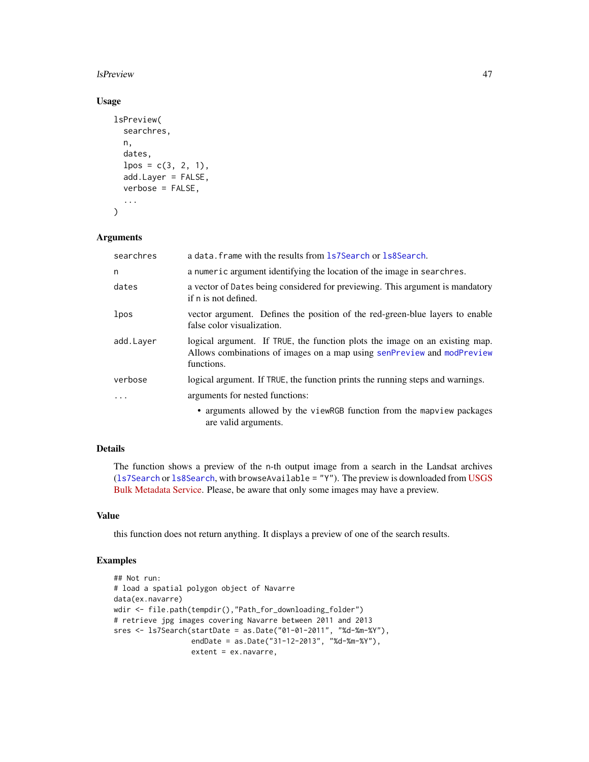### lsPreview 47

# Usage

```
lsPreview(
  searchres,
  n,
  dates,
  lpos = c(3, 2, 1),add.Layer = FALSE,
  verbose = FALSE,
  ...
\mathcal{L}
```
# Arguments

| searchres | a data. frame with the results from 1s7Search or 1s8Search.                                                                                                         |
|-----------|---------------------------------------------------------------------------------------------------------------------------------------------------------------------|
| n         | a numeric argument identifying the location of the image in searchres.                                                                                              |
| dates     | a vector of Dates being considered for previewing. This argument is mandatory<br>if n is not defined.                                                               |
| lpos      | vector argument. Defines the position of the red-green-blue layers to enable<br>false color visualization.                                                          |
| add.Layer | logical argument. If TRUE, the function plots the image on an existing map.<br>Allows combinations of images on a map using senPreview and modPreview<br>functions. |
| verbose   | logical argument. If TRUE, the function prints the running steps and warnings.                                                                                      |
|           | arguments for nested functions:                                                                                                                                     |
|           | • arguments allowed by the viewRGB function from the mapview packages<br>are valid arguments.                                                                       |

# Details

The function shows a preview of the n-th output image from a search in the Landsat archives ([ls7Search](#page-22-0) or [ls8Search](#page-27-0), with browseAvailable = "Y"). The preview is downloaded from [USGS](https://www.usgs.gov/land-resources/nli/landsat/bulk-metadata-service) [Bulk Metadata Service.](https://www.usgs.gov/land-resources/nli/landsat/bulk-metadata-service) Please, be aware that only some images may have a preview.

## Value

this function does not return anything. It displays a preview of one of the search results.

```
## Not run:
# load a spatial polygon object of Navarre
data(ex.navarre)
wdir <- file.path(tempdir(),"Path_for_downloading_folder")
# retrieve jpg images covering Navarre between 2011 and 2013
sres <- ls7Search(startDate = as.Date("01-01-2011", "%d-%m-%Y"),
                 endDate = as.Date("31-12-2013", "%d-%m-%Y"),
                  extent = ex.navarre,
```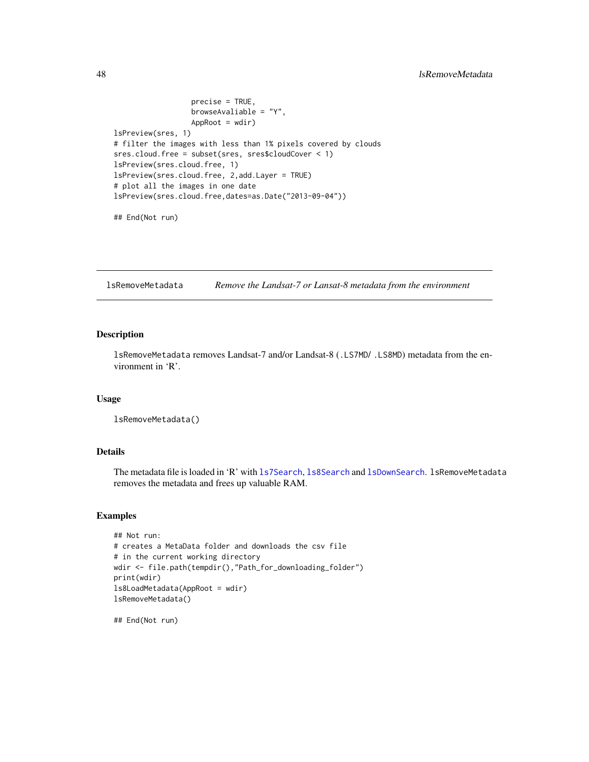```
precise = TRUE,
                  browseAvaliable = "Y",
                  AppRoot = wdir)
lsPreview(sres, 1)
# filter the images with less than 1% pixels covered by clouds
sres.cloud.free = subset(sres, sres$cloudCover < 1)
lsPreview(sres.cloud.free, 1)
lsPreview(sres.cloud.free, 2,add.Layer = TRUE)
# plot all the images in one date
lsPreview(sres.cloud.free,dates=as.Date("2013-09-04"))
```
## End(Not run)

lsRemoveMetadata *Remove the Landsat-7 or Lansat-8 metadata from the environment*

# Description

lsRemoveMetadata removes Landsat-7 and/or Landsat-8 (.LS7MD/ .LS8MD) metadata from the environment in 'R'.

#### Usage

lsRemoveMetadata()

# Details

The metadata file is loaded in 'R' with 1s7Search, 1s8Search and 1sDownSearch. 1sRemoveMetadata removes the metadata and frees up valuable RAM.

#### Examples

```
## Not run:
# creates a MetaData folder and downloads the csv file
# in the current working directory
wdir <- file.path(tempdir(),"Path_for_downloading_folder")
print(wdir)
ls8LoadMetadata(AppRoot = wdir)
lsRemoveMetadata()
```
## End(Not run)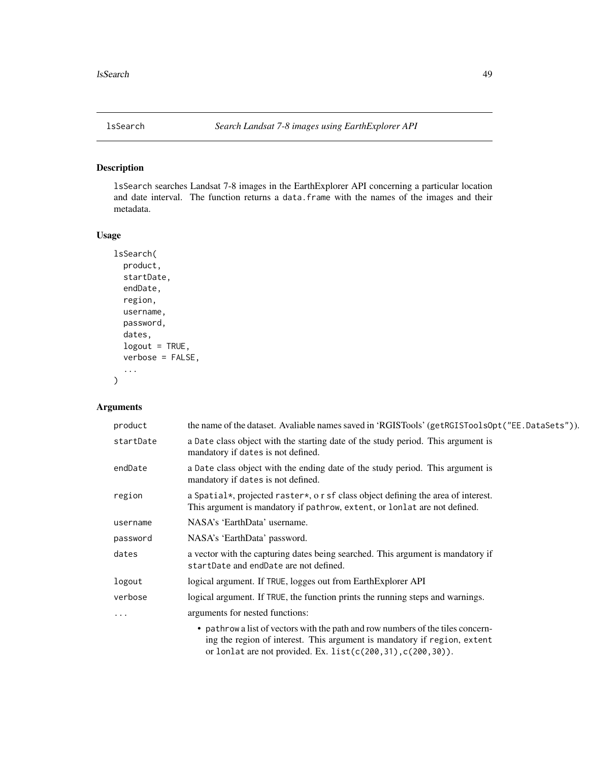# Description

lsSearch searches Landsat 7-8 images in the EarthExplorer API concerning a particular location and date interval. The function returns a data.frame with the names of the images and their metadata.

## Usage

```
lsSearch(
  product,
  startDate,
  endDate,
  region,
  username,
  password,
  dates,
  logout = TRUE,
  verbose = FALSE,
  ...
\mathcal{L}
```
# Arguments

| product   | the name of the dataset. Avaliable names saved in 'RGISTools' (getRGISToolsOpt("EE.DataSets")).                                                                                                                                  |
|-----------|----------------------------------------------------------------------------------------------------------------------------------------------------------------------------------------------------------------------------------|
| startDate | a Date class object with the starting date of the study period. This argument is<br>mandatory if dates is not defined.                                                                                                           |
| endDate   | a Date class object with the ending date of the study period. This argument is<br>mandatory if dates is not defined.                                                                                                             |
| region    | a Spatial*, projected raster*, o r sf class object defining the area of interest.<br>This argument is mandatory if pathrow, extent, or lonlat are not defined.                                                                   |
| username  | NASA's 'EarthData' username.                                                                                                                                                                                                     |
| password  | NASA's 'EarthData' password.                                                                                                                                                                                                     |
| dates     | a vector with the capturing dates being searched. This argument is mandatory if<br>startDate and endDate are not defined.                                                                                                        |
| logout    | logical argument. If TRUE, logges out from EarthExplorer API                                                                                                                                                                     |
| verbose   | logical argument. If TRUE, the function prints the running steps and warnings.                                                                                                                                                   |
| $\cdots$  | arguments for nested functions:                                                                                                                                                                                                  |
|           | • pathrow a list of vectors with the path and row numbers of the tiles concern-<br>ing the region of interest. This argument is mandatory if region, extent<br>or lonlat are not provided. Ex. list $(c(200, 31), c(200, 30))$ . |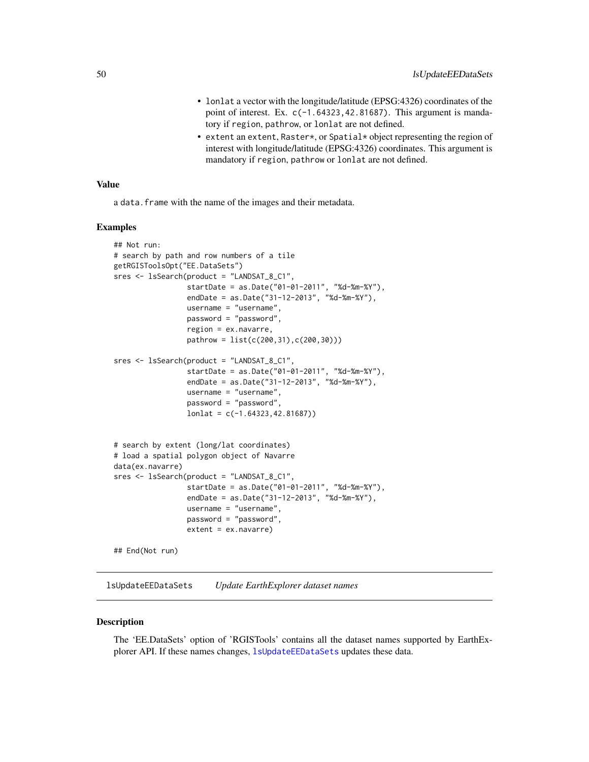- lonlat a vector with the longitude/latitude (EPSG:4326) coordinates of the point of interest. Ex.  $c(-1.64323, 42.81687)$ . This argument is mandatory if region, pathrow, or lonlat are not defined.
- extent an extent, Raster\*, or Spatial\* object representing the region of interest with longitude/latitude (EPSG:4326) coordinates. This argument is mandatory if region, pathrow or lonlat are not defined.

#### Value

a data. frame with the name of the images and their metadata.

### Examples

```
## Not run:
# search by path and row numbers of a tile
getRGISToolsOpt("EE.DataSets")
sres <- lsSearch(product = "LANDSAT_8_C1",
                 startDate = as.Date("01-01-2011", "%d-%m-%Y"),
                 endDate = as.Date("31-12-2013", "%d-%m-%Y"),
                 username = "username",
                 password = "password",
                 region = ex.navarre,
                 pathrow = list(c(200,31),c(200,30)))
sres <- lsSearch(product = "LANDSAT_8_C1",
                 startDate = as.Date("01-01-2011", "%d-%m-%Y"),
                 endDate = as.Date("31-12-2013", "%d-%m-%Y"),
                 username = "username",
                 password = "password",
                 lonlat = c(-1.64323,42.81687))
# search by extent (long/lat coordinates)
# load a spatial polygon object of Navarre
data(ex.navarre)
sres <- lsSearch(product = "LANDSAT_8_C1",
                 startDate = as.Date("01-01-2011", "%d-%m-%Y"),
                 endDate = as.Date("31-12-2013", "%d-%m-%Y"),
                 username = "username",
                 password = "password",
                 extent = ex.navarre)
## End(Not run)
```
<span id="page-49-0"></span>lsUpdateEEDataSets *Update EarthExplorer dataset names*

#### **Description**

The 'EE.DataSets' option of 'RGISTools' contains all the dataset names supported by EarthExplorer API. If these names changes, [lsUpdateEEDataSets](#page-49-0) updates these data.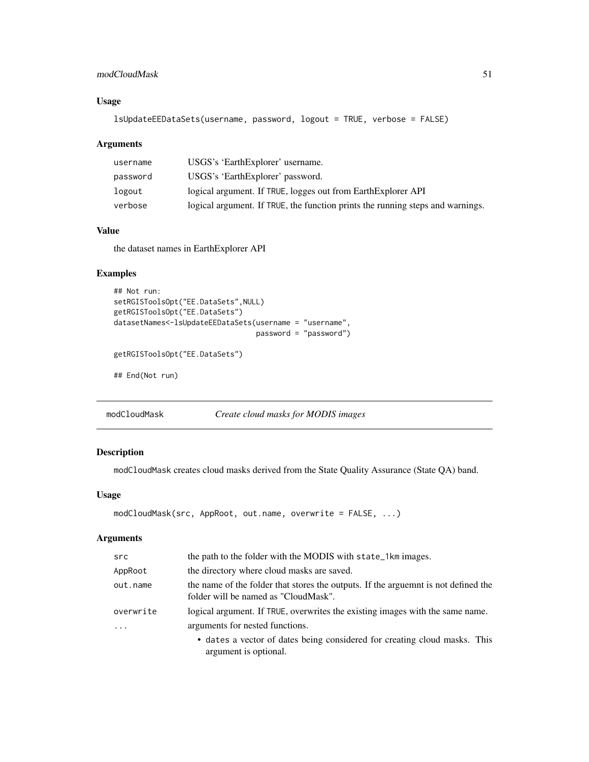# modCloudMask 51

# Usage

```
lsUpdateEEDataSets(username, password, logout = TRUE, verbose = FALSE)
```
### Arguments

| username | USGS's 'EarthExplorer' username.                                               |
|----------|--------------------------------------------------------------------------------|
| password | USGS's 'EarthExplorer' password.                                               |
| logout   | logical argument. If TRUE, logges out from EarthExplorer API                   |
| verbose  | logical argument. If TRUE, the function prints the running steps and warnings. |

# Value

the dataset names in EarthExplorer API

## Examples

```
## Not run:
setRGISToolsOpt("EE.DataSets",NULL)
getRGISToolsOpt("EE.DataSets")
datasetNames<-lsUpdateEEDataSets(username = "username",
                                password = "password")
```
getRGISToolsOpt("EE.DataSets")

## End(Not run)

modCloudMask *Create cloud masks for MODIS images*

# Description

modCloudMask creates cloud masks derived from the State Quality Assurance (State QA) band.

## Usage

```
modCloudMask(src, AppRoot, out.name, overwrite = FALSE, ...)
```
#### Arguments

| src       | the path to the folder with the MODIS with state_1km images.                                                               |
|-----------|----------------------------------------------------------------------------------------------------------------------------|
| AppRoot   | the directory where cloud masks are saved.                                                                                 |
| out.name  | the name of the folder that stores the outputs. If the arguemnt is not defined the<br>folder will be named as "CloudMask". |
| overwrite | logical argument. If TRUE, overwrites the existing images with the same name.                                              |
| $\cdot$   | arguments for nested functions.                                                                                            |
|           | • dates a vector of dates being considered for creating cloud masks. This<br>argument is optional.                         |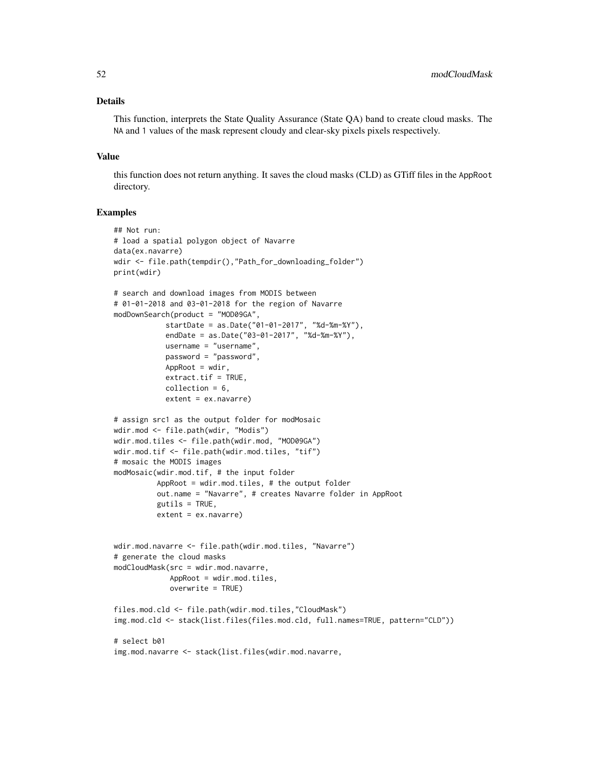# Details

This function, interprets the State Quality Assurance (State QA) band to create cloud masks. The NA and 1 values of the mask represent cloudy and clear-sky pixels pixels respectively.

### Value

this function does not return anything. It saves the cloud masks (CLD) as GTiff files in the AppRoot directory.

```
## Not run:
# load a spatial polygon object of Navarre
data(ex.navarre)
wdir <- file.path(tempdir(),"Path_for_downloading_folder")
print(wdir)
# search and download images from MODIS between
# 01-01-2018 and 03-01-2018 for the region of Navarre
modDownSearch(product = "MOD09GA",
            startDate = as.Date("01-01-2017", "%d-%m-%Y"),
            endDate = as.Date("03-01-2017", "%d-%m-%Y"),
           username = "username",
           password = "password",
           AppRoot = wdir,extract.tf = TRUE,collection = 6,
            extent = ex.navarre)
# assign src1 as the output folder for modMosaic
wdir.mod <- file.path(wdir, "Modis")
wdir.mod.tiles <- file.path(wdir.mod, "MOD09GA")
wdir.mod.tif <- file.path(wdir.mod.tiles, "tif")
# mosaic the MODIS images
modMosaic(wdir.mod.tif, # the input folder
         AppRoot = wdir.mod.tiles, # the output folder
          out.name = "Navarre", # creates Navarre folder in AppRoot
         gutils = TRUE,extent = ex.navarre)
wdir.mod.navarre <- file.path(wdir.mod.tiles, "Navarre")
# generate the cloud masks
modCloudMask(src = wdir.mod.navarre,
             AppRoot = wdir.mod.tiles,
             overwrite = TRUE)
files.mod.cld <- file.path(wdir.mod.tiles,"CloudMask")
img.mod.cld <- stack(list.files(files.mod.cld, full.names=TRUE, pattern="CLD"))
# select b01
img.mod.navarre <- stack(list.files(wdir.mod.navarre,
```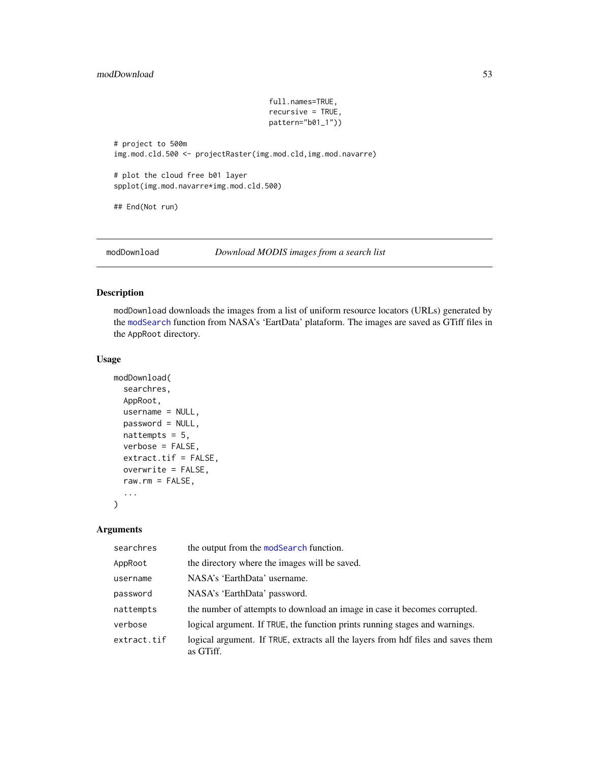# modDownload 53

```
full.names=TRUE,
                                    recursive = TRUE,
                                    pattern="b01_1"))
# project to 500m
img.mod.cld.500 <- projectRaster(img.mod.cld,img.mod.navarre)
# plot the cloud free b01 layer
spplot(img.mod.navarre*img.mod.cld.500)
## End(Not run)
```
<span id="page-52-0"></span>modDownload *Download MODIS images from a search list*

# Description

modDownload downloads the images from a list of uniform resource locators (URLs) generated by the [modSearch](#page-64-0) function from NASA's 'EartData' plataform. The images are saved as GTiff files in the AppRoot directory.

## Usage

```
modDownload(
  searchres,
  AppRoot,
  username = NULL,
 password = NULL,
 nattempts = 5,
  verbose = FALSE,
  extract.tif = FALSE,
 overwrite = FALSE,
  raw.rm = FALSE,
  ...
)
```
# Arguments

| searchres   | the output from the modSearch function.                                                       |
|-------------|-----------------------------------------------------------------------------------------------|
| AppRoot     | the directory where the images will be saved.                                                 |
| username    | NASA's 'EarthData' username.                                                                  |
| password    | NASA's 'EarthData' password.                                                                  |
| nattempts   | the number of attempts to download an image in case it becomes corrupted.                     |
| verbose     | logical argument. If TRUE, the function prints running stages and warnings.                   |
| extract.tif | logical argument. If TRUE, extracts all the layers from hdf files and saves them<br>as GTiff. |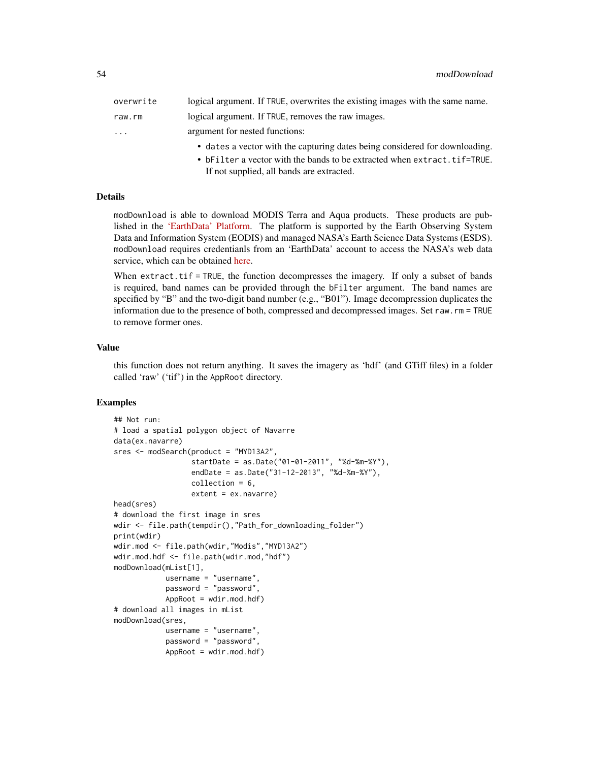| overwrite | logical argument. If TRUE, overwrites the existing images with the same name. |
|-----------|-------------------------------------------------------------------------------|
| raw.rm    | logical argument. If TRUE, removes the raw images.                            |
| .         | argument for nested functions:                                                |
|           | • dates a vector with the capturing dates being considered for downloading.   |

• bFilter a vector with the bands to be extracted when extract.tif=TRUE. If not supplied, all bands are extracted.

# Details

modDownload is able to download MODIS Terra and Aqua products. These products are published in the ['EarthData' Platform.](https://earthdata.nasa.gov) The platform is supported by the Earth Observing System Data and Information System (EODIS) and managed NASA's Earth Science Data Systems (ESDS). modDownload requires credentianls from an 'EarthData' account to access the NASA's web data service, which can be obtained [here.](https://urs.earthdata.nasa.gov/users/new)

When  $extract.tif = TRUE$ , the function decompresses the imagery. If only a subset of bands is required, band names can be provided through the bFilter argument. The band names are specified by "B" and the two-digit band number (e.g., "B01"). Image decompression duplicates the information due to the presence of both, compressed and decompressed images. Set raw.rm = TRUE to remove former ones.

#### Value

this function does not return anything. It saves the imagery as 'hdf' (and GTiff files) in a folder called 'raw' ('tif') in the AppRoot directory.

```
## Not run:
# load a spatial polygon object of Navarre
data(ex.navarre)
sres <- modSearch(product = "MYD13A2",
                  startDate = as.Date("01-01-2011", "%d-%m-%Y"),
                  endDate = as.Date("31-12-2013", "%d-%m-%Y"),
                  collection = 6,
                  extent = ex.navarre)
head(sres)
# download the first image in sres
wdir <- file.path(tempdir(),"Path_for_downloading_folder")
print(wdir)
wdir.mod <- file.path(wdir,"Modis","MYD13A2")
wdir.mod.hdf <- file.path(wdir.mod,"hdf")
modDownload(mList[1],
           username = "username",
            password = "password",
            AppRoot = wdir.mod.hdf)
# download all images in mList
modDownload(sres,
            username = "username",
            password = "password",
            AppRoot = wdir.mod.hdf)
```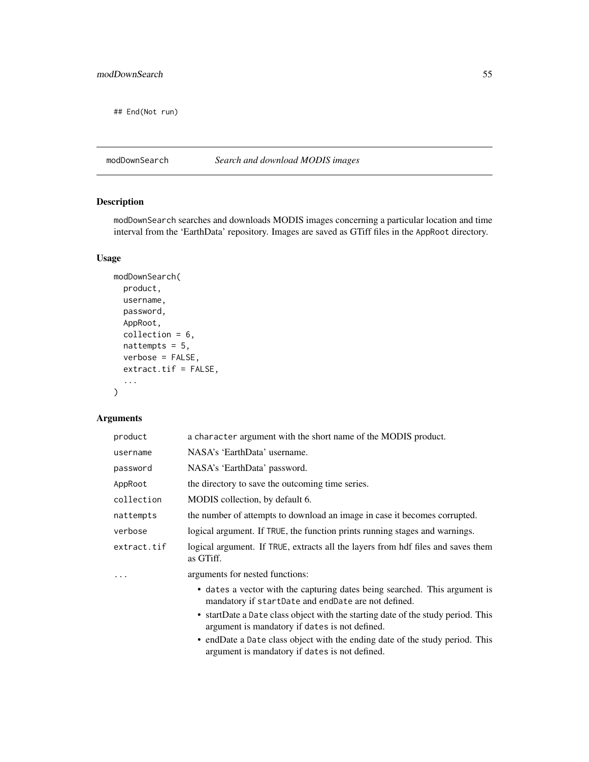## End(Not run)

# modDownSearch *Search and download MODIS images*

# Description

modDownSearch searches and downloads MODIS images concerning a particular location and time interval from the 'EarthData' repository. Images are saved as GTiff files in the AppRoot directory.

# Usage

```
modDownSearch(
 product,
 username,
 password,
 AppRoot,
  collection = 6,
 nattempts = 5,
 verbose = FALSE,
  extract.tif = FALSE,
  ...
)
```
# Arguments

| product     | a character argument with the short name of the MODIS product.                                                                     |
|-------------|------------------------------------------------------------------------------------------------------------------------------------|
| username    | NASA's 'EarthData' username.                                                                                                       |
| password    | NASA's 'EarthData' password.                                                                                                       |
| AppRoot     | the directory to save the outcoming time series.                                                                                   |
| collection  | MODIS collection, by default 6.                                                                                                    |
| nattempts   | the number of attempts to download an image in case it becomes corrupted.                                                          |
| verbose     | logical argument. If TRUE, the function prints running stages and warnings.                                                        |
| extract.tif | logical argument. If TRUE, extracts all the layers from hdf files and saves them<br>as GTiff.                                      |
| .           | arguments for nested functions:                                                                                                    |
|             | • dates a vector with the capturing dates being searched. This argument is<br>mandatory if startDate and endDate are not defined.  |
|             | • startDate a Date class object with the starting date of the study period. This<br>argument is mandatory if dates is not defined. |
|             | • endDate a Date class object with the ending date of the study period. This<br>argument is mandatory if dates is not defined.     |
|             |                                                                                                                                    |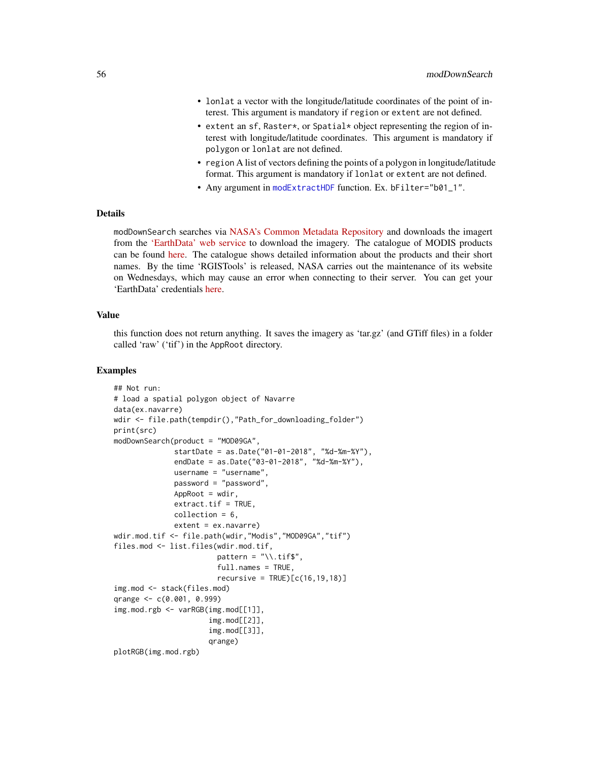- lonlat a vector with the longitude/latitude coordinates of the point of interest. This argument is mandatory if region or extent are not defined.
- extent an sf, Raster\*, or Spatial\* object representing the region of interest with longitude/latitude coordinates. This argument is mandatory if polygon or lonlat are not defined.
- region A list of vectors defining the points of a polygon in longitude/latitude format. This argument is mandatory if lonlat or extent are not defined.
- Any argument in [modExtractHDF](#page-56-0) function. Ex. bFilter="b01\_1".

## Details

modDownSearch searches via [NASA's Common Metadata Repository](https://lpdaacsvc.cr.usgs.gov/services/inventory) and downloads the imagert from the ['EarthData' web service](https://earthdata.nasa.gov/) to download the imagery. The catalogue of MODIS products can be found [here.](https://modis.gsfc.nasa.gov/data/dataprod/) The catalogue shows detailed information about the products and their short names. By the time 'RGISTools' is released, NASA carries out the maintenance of its website on Wednesdays, which may cause an error when connecting to their server. You can get your 'EarthData' credentials [here.](https://urs.earthdata.nasa.gov/users/new)

#### Value

this function does not return anything. It saves the imagery as 'tar.gz' (and GTiff files) in a folder called 'raw' ('tif') in the AppRoot directory.

```
## Not run:
# load a spatial polygon object of Navarre
data(ex.navarre)
wdir <- file.path(tempdir(),"Path_for_downloading_folder")
print(src)
modDownSearch(product = "MOD09GA",
              startDate = as.Date("01-01-2018", "%d-%m-%Y"),
              endDate = as.Date("03-01-2018", "%d-%m-%Y"),
              username = "username",
              password = "password",
              AppRoot = wdir,extract.tf = TRUE,collection = 6,
              extent = ex.navarre)
wdir.mod.tif <- file.path(wdir,"Modis","MOD09GA","tif")
files.mod <- list.files(wdir.mod.tif,
                        pattern = "\wedge.tif$",
                        full.names = TRUE,
                        recursively = TRUE)[c(16, 19, 18)]img.mod <- stack(files.mod)
qrange <- c(0.001, 0.999)
img.mod.rgb <- varRGB(img.mod[[1]],
                      img.mod[[2]],
                      img.mod[[3]],
                      qrange)
plotRGB(img.mod.rgb)
```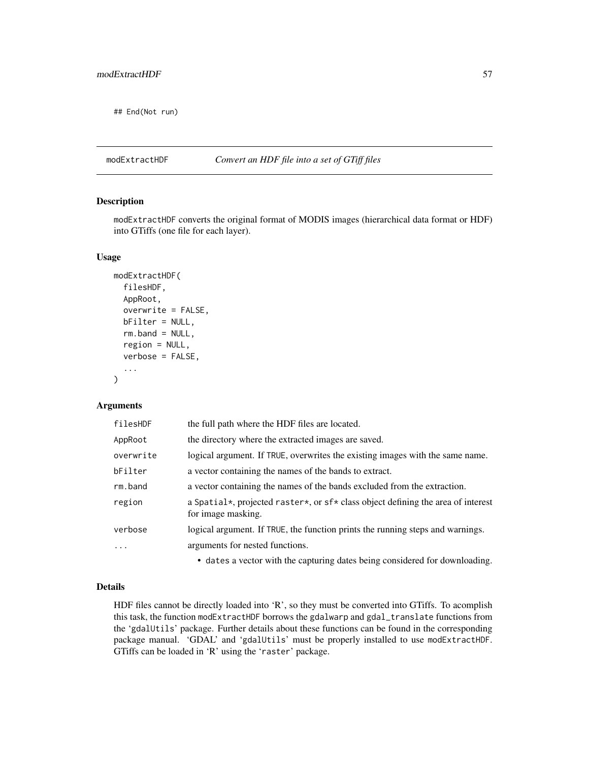## End(Not run)

## <span id="page-56-0"></span>modExtractHDF *Convert an HDF file into a set of GTiff files*

# Description

modExtractHDF converts the original format of MODIS images (hierarchical data format or HDF) into GTiffs (one file for each layer).

### Usage

```
modExtractHDF(
  filesHDF,
  AppRoot,
  overwrite = FALSE,
  bFilter = NULL,
  rm.band = NULL,
  region = NULL,
  verbose = FALSE,
  ...
\mathcal{L}
```
## **Arguments**

| filesHDF  | the full path where the HDF files are located.                                                         |
|-----------|--------------------------------------------------------------------------------------------------------|
| AppRoot   | the directory where the extracted images are saved.                                                    |
| overwrite | logical argument. If TRUE, overwrites the existing images with the same name.                          |
| bFilter   | a vector containing the names of the bands to extract.                                                 |
| rm.band   | a vector containing the names of the bands excluded from the extraction.                               |
| region    | a Spatial*, projected raster*, or sf* class object defining the area of interest<br>for image masking. |
| verbose   | logical argument. If TRUE, the function prints the running steps and warnings.                         |
| .         | arguments for nested functions.                                                                        |
|           |                                                                                                        |

• dates a vector with the capturing dates being considered for downloading.

# Details

HDF files cannot be directly loaded into 'R', so they must be converted into GTiffs. To acomplish this task, the function modExtractHDF borrows the gdalwarp and gdal\_translate functions from the 'gdalUtils' package. Further details about these functions can be found in the corresponding package manual. 'GDAL' and 'gdalUtils' must be properly installed to use modExtractHDF. GTiffs can be loaded in 'R' using the 'raster' package.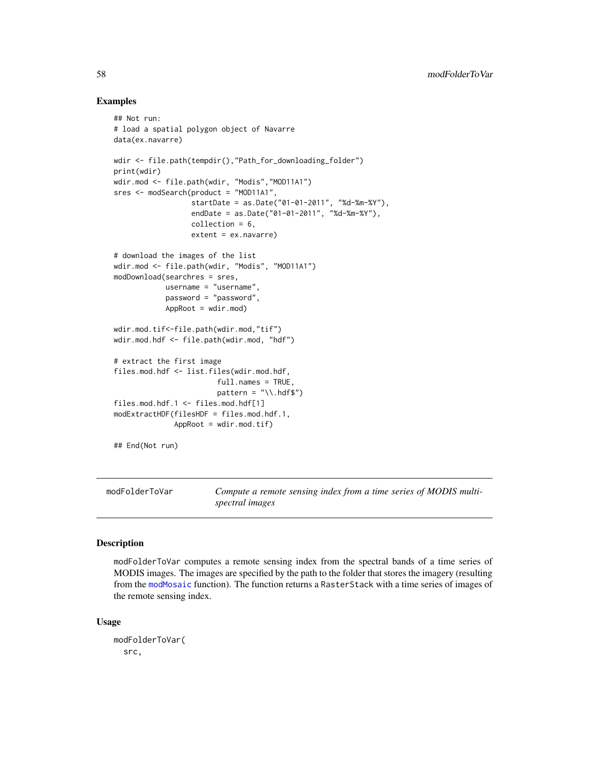## Examples

```
## Not run:
# load a spatial polygon object of Navarre
data(ex.navarre)
wdir <- file.path(tempdir(),"Path_for_downloading_folder")
print(wdir)
wdir.mod <- file.path(wdir, "Modis","MOD11A1")
sres <- modSearch(product = "MOD11A1",
                  startDate = as.Date("01-01-2011", "%d-%m-%Y"),
                  endDate = as.Date("01-01-2011", "%d-%m-%Y"),
                  collection = 6,
                  extent = ex.navarre)
# download the images of the list
wdir.mod <- file.path(wdir, "Modis", "MOD11A1")
modDownload(searchres = sres,
            username = "username",
            password = "password",
            AppRoot = wdir.mod)
wdir.mod.tif<-file.path(wdir.mod,"tif")
wdir.mod.hdf <- file.path(wdir.mod, "hdf")
# extract the first image
files.mod.hdf <- list.files(wdir.mod.hdf,
                        full.names = TRUE,
                        pattern = "\\\.hdf$")
files.mod.hdf.1 <- files.mod.hdf[1]
modExtractHDF(filesHDF = files.mod.hdf.1,
              AppRoot = wdir.mod.tif)
## End(Not run)
```
modFolderToVar *Compute a remote sensing index from a time series of MODIS multispectral images*

## **Description**

modFolderToVar computes a remote sensing index from the spectral bands of a time series of MODIS images. The images are specified by the path to the folder that stores the imagery (resulting from the [modMosaic](#page-61-0) function). The function returns a RasterStack with a time series of images of the remote sensing index.

#### Usage

```
modFolderToVar(
 src,
```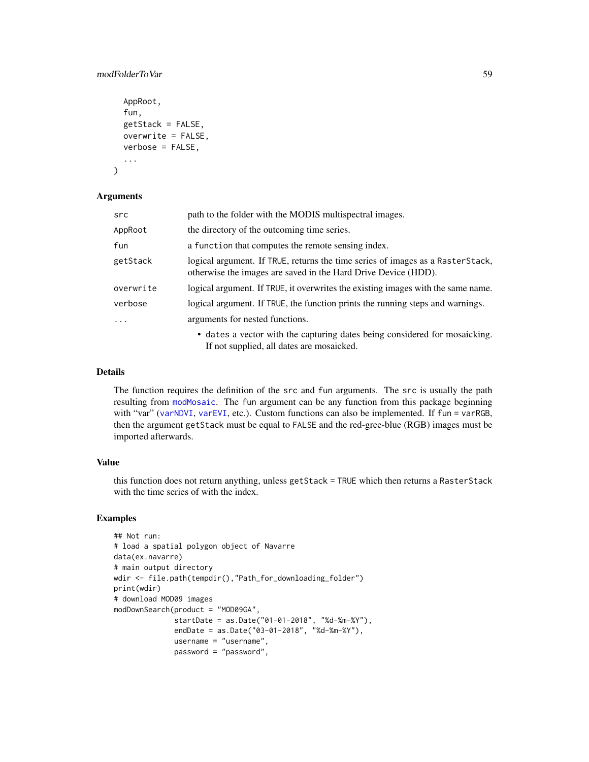# modFolderToVar 59

```
AppRoot,
  fun,
 getStack = FALSE,
 overwrite = FALSE,
 verbose = FALSE,
  ...
)
```
## Arguments

| src       | path to the folder with the MODIS multispectral images.                                                                                          |
|-----------|--------------------------------------------------------------------------------------------------------------------------------------------------|
| AppRoot   | the directory of the outcoming time series.                                                                                                      |
| fun       | a function that computes the remote sensing index.                                                                                               |
| getStack  | logical argument. If TRUE, returns the time series of images as a RasterStack,<br>otherwise the images are saved in the Hard Drive Device (HDD). |
| overwrite | logical argument. If TRUE, it overwrites the existing images with the same name.                                                                 |
| verbose   | logical argument. If TRUE, the function prints the running steps and warnings.                                                                   |
|           | arguments for nested functions.                                                                                                                  |
|           | • dates a vector with the capturing dates being considered for mosaicking.<br>If not supplied, all dates are mosaicked.                          |

### Details

The function requires the definition of the src and fun arguments. The src is usually the path resulting from [modMosaic](#page-61-0). The fun argument can be any function from this package beginning with "var" ([varNDVI](#page-87-0), [varEVI](#page-82-0), etc.). Custom functions can also be implemented. If fun = varRGB, then the argument getStack must be equal to FALSE and the red-gree-blue (RGB) images must be imported afterwards.

#### Value

this function does not return anything, unless getStack = TRUE which then returns a RasterStack with the time series of with the index.

```
## Not run:
# load a spatial polygon object of Navarre
data(ex.navarre)
# main output directory
wdir <- file.path(tempdir(),"Path_for_downloading_folder")
print(wdir)
# download MOD09 images
modDownSearch(product = "MOD09GA",
              startDate = as.Date("01-01-2018", "%d-%m-%Y"),
              endDate = as.Date("03-01-2018", "%d-%m-%Y"),
              username = "username",
              password = "password",
```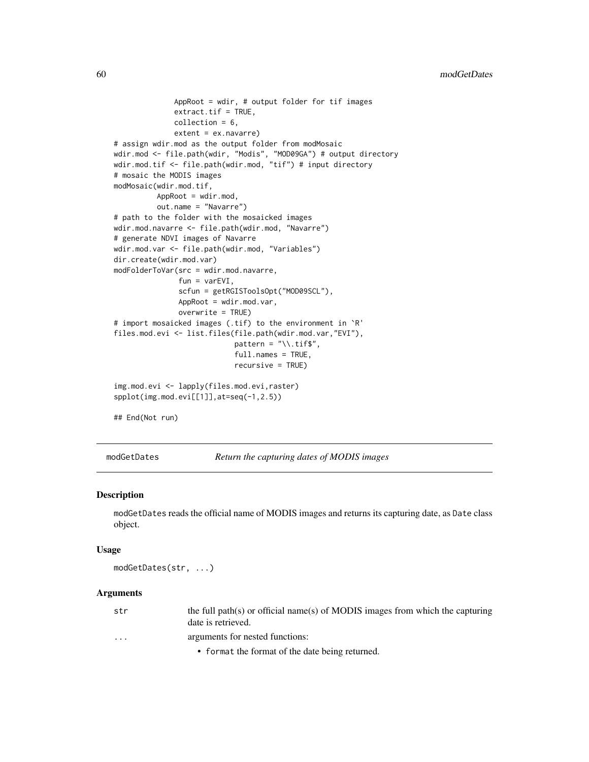```
AppRoot = wdir, # output folder for tif images
              extract.tif = TRUE,collection = 6,
              extent = ex.navarre)
# assign wdir.mod as the output folder from modMosaic
wdir.mod <- file.path(wdir, "Modis", "MOD09GA") # output directory
wdir.mod.tif <- file.path(wdir.mod, "tif") # input directory
# mosaic the MODIS images
modMosaic(wdir.mod.tif,
         AppRoot = wdir.mod,
          out.name = "Navarre")
# path to the folder with the mosaicked images
wdir.mod.navarre <- file.path(wdir.mod, "Navarre")
# generate NDVI images of Navarre
wdir.mod.var <- file.path(wdir.mod, "Variables")
dir.create(wdir.mod.var)
modFolderToVar(src = wdir.mod.navarre,
               fun = varEVI,
               scfun = getRGISToolsOpt("MOD09SCL"),
               AppRoot = wdir.mod.var,
               overwrite = TRUE)
# import mosaicked images (.tif) to the environment in `R'
files.mod.evi <- list.files(file.path(wdir.mod.var,"EVI"),
                            pattern = "\wedge \t{diff}",
                            full.names = TRUE,
                            recursive = TRUE)
img.mod.evi <- lapply(files.mod.evi,raster)
spplot(img.mod.evi[[1]],at=seq(-1,2.5))
## End(Not run)
```
modGetDates *Return the capturing dates of MODIS images*

#### Description

modGetDates reads the official name of MODIS images and returns its capturing date, as Date class object.

#### Usage

modGetDates(str, ...)

# Arguments

| str                     | the full path(s) or official name(s) of MODIS images from which the capturing<br>date is retrieved. |
|-------------------------|-----------------------------------------------------------------------------------------------------|
| $\cdot$ $\cdot$ $\cdot$ | arguments for nested functions:                                                                     |
|                         | • format the format of the date being returned.                                                     |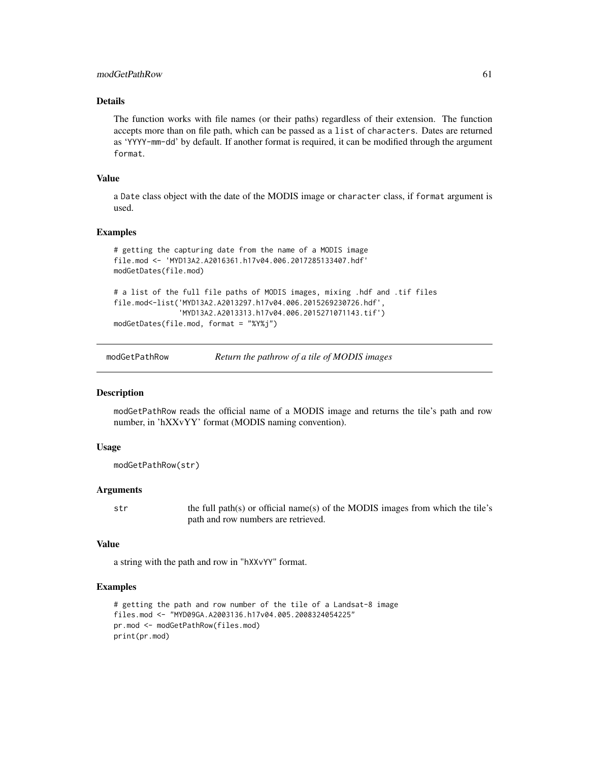# modGetPathRow 61

# Details

The function works with file names (or their paths) regardless of their extension. The function accepts more than on file path, which can be passed as a list of characters. Dates are returned as 'YYYY-mm-dd' by default. If another format is required, it can be modified through the argument format.

# Value

a Date class object with the date of the MODIS image or character class, if format argument is used.

## Examples

```
# getting the capturing date from the name of a MODIS image
file.mod <- 'MYD13A2.A2016361.h17v04.006.2017285133407.hdf'
modGetDates(file.mod)
# a list of the full file paths of MODIS images, mixing .hdf and .tif files
file.mod<-list('MYD13A2.A2013297.h17v04.006.2015269230726.hdf',
               'MYD13A2.A2013313.h17v04.006.2015271071143.tif')
modGetDates(file.mod, format = "%Y%j")
```
modGetPathRow *Return the pathrow of a tile of MODIS images*

#### **Description**

modGetPathRow reads the official name of a MODIS image and returns the tile's path and row number, in 'hXXvYY' format (MODIS naming convention).

## Usage

```
modGetPathRow(str)
```
#### Arguments

str the full path(s) or official name(s) of the MODIS images from which the tile's path and row numbers are retrieved.

## Value

a string with the path and row in "hXXvYY" format.

```
# getting the path and row number of the tile of a Landsat-8 image
files.mod <- "MYD09GA.A2003136.h17v04.005.2008324054225"
pr.mod <- modGetPathRow(files.mod)
print(pr.mod)
```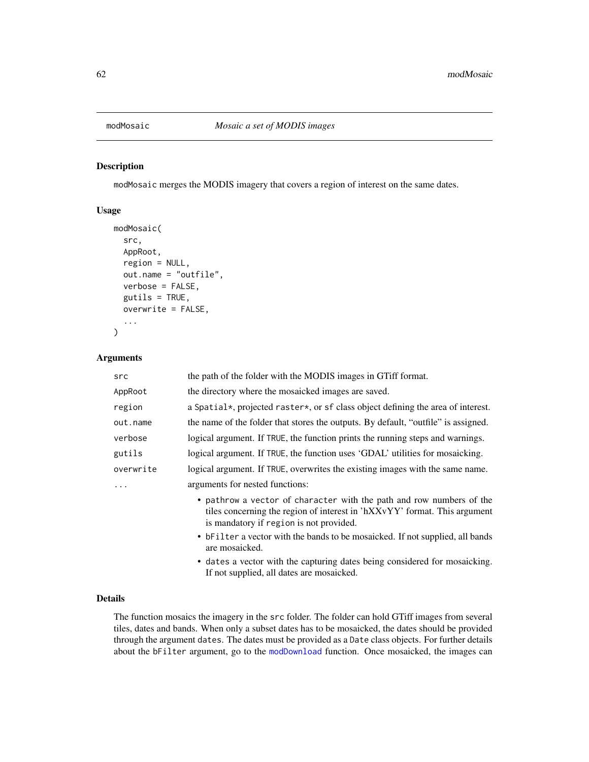<span id="page-61-0"></span>

## Description

modMosaic merges the MODIS imagery that covers a region of interest on the same dates.

## Usage

```
modMosaic(
  src,
  AppRoot,
  region = NULL,
  out.name = "outfile",
  verbose = FALSE,
  gutils = TRUE,overwrite = FALSE,
  ...
)
```
## Arguments

| src       | the path of the folder with the MODIS images in GTiff format.                                                                                                                                |
|-----------|----------------------------------------------------------------------------------------------------------------------------------------------------------------------------------------------|
| AppRoot   | the directory where the mosaicked images are saved.                                                                                                                                          |
| region    | a Spatial*, projected raster*, or sf class object defining the area of interest.                                                                                                             |
| out.name  | the name of the folder that stores the outputs. By default, "outfile" is assigned.                                                                                                           |
| verbose   | logical argument. If TRUE, the function prints the running steps and warnings.                                                                                                               |
| gutils    | logical argument. If TRUE, the function uses 'GDAL' utilities for mosaicking.                                                                                                                |
| overwrite | logical argument. If TRUE, overwrites the existing images with the same name.                                                                                                                |
| .         | arguments for nested functions:                                                                                                                                                              |
|           | • pathrow a vector of character with the path and row numbers of the<br>tiles concerning the region of interest in 'hXXvYY' format. This argument<br>is mandatory if region is not provided. |
|           | • bFilter a vector with the bands to be mosaicked. If not supplied, all bands<br>are mosaicked.                                                                                              |

• dates a vector with the capturing dates being considered for mosaicking. If not supplied, all dates are mosaicked.

# Details

The function mosaics the imagery in the src folder. The folder can hold GTiff images from several tiles, dates and bands. When only a subset dates has to be mosaicked, the dates should be provided through the argument dates. The dates must be provided as a Date class objects. For further details about the bFilter argument, go to the [modDownload](#page-52-0) function. Once mosaicked, the images can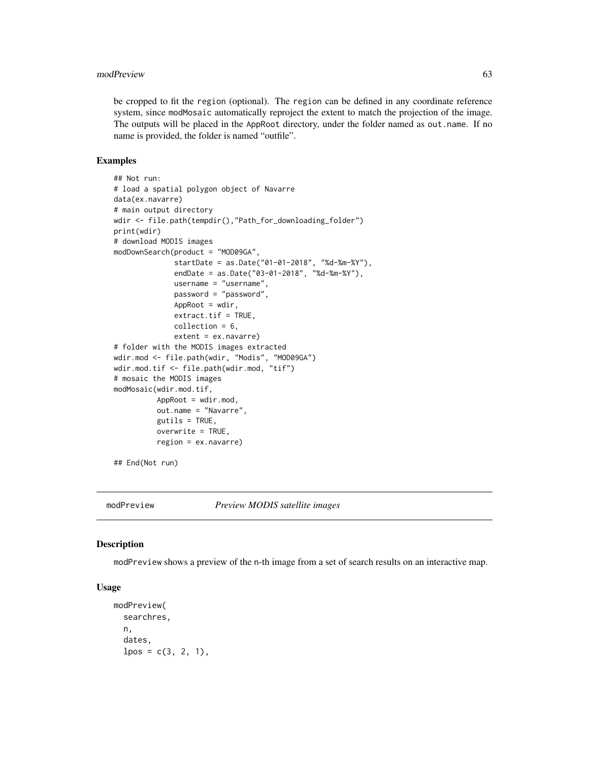#### modPreview 63

be cropped to fit the region (optional). The region can be defined in any coordinate reference system, since modMosaic automatically reproject the extent to match the projection of the image. The outputs will be placed in the AppRoot directory, under the folder named as out.name. If no name is provided, the folder is named "outfile".

#### Examples

```
## Not run:
# load a spatial polygon object of Navarre
data(ex.navarre)
# main output directory
wdir <- file.path(tempdir(),"Path_for_downloading_folder")
print(wdir)
# download MODIS images
modDownSearch(product = "MOD09GA",
              startDate = as.Date("01-01-2018", "%d-%m-%Y"),
              endDate = as.Date("03-01-2018", "%d-%m-%Y"),
              username = "username",
              password = "password",
              AppRoot = wdir,
              extract.tif = TRUE,
              collection = 6,
              extent = ex.navarre)
# folder with the MODIS images extracted
wdir.mod <- file.path(wdir, "Modis", "MOD09GA")
wdir.mod.tif <- file.path(wdir.mod, "tif")
# mosaic the MODIS images
modMosaic(wdir.mod.tif,
          AppRoot = wdir.mod,
          out.name = "Navarre",
          gutils = TRUE,
          overwrite = TRUE,region = ex.navarre)
```
## End(Not run)

<span id="page-62-0"></span>

modPreview *Preview MODIS satellite images*

#### **Description**

modPreview shows a preview of the n-th image from a set of search results on an interactive map.

#### Usage

```
modPreview(
  searchres,
  n,
  dates,
  lpos = c(3, 2, 1),
```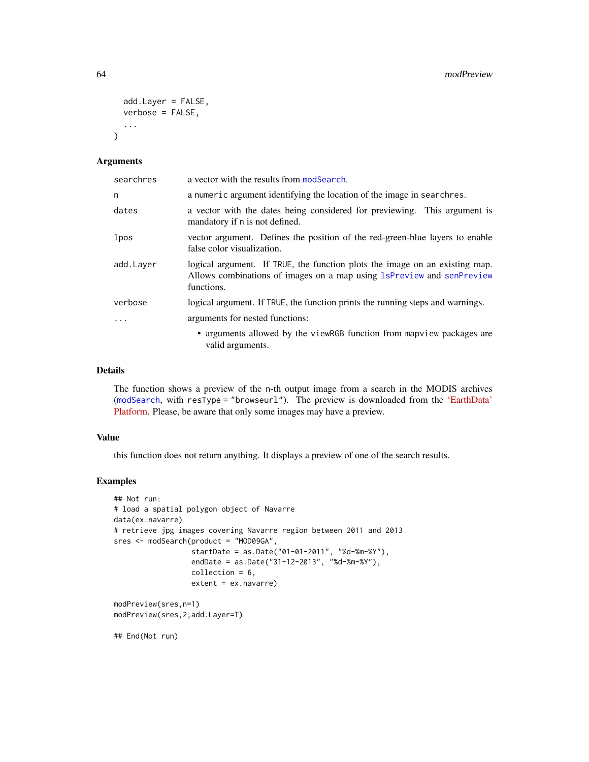```
add.Layer = FALSE,
  verbose = FALSE,
  ...
\lambda
```
#### Arguments

| searchres | a vector with the results from modSearch.                                                                                                                          |
|-----------|--------------------------------------------------------------------------------------------------------------------------------------------------------------------|
| n         | a numeric argument identifying the location of the image in searchres.                                                                                             |
| dates     | a vector with the dates being considered for previewing. This argument is<br>mandatory if n is not defined.                                                        |
| lpos      | vector argument. Defines the position of the red-green-blue layers to enable<br>false color visualization.                                                         |
| add.Layer | logical argument. If TRUE, the function plots the image on an existing map.<br>Allows combinations of images on a map using 1sPreview and senPreview<br>functions. |
| verbose   | logical argument. If TRUE, the function prints the running steps and warnings.                                                                                     |
|           | arguments for nested functions:                                                                                                                                    |
|           | • arguments allowed by the viewRGB function from mapview packages are<br>valid arguments.                                                                          |

# Details

The function shows a preview of the n-th output image from a search in the MODIS archives ([modSearch](#page-64-0), with resType = "browseurl"). The preview is downloaded from the ['EarthData'](https://earthdata.nasa.gov) [Platform.](https://earthdata.nasa.gov) Please, be aware that only some images may have a preview.

# Value

this function does not return anything. It displays a preview of one of the search results.

```
## Not run:
# load a spatial polygon object of Navarre
data(ex.navarre)
# retrieve jpg images covering Navarre region between 2011 and 2013
sres <- modSearch(product = "MOD09GA",
                  startDate = as.Date("01-01-2011", "%d-%m-%Y"),
                  endDate = as.Date("31-12-2013", "%d-%m-%Y"),
                  collection = 6,
                  extent = ex.navarre)
modPreview(sres,n=1)
modPreview(sres,2,add.Layer=T)
## End(Not run)
```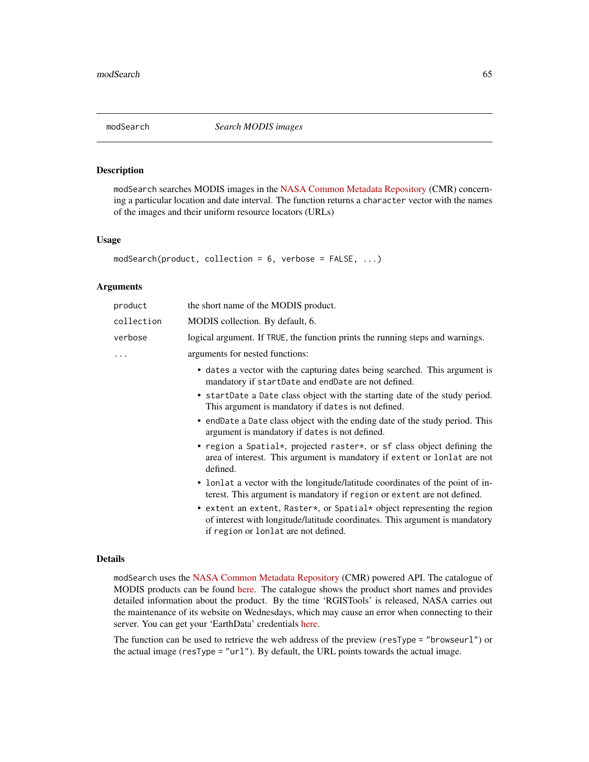#### <span id="page-64-0"></span>Description

modSearch searches MODIS images in the [NASA Common Metadata Repository](https://lpdaacsvc.cr.usgs.gov/services/inventory) (CMR) concerning a particular location and date interval. The function returns a character vector with the names of the images and their uniform resource locators (URLs)

#### Usage

```
modSearch(product, collection = 6, verbose = FALSE, ...)
```
#### Arguments

| product    | the short name of the MODIS product.                                                                                                                                                           |
|------------|------------------------------------------------------------------------------------------------------------------------------------------------------------------------------------------------|
| collection | MODIS collection. By default, 6.                                                                                                                                                               |
| verbose    | logical argument. If TRUE, the function prints the running steps and warnings.                                                                                                                 |
|            | arguments for nested functions:                                                                                                                                                                |
|            | • dates a vector with the capturing dates being searched. This argument is<br>mandatory if startDate and endDate are not defined.                                                              |
|            | • startDate a Date class object with the starting date of the study period.<br>This argument is mandatory if dates is not defined.                                                             |
|            | • endDate a Date class object with the ending date of the study period. This<br>argument is mandatory if dates is not defined.                                                                 |
|            | • region a Spatial*, projected raster*, or sf class object defining the<br>area of interest. This argument is mandatory if extent or lonlat are not<br>defined.                                |
|            | • lonlat a vector with the longitude/latitude coordinates of the point of in-<br>terest. This argument is mandatory if region or extent are not defined.                                       |
|            | • extent an extent, Raster*, or Spatial* object representing the region<br>of interest with longitude/latitude coordinates. This argument is mandatory<br>if region or lonlat are not defined. |

#### Details

modSearch uses the [NASA Common Metadata Repository](https://lpdaacsvc.cr.usgs.gov/services/inventory) (CMR) powered API. The catalogue of MODIS products can be found [here.](https://modis.gsfc.nasa.gov/data/dataprod/) The catalogue shows the product short names and provides detailed information about the product. By the time 'RGISTools' is released, NASA carries out the maintenance of its website on Wednesdays, which may cause an error when connecting to their server. You can get your 'EarthData' credentials [here.](https://urs.earthdata.nasa.gov/users/new)

The function can be used to retrieve the web address of the preview (resType = "browseurl") or the actual image (resType = "url"). By default, the URL points towards the actual image.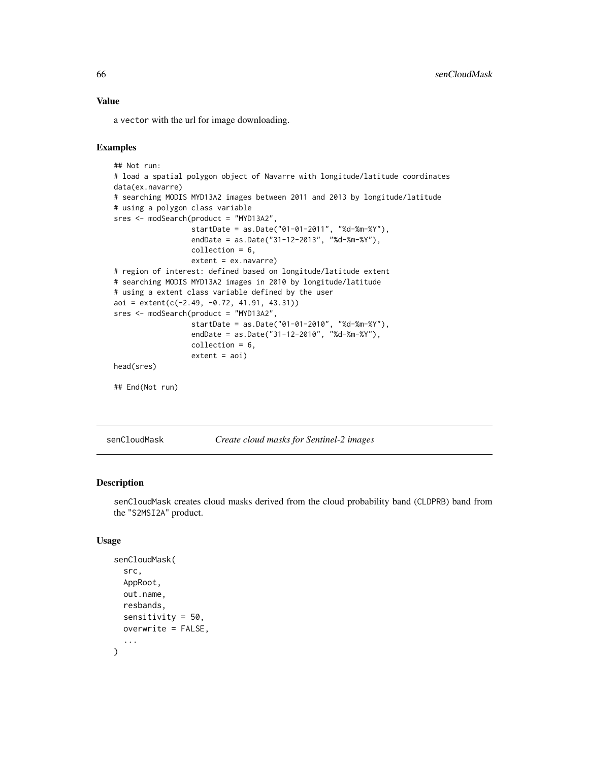# Value

a vector with the url for image downloading.

# Examples

```
## Not run:
# load a spatial polygon object of Navarre with longitude/latitude coordinates
data(ex.navarre)
# searching MODIS MYD13A2 images between 2011 and 2013 by longitude/latitude
# using a polygon class variable
sres <- modSearch(product = "MYD13A2",
                  startDate = as.Date("01-01-2011", "%d-%m-%Y"),
                  endDate = as.Date("31-12-2013", "%d-%m-%Y"),
                  collection = 6,
                  extent = ex.navarre)
# region of interest: defined based on longitude/latitude extent
# searching MODIS MYD13A2 images in 2010 by longitude/latitude
# using a extent class variable defined by the user
aoi = extent(c(-2.49, -0.72, 41.91, 43.31))
sres <- modSearch(product = "MYD13A2",
                  startDate = as.Date("01-01-2010", "%d-%m-%Y"),
                  endDate = as.Date("31-12-2010", "%d-%m-%Y"),
                  collection = 6,
                  extent = aoi)head(sres)
## End(Not run)
```
senCloudMask *Create cloud masks for Sentinel-2 images*

## **Description**

senCloudMask creates cloud masks derived from the cloud probability band (CLDPRB) band from the "S2MSI2A" product.

## Usage

```
senCloudMask(
  src,
  AppRoot,
  out.name,
  resbands,
  sensitivity = 50,
 overwrite = FALSE,
  ...
)
```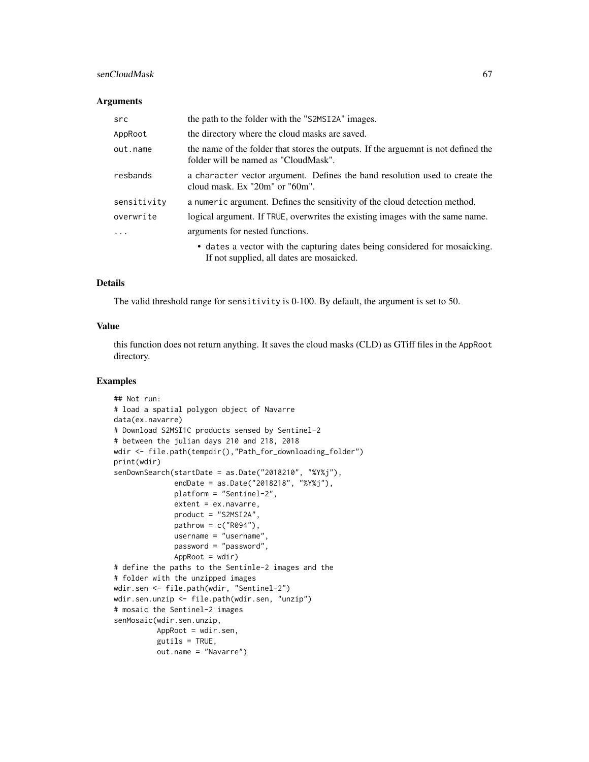# senCloudMask 67

#### **Arguments**

| src         | the path to the folder with the "S2MSI2A" images.                                                                          |
|-------------|----------------------------------------------------------------------------------------------------------------------------|
| AppRoot     | the directory where the cloud masks are saved.                                                                             |
| out.name    | the name of the folder that stores the outputs. If the arguemnt is not defined the<br>folder will be named as "CloudMask". |
| resbands    | a character vector argument. Defines the band resolution used to create the<br>cloud mask. $Ex$ "20m" or "60m".            |
| sensitivity | a numeric argument. Defines the sensitivity of the cloud detection method.                                                 |
| overwrite   | logical argument. If TRUE, overwrites the existing images with the same name.                                              |
| $\cdot$     | arguments for nested functions.                                                                                            |
|             | • dates a vector with the capturing dates being considered for mosaicking.<br>If not supplied, all dates are mosaicked.    |

## Details

The valid threshold range for sensitivity is 0-100. By default, the argument is set to 50.

#### Value

this function does not return anything. It saves the cloud masks (CLD) as GTiff files in the AppRoot directory.

```
## Not run:
# load a spatial polygon object of Navarre
data(ex.navarre)
# Download S2MSI1C products sensed by Sentinel-2
# between the julian days 210 and 218, 2018
wdir <- file.path(tempdir(),"Path_for_downloading_folder")
print(wdir)
senDownSearch(startDate = as.Date("2018210", "%Y%j"),
              endDate = as.Date("2018218", "%Y%j"),
              platform = "Sentinel-2",
              extent = ex.navarre,
              product = "S2MSI2A",
              pathrow = c("R094"),
              username = "username",
              password = "password",
              AppRoot = wdir)# define the paths to the Sentinle-2 images and the
# folder with the unzipped images
wdir.sen <- file.path(wdir, "Sentinel-2")
wdir.sen.unzip <- file.path(wdir.sen, "unzip")
# mosaic the Sentinel-2 images
senMosaic(wdir.sen.unzip,
          AppRoot = wdir.sen,
          gutils = TRUE,out.name = "Navarre")
```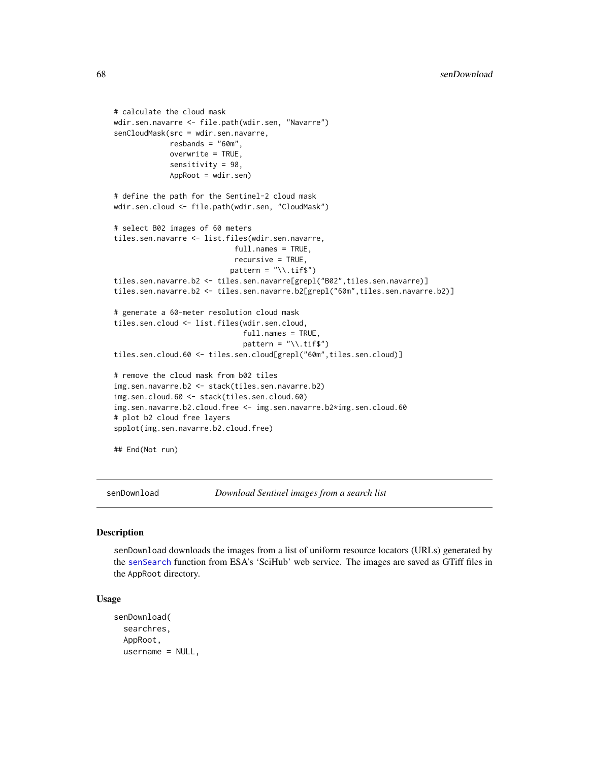```
# calculate the cloud mask
wdir.sen.navarre <- file.path(wdir.sen, "Navarre")
senCloudMask(src = wdir.sen.navarre,
             resbands = "60m",
             overwrite = TRUE,
             sensitivity = 98,
             AppRoot = wdir.sen)
# define the path for the Sentinel-2 cloud mask
wdir.sen.cloud <- file.path(wdir.sen, "CloudMask")
# select B02 images of 60 meters
tiles.sen.navarre <- list.files(wdir.sen.navarre,
                             full.names = TRUE,
                            recursive = TRUE,
                           pattern = "\ \times \text{itfs"}
tiles.sen.navarre.b2 <- tiles.sen.navarre[grepl("B02",tiles.sen.navarre)]
tiles.sen.navarre.b2 <- tiles.sen.navarre.b2[grepl("60m",tiles.sen.navarre.b2)]
# generate a 60-meter resolution cloud mask
tiles.sen.cloud <- list.files(wdir.sen.cloud,
                              full.names = TRUE,
                              pattern = "\wedge \text{diff$"}tiles.sen.cloud.60 <- tiles.sen.cloud[grepl("60m",tiles.sen.cloud)]
# remove the cloud mask from b02 tiles
img.sen.navarre.b2 <- stack(tiles.sen.navarre.b2)
img.sen.cloud.60 <- stack(tiles.sen.cloud.60)
img.sen.navarre.b2.cloud.free <- img.sen.navarre.b2*img.sen.cloud.60
# plot b2 cloud free layers
spplot(img.sen.navarre.b2.cloud.free)
## End(Not run)
```
<span id="page-67-0"></span>senDownload *Download Sentinel images from a search list*

## Description

senDownload downloads the images from a list of uniform resource locators (URLs) generated by the [senSearch](#page-79-0) function from ESA's 'SciHub' web service. The images are saved as GTiff files in the AppRoot directory.

#### Usage

```
senDownload(
  searchres,
  AppRoot,
  username = NULL,
```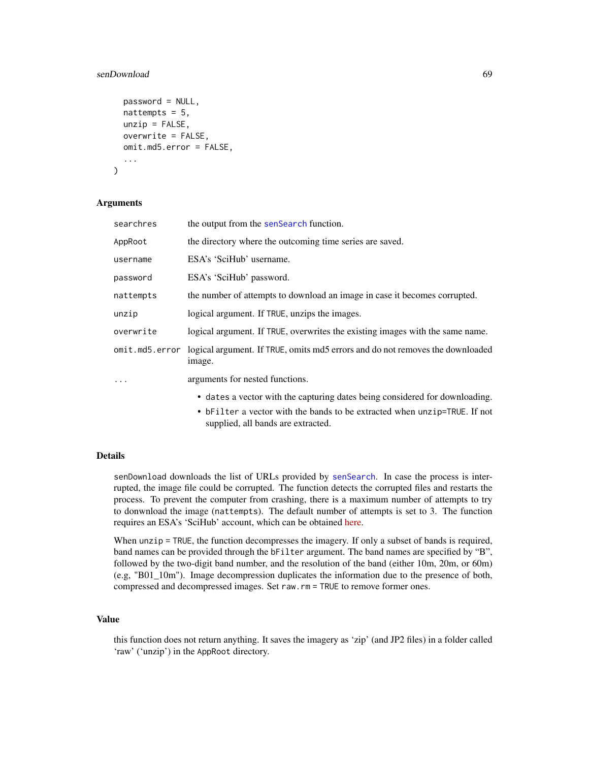# senDownload 69

```
password = NULL,
  nattempts = 5,
 unzip = FALSE,overwrite = FALSE,
  omit.md5.error = FALSE,
  ...
)
```
#### Arguments

| searchres | the output from the senSearch function.                                                                         |
|-----------|-----------------------------------------------------------------------------------------------------------------|
| AppRoot   | the directory where the outcoming time series are saved.                                                        |
| username  | ESA's 'SciHub' username.                                                                                        |
| password  | ESA's 'SciHub' password.                                                                                        |
| nattempts | the number of attempts to download an image in case it becomes corrupted.                                       |
| unzip     | logical argument. If TRUE, unzips the images.                                                                   |
| overwrite | logical argument. If TRUE, overwrites the existing images with the same name.                                   |
|           | omit.md5.error logical argument. If TRUE, omits md5 errors and do not removes the downloaded<br>image.          |
| $\ddots$  | arguments for nested functions.                                                                                 |
|           | • dates a vector with the capturing dates being considered for downloading.                                     |
|           | • bFilter a vector with the bands to be extracted when unzip=TRUE. If not<br>supplied, all bands are extracted. |

## Details

senDownload downloads the list of URLs provided by [senSearch](#page-79-0). In case the process is interrupted, the image file could be corrupted. The function detects the corrupted files and restarts the process. To prevent the computer from crashing, there is a maximum number of attempts to try to donwnload the image (nattempts). The default number of attempts is set to 3. The function requires an ESA's 'SciHub' account, which can be obtained [here.](https://scihub.copernicus.eu/dhus/#/self-registration)

When unzip = TRUE, the function decompresses the imagery. If only a subset of bands is required, band names can be provided through the bFilter argument. The band names are specified by "B", followed by the two-digit band number, and the resolution of the band (either 10m, 20m, or 60m) (e.g, "B01\_10m"). Image decompression duplicates the information due to the presence of both, compressed and decompressed images. Set raw.rm = TRUE to remove former ones.

#### Value

this function does not return anything. It saves the imagery as 'zip' (and JP2 files) in a folder called 'raw' ('unzip') in the AppRoot directory.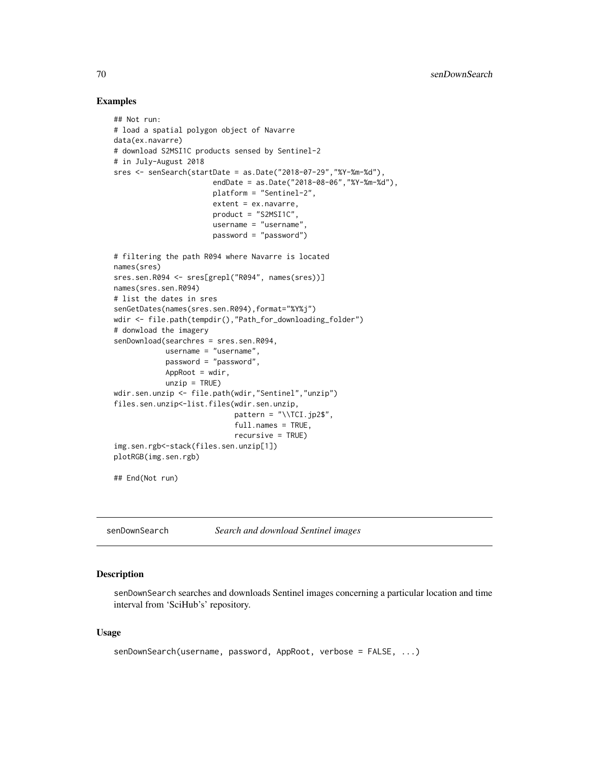## Examples

```
## Not run:
# load a spatial polygon object of Navarre
data(ex.navarre)
# download S2MSI1C products sensed by Sentinel-2
# in July-August 2018
sres <- senSearch(startDate = as.Date("2018-07-29","%Y-%m-%d"),
                       endDate = as.Date("2018-08-06","%Y-%m-%d"),
                       platform = "Sentinel-2",
                       extent = ex.navarre,
                       product = "S2MSI1C",
                       username = "username",
                       password = "password")
# filtering the path R094 where Navarre is located
names(sres)
sres.sen.R094 <- sres[grepl("R094", names(sres))]
names(sres.sen.R094)
# list the dates in sres
senGetDates(names(sres.sen.R094),format="%Y%j")
wdir <- file.path(tempdir(),"Path_for_downloading_folder")
# donwload the imagery
senDownload(searchres = sres.sen.R094,
            username = "username",
            password = "password",
            AppRoot = wdir,
            unzip = TRUE)
wdir.sen.unzip <- file.path(wdir,"Sentinel","unzip")
files.sen.unzip<-list.files(wdir.sen.unzip,
                            pattern = "\\TCI.jpg",
                            full.names = TRUE,
                            recursive = TRUE)
img.sen.rgb<-stack(files.sen.unzip[1])
plotRGB(img.sen.rgb)
## End(Not run)
```
senDownSearch *Search and download Sentinel images*

#### Description

senDownSearch searches and downloads Sentinel images concerning a particular location and time interval from 'SciHub's' repository.

### Usage

```
senDownSearch(username, password, AppRoot, verbose = FALSE, ...)
```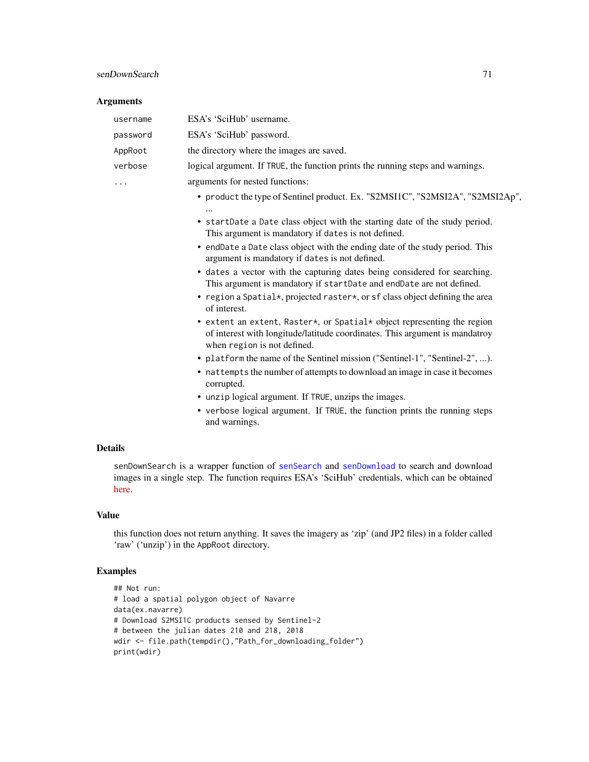# senDownSearch 71

# Arguments

| username | ESA's 'SciHub' username.                                                                                                                                                              |
|----------|---------------------------------------------------------------------------------------------------------------------------------------------------------------------------------------|
| password | ESA's 'SciHub' password.                                                                                                                                                              |
| AppRoot  | the directory where the images are saved.                                                                                                                                             |
| verbose  | logical argument. If TRUE, the function prints the running steps and warnings.                                                                                                        |
| .        | arguments for nested functions:                                                                                                                                                       |
|          | • product the type of Sentinel product. Ex. "S2MSI1C", "S2MSI2A", "S2MSI2Ap",                                                                                                         |
|          |                                                                                                                                                                                       |
|          | • startDate a Date class object with the starting date of the study period.<br>This argument is mandatory if dates is not defined.                                                    |
|          | • endDate a Date class object with the ending date of the study period. This<br>argument is mandatory if dates is not defined.                                                        |
|          | • dates a vector with the capturing dates being considered for searching.<br>This argument is mandatory if startDate and endDate are not defined.                                     |
|          | • region a Spatial*, projected raster*, or sf class object defining the area<br>of interest.                                                                                          |
|          | • extent an extent, Raster*, or Spatial* object representing the region<br>of interest with longitude/latitude coordinates. This argument is mandatroy<br>when region is not defined. |
|          | • platform the name of the Sentinel mission ("Sentinel-1", "Sentinel-2", ).                                                                                                           |
|          | • nattempts the number of attempts to download an image in case it becomes<br>corrupted.                                                                                              |
|          | • unzip logical argument. If TRUE, unzips the images.                                                                                                                                 |
|          | • verbose logical argument. If TRUE, the function prints the running steps                                                                                                            |

and warnings.

# Details

senDownSearch is a wrapper function of [senSearch](#page-79-0) and [senDownload](#page-67-0) to search and download images in a single step. The function requires ESA's 'SciHub' credentials, which can be obtained [here.](https://scihub.copernicus.eu/dhus/#/self-registration)

# Value

this function does not return anything. It saves the imagery as 'zip' (and JP2 files) in a folder called 'raw' ('unzip') in the AppRoot directory.

```
## Not run:
# load a spatial polygon object of Navarre
data(ex.navarre)
# Download S2MSI1C products sensed by Sentinel-2
# between the julian dates 210 and 218, 2018
wdir <- file.path(tempdir(),"Path_for_downloading_folder")
print(wdir)
```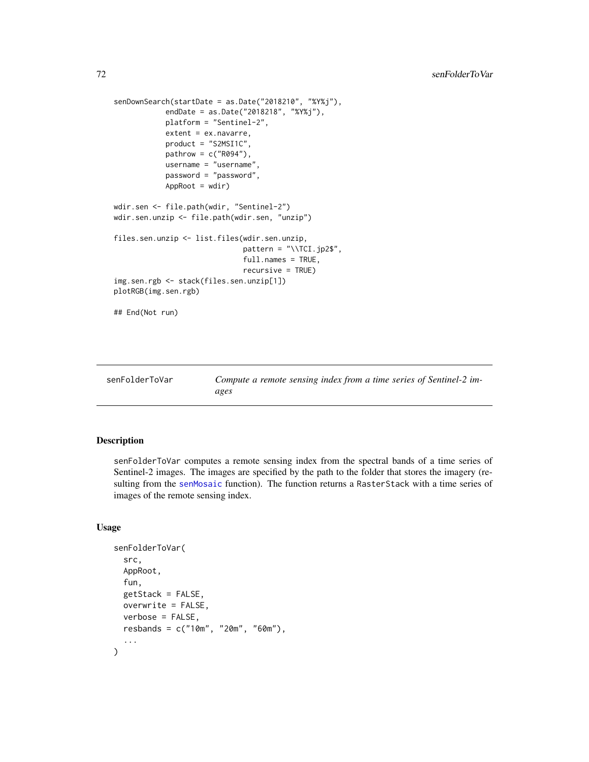```
senDownSearch(startDate = as.Date("2018210", "%Y%j"),
            endDate = as.Date("2018218", "%Y%j"),
            platform = "Sentinel-2",
            extent = ex.navarre,
            product = "S2MSI1C",
            pathrow = c("R094"),
            username = "username",
            password = "password",
            AppRoot = wdir)wdir.sen <- file.path(wdir, "Sentinel-2")
wdir.sen.unzip <- file.path(wdir.sen, "unzip")
files.sen.unzip <- list.files(wdir.sen.unzip,
                              pattern = " \ \TCI.jpg2;
                              full.names = TRUE,
                              recursive = TRUE)
img.sen.rgb <- stack(files.sen.unzip[1])
plotRGB(img.sen.rgb)
## End(Not run)
```
senFolderToVar *Compute a remote sensing index from a time series of Sentinel-2 images*

# Description

senFolderToVar computes a remote sensing index from the spectral bands of a time series of Sentinel-2 images. The images are specified by the path to the folder that stores the imagery (resulting from the [senMosaic](#page-76-0) function). The function returns a RasterStack with a time series of images of the remote sensing index.

## Usage

```
senFolderToVar(
  src,
  AppRoot,
  fun,
  getStack = FALSE,
 overwrite = FALSE,
 verbose = FALSE,
  resbands = c("10m", "20m", "60m"),
  ...
)
```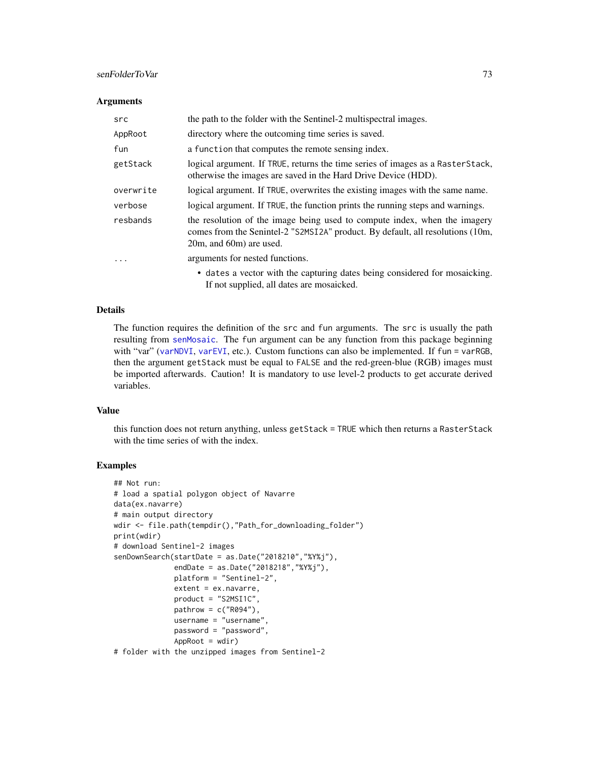# <span id="page-72-0"></span>senFolderToVar 73

#### **Arguments**

| src                     | the path to the folder with the Sentinel-2 multispectral images.                                                                                                                       |
|-------------------------|----------------------------------------------------------------------------------------------------------------------------------------------------------------------------------------|
| AppRoot                 | directory where the outcoming time series is saved.                                                                                                                                    |
| fun                     | a function that computes the remote sensing index.                                                                                                                                     |
| getStack                | logical argument. If TRUE, returns the time series of images as a Raster Stack,<br>otherwise the images are saved in the Hard Drive Device (HDD).                                      |
| overwrite               | logical argument. If TRUE, overwrites the existing images with the same name.                                                                                                          |
| verbose                 | logical argument. If TRUE, the function prints the running steps and warnings.                                                                                                         |
| resbands                | the resolution of the image being used to compute index, when the imagery<br>comes from the Senintel-2 "S2MSI2A" product. By default, all resolutions (10m,<br>20m, and 60m) are used. |
| $\cdot$ $\cdot$ $\cdot$ | arguments for nested functions.                                                                                                                                                        |
|                         | • dates a vector with the capturing dates being considered for mosaicking.                                                                                                             |

#### Details

The function requires the definition of the src and fun arguments. The src is usually the path resulting from [senMosaic](#page-76-0). The fun argument can be any function from this package beginning with "var" ([varNDVI](#page-87-0), [varEVI](#page-82-0), etc.). Custom functions can also be implemented. If fun = varRGB, then the argument getStack must be equal to FALSE and the red-green-blue (RGB) images must be imported afterwards. Caution! It is mandatory to use level-2 products to get accurate derived variables.

If not supplied, all dates are mosaicked.

#### Value

this function does not return anything, unless getStack = TRUE which then returns a RasterStack with the time series of with the index.

# Examples

```
## Not run:
# load a spatial polygon object of Navarre
data(ex.navarre)
# main output directory
wdir <- file.path(tempdir(),"Path_for_downloading_folder")
print(wdir)
# download Sentinel-2 images
senDownSearch(startDate = as.Date("2018210","%Y%j"),
              endDate = as.Date("2018218","%Y%j"),
              platform = "Sentinel-2",
              extent = ex.navarre,
              product = "S2MSI1C",
              pathrow = c("R094"),
              username = "username",
              password = "password",
              AppRoot = wdir)# folder with the unzipped images from Sentinel-2
```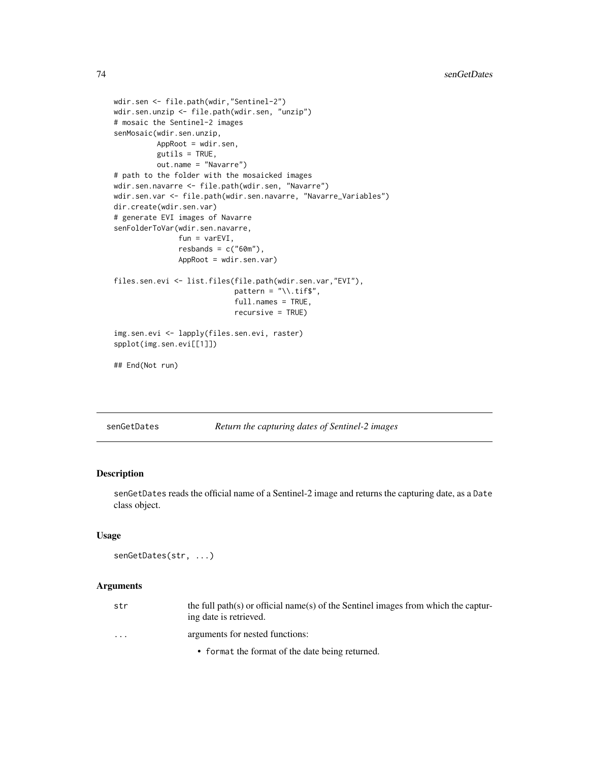```
wdir.sen <- file.path(wdir,"Sentinel-2")
wdir.sen.unzip <- file.path(wdir.sen, "unzip")
# mosaic the Sentinel-2 images
senMosaic(wdir.sen.unzip,
          AppRoot = wdir.sen,
          gutils = TRUE,
          out.name = "Navarre")
# path to the folder with the mosaicked images
wdir.sen.navarre <- file.path(wdir.sen, "Navarre")
wdir.sen.var <- file.path(wdir.sen.navarre, "Navarre_Variables")
dir.create(wdir.sen.var)
# generate EVI images of Navarre
senFolderToVar(wdir.sen.navarre,
               fun = varEVI,
               resbands = c("60m"),
               AppRoot = wdir.sen.var)
files.sen.evi <- list.files(file.path(wdir.sen.var,"EVI"),
                            pattern = "\wedge \text{diff}",
                            full.names = TRUE,
                            recursive = TRUE)
img.sen.evi <- lapply(files.sen.evi, raster)
spplot(img.sen.evi[[1]])
## End(Not run)
```
senGetDates *Return the capturing dates of Sentinel-2 images*

# Description

senGetDates reads the official name of a Sentinel-2 image and returns the capturing date, as a Date class object.

## Usage

```
senGetDates(str, ...)
```
#### Arguments

| str                     | the full path(s) or official name(s) of the Sentinel images from which the captur-<br>ing date is retrieved. |
|-------------------------|--------------------------------------------------------------------------------------------------------------|
| $\cdot$ $\cdot$ $\cdot$ | arguments for nested functions:                                                                              |
|                         | • format the format of the date being returned.                                                              |

<span id="page-73-0"></span>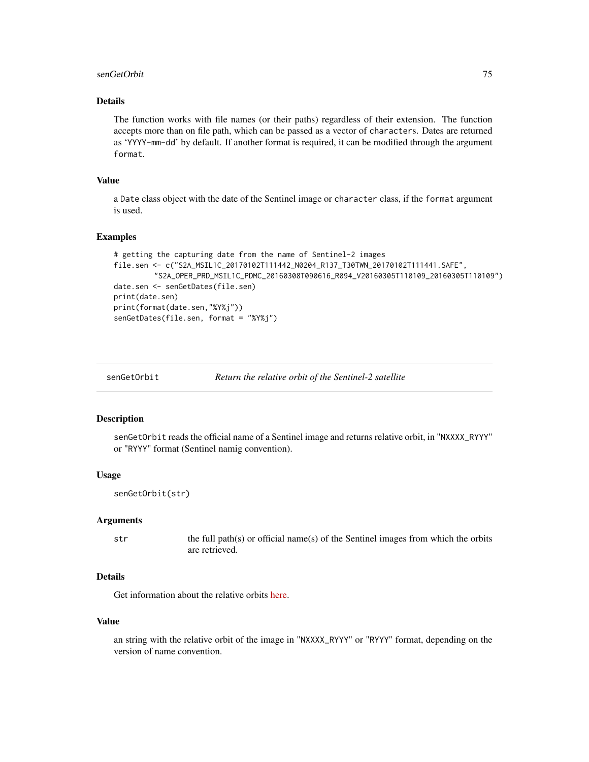#### <span id="page-74-0"></span>senGetOrbit 75

# Details

The function works with file names (or their paths) regardless of their extension. The function accepts more than on file path, which can be passed as a vector of characters. Dates are returned as 'YYYY-mm-dd' by default. If another format is required, it can be modified through the argument format.

# Value

a Date class object with the date of the Sentinel image or character class, if the format argument is used.

## Examples

```
# getting the capturing date from the name of Sentinel-2 images
file.sen <- c("S2A_MSIL1C_20170102T111442_N0204_R137_T30TWN_20170102T111441.SAFE",
         "S2A_OPER_PRD_MSIL1C_PDMC_20160308T090616_R094_V20160305T110109_20160305T110109")
date.sen <- senGetDates(file.sen)
print(date.sen)
print(format(date.sen,"%Y%j"))
senGetDates(file.sen, format = "%Y%j")
```
#### Description

senGetOrbit reads the official name of a Sentinel image and returns relative orbit, in "NXXXX\_RYYY" or "RYYY" format (Sentinel namig convention).

# Usage

```
senGetOrbit(str)
```
#### Arguments

str the full path(s) or official name(s) of the Sentinel images from which the orbits are retrieved.

# Details

Get information about the relative orbits [here.](https://sentinel.esa.int/web/sentinel/missions/sentinel-2/satellite-description/orbit)

#### Value

an string with the relative orbit of the image in "NXXXX\_RYYY" or "RYYY" format, depending on the version of name convention.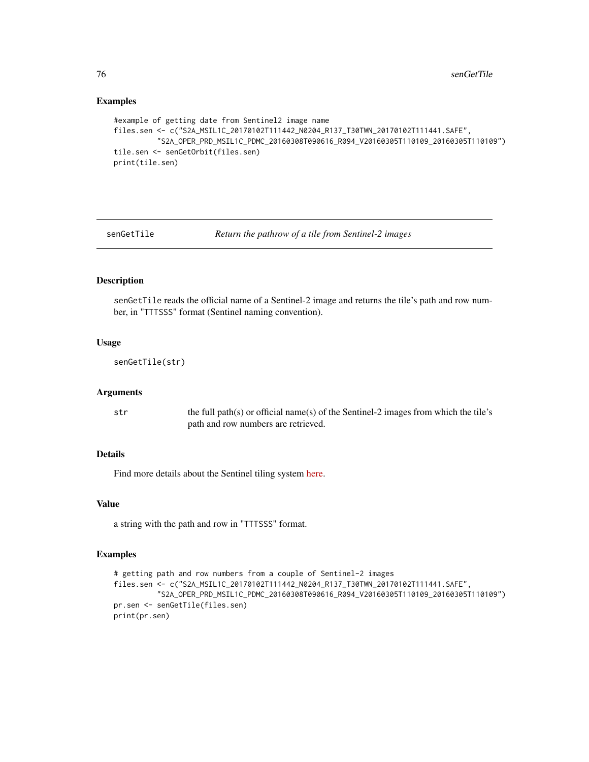```
#example of getting date from Sentinel2 image name
files.sen <- c("S2A_MSIL1C_20170102T111442_N0204_R137_T30TWN_20170102T111441.SAFE",
          "S2A_OPER_PRD_MSIL1C_PDMC_20160308T090616_R094_V20160305T110109_20160305T110109")
tile.sen <- senGetOrbit(files.sen)
print(tile.sen)
```
senGetTile *Return the pathrow of a tile from Sentinel-2 images*

# Description

senGetTile reads the official name of a Sentinel-2 image and returns the tile's path and row number, in "TTTSSS" format (Sentinel naming convention).

## Usage

senGetTile(str)

#### Arguments

str the full path(s) or official name(s) of the Sentinel-2 images from which the tile's path and row numbers are retrieved.

# Details

Find more details about the Sentinel tiling system [here.](https://sentinel.esa.int/web/sentinel/missions/sentinel-2/news/-/asset_publisher/Ac0d/content/sentinel-2-level-1c-product-tiling-grid-released)

# Value

a string with the path and row in "TTTSSS" format.

# Examples

```
# getting path and row numbers from a couple of Sentinel-2 images
files.sen <- c("S2A_MSIL1C_20170102T111442_N0204_R137_T30TWN_20170102T111441.SAFE",
          "S2A_OPER_PRD_MSIL1C_PDMC_20160308T090616_R094_V20160305T110109_20160305T110109")
pr.sen <- senGetTile(files.sen)
print(pr.sen)
```
<span id="page-75-0"></span>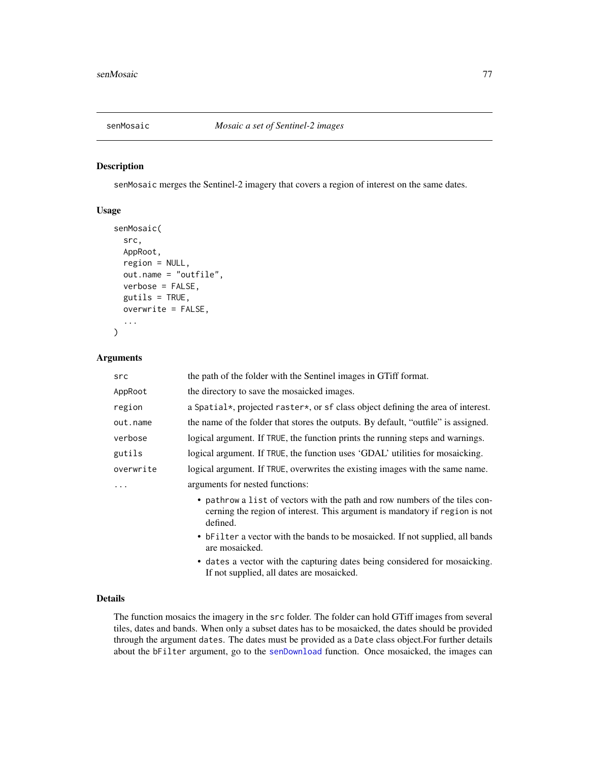<span id="page-76-1"></span><span id="page-76-0"></span>

#### Description

senMosaic merges the Sentinel-2 imagery that covers a region of interest on the same dates.

# Usage

```
senMosaic(
  src,
 AppRoot,
  region = NULL,
 out.name = "outfile",
 verbose = FALSE,
 gutils = TRUE,overwrite = FALSE,
  ...
)
```
## Arguments

| src       | the path of the folder with the Sentinel images in GTiff format.                                                                                                       |
|-----------|------------------------------------------------------------------------------------------------------------------------------------------------------------------------|
| AppRoot   | the directory to save the mosaicked images.                                                                                                                            |
| region    | a Spatial*, projected raster*, or sf class object defining the area of interest.                                                                                       |
| out.name  | the name of the folder that stores the outputs. By default, "outfile" is assigned.                                                                                     |
| verbose   | logical argument. If TRUE, the function prints the running steps and warnings.                                                                                         |
| gutils    | logical argument. If TRUE, the function uses 'GDAL' utilities for mosaicking.                                                                                          |
| overwrite | logical argument. If TRUE, overwrites the existing images with the same name.                                                                                          |
|           | arguments for nested functions:                                                                                                                                        |
|           | • pathrow a list of vectors with the path and row numbers of the tiles con-<br>cerning the region of interest. This argument is mandatory if region is not<br>defined. |
|           | • bFilter a vector with the bands to be mosaicked. If not supplied, all bands<br>are mosaicked.                                                                        |

• dates a vector with the capturing dates being considered for mosaicking. If not supplied, all dates are mosaicked.

# Details

The function mosaics the imagery in the src folder. The folder can hold GTiff images from several tiles, dates and bands. When only a subset dates has to be mosaicked, the dates should be provided through the argument dates. The dates must be provided as a Date class object.For further details about the bFilter argument, go to the [senDownload](#page-67-0) function. Once mosaicked, the images can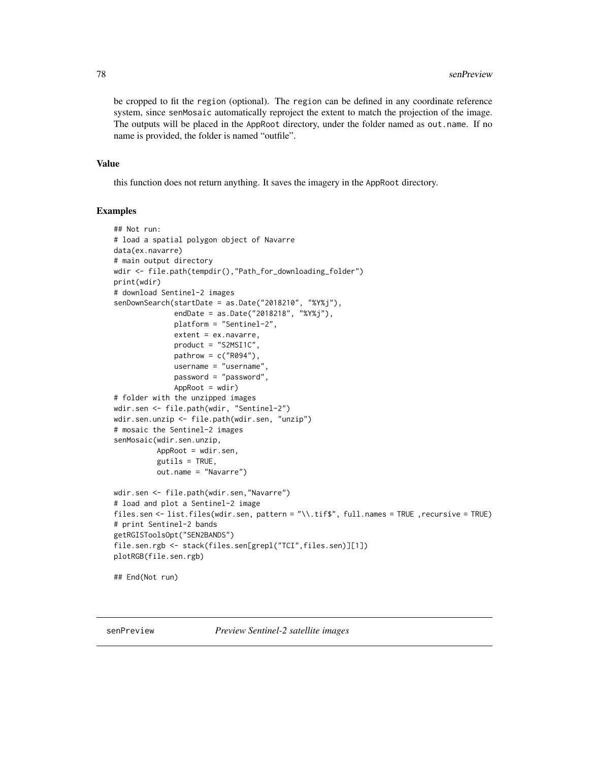<span id="page-77-0"></span>be cropped to fit the region (optional). The region can be defined in any coordinate reference system, since senMosaic automatically reproject the extent to match the projection of the image. The outputs will be placed in the AppRoot directory, under the folder named as out.name. If no name is provided, the folder is named "outfile".

# Value

this function does not return anything. It saves the imagery in the AppRoot directory.

# Examples

```
## Not run:
# load a spatial polygon object of Navarre
data(ex.navarre)
# main output directory
wdir <- file.path(tempdir(),"Path_for_downloading_folder")
print(wdir)
# download Sentinel-2 images
senDownSearch(startDate = as.Date("2018210", "%Y%j"),
              endDate = as.Date("2018218", "%Y%j"),
              platform = "Sentinel-2",
              extent = ex.navarre,
              product = "S2MSI1C",
              pathrow = c("R094"),
              username = "username",
              password = "password",
              AppRoot = wdir)# folder with the unzipped images
wdir.sen <- file.path(wdir, "Sentinel-2")
wdir.sen.unzip <- file.path(wdir.sen, "unzip")
# mosaic the Sentinel-2 images
senMosaic(wdir.sen.unzip,
          AppRoot = wdir.sen,
          gutils = TRUE,out.name = "Navarre")
wdir.sen <- file.path(wdir.sen,"Navarre")
# load and plot a Sentinel-2 image
files.sen <- list.files(wdir.sen, pattern = "\\.tif$", full.names = TRUE ,recursive = TRUE)
# print Sentinel-2 bands
getRGISToolsOpt("SEN2BANDS")
file.sen.rgb <- stack(files.sen[grepl("TCI",files.sen)][1])
plotRGB(file.sen.rgb)
## End(Not run)
```
senPreview *Preview Sentinel-2 satellite images*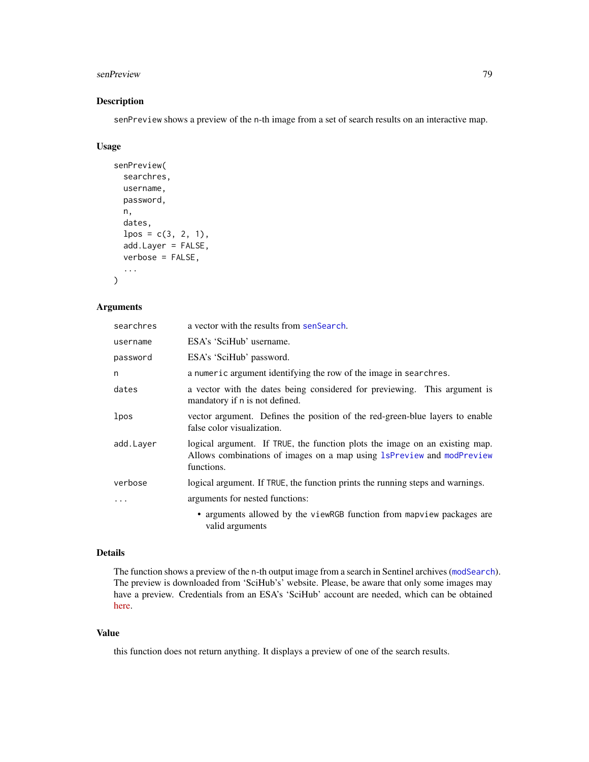#### <span id="page-78-0"></span>senPreview 79

# Description

senPreview shows a preview of the n-th image from a set of search results on an interactive map.

#### Usage

```
senPreview(
  searchres,
 username,
 password,
 n,
  dates,
  lpos = c(3, 2, 1),add.Layer = FALSE,
  verbose = FALSE,
  ...
)
```
# Arguments

| searchres | a vector with the results from senSearch.                                                                                                                          |  |
|-----------|--------------------------------------------------------------------------------------------------------------------------------------------------------------------|--|
| username  | ESA's 'SciHub' username.                                                                                                                                           |  |
| password  | ESA's 'SciHub' password.                                                                                                                                           |  |
| n         | a numeric argument identifying the row of the image in searchres.                                                                                                  |  |
| dates     | a vector with the dates being considered for previewing. This argument is<br>mandatory if n is not defined.                                                        |  |
| lpos      | vector argument. Defines the position of the red-green-blue layers to enable<br>false color visualization.                                                         |  |
| add.Layer | logical argument. If TRUE, the function plots the image on an existing map.<br>Allows combinations of images on a map using 1sPreview and modPreview<br>functions. |  |
| verbose   | logical argument. If TRUE, the function prints the running steps and warnings.                                                                                     |  |
|           | arguments for nested functions:                                                                                                                                    |  |
|           | • arguments allowed by the viewRGB function from mapview packages are<br>valid arguments                                                                           |  |

## Details

The function shows a preview of the n-th output image from a search in Sentinel archives ([modSearch](#page-64-0)). The preview is downloaded from 'SciHub's' website. Please, be aware that only some images may have a preview. Credentials from an ESA's 'SciHub' account are needed, which can be obtained [here.](https://scihub.copernicus.eu/dhus/#/self-registration)

#### Value

this function does not return anything. It displays a preview of one of the search results.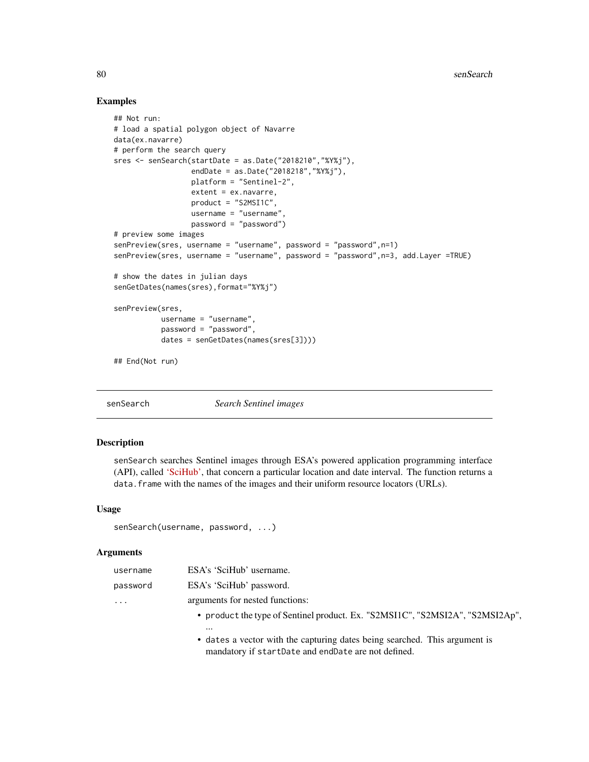```
## Not run:
# load a spatial polygon object of Navarre
data(ex.navarre)
# perform the search query
sres <- senSearch(startDate = as.Date("2018210","%Y%j"),
                  endDate = as.Date("2018218","%Y%j"),
                  platform = "Sentinel-2",
                  extent = ex.navarre,
                  product = "S2MSI1C",
                  username = "username",
                  password = "password")
# preview some images
senPreview(sres, username = "username", password = "password",n=1)
senPreview(sres, username = "username", password = "password",n=3, add.Layer =TRUE)
# show the dates in julian days
senGetDates(names(sres),format="%Y%j")
senPreview(sres,
           username = "username",
           password = "password",
           dates = senGetDates(names(sres[3])))
## End(Not run)
```
<span id="page-79-0"></span>senSearch *Search Sentinel images*

#### Description

senSearch searches Sentinel images through ESA's powered application programming interface (API), called ['SciHub',](http://scihub.copernicus.eu) that concern a particular location and date interval. The function returns a data. frame with the names of the images and their uniform resource locators (URLs).

#### Usage

```
senSearch(username, password, ...)
```
#### Arguments

| username | ESA's 'SciHub' username.                                                      |
|----------|-------------------------------------------------------------------------------|
| password | ESA's 'SciHub' password.                                                      |
| $\cdots$ | arguments for nested functions:                                               |
|          | • product the type of Sentinel product. Ex. "S2MSI1C", "S2MSI2A", "S2MSI2Ap", |
|          | $\cdots$                                                                      |
|          | • dates a vector with the capturing dates being searched. This argument is    |
|          | mandatory if startDate and endDate are not defined.                           |

<span id="page-79-1"></span>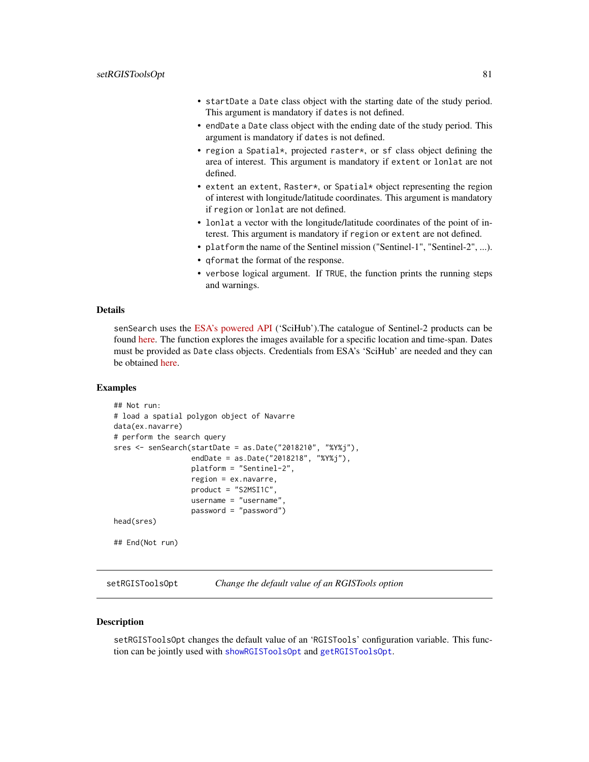- <span id="page-80-1"></span>• startDate a Date class object with the starting date of the study period. This argument is mandatory if dates is not defined.
- endDate a Date class object with the ending date of the study period. This argument is mandatory if dates is not defined.
- region a Spatial\*, projected raster\*, or sf class object defining the area of interest. This argument is mandatory if extent or lonlat are not defined.
- extent an extent, Raster\*, or Spatial\* object representing the region of interest with longitude/latitude coordinates. This argument is mandatory if region or lonlat are not defined.
- lonlat a vector with the longitude/latitude coordinates of the point of interest. This argument is mandatory if region or extent are not defined.
- platform the name of the Sentinel mission ("Sentinel-1", "Sentinel-2", ...).
- qformat the format of the response.
- verbose logical argument. If TRUE, the function prints the running steps and warnings.

#### Details

senSearch uses the [ESA's powered API](http://scihub.copernicus.eu) ('SciHub').The catalogue of Sentinel-2 products can be found [here.](https://sentinel.esa.int/web/sentinel/missions/sentinel-2/data-products) The function explores the images available for a specific location and time-span. Dates must be provided as Date class objects. Credentials from ESA's 'SciHub' are needed and they can be obtained [here.](https://scihub.copernicus.eu/dhus/#/self-registration)

#### Examples

```
## Not run:
# load a spatial polygon object of Navarre
data(ex.navarre)
# perform the search query
sres <- senSearch(startDate = as.Date("2018210", "%Y%j"),
                  endDate = as.Date("2018218", "%Y%j"),
                  platform = "Sentinel-2",
                  region = ex.navarre,
                  product = "S2MSI1C",
                  username = "username",
                  password = "password")
head(sres)
## End(Not run)
```
<span id="page-80-0"></span>setRGISToolsOpt *Change the default value of an RGISTools option*

#### **Description**

setRGISToolsOpt changes the default value of an 'RGISTools' configuration variable. This function can be jointly used with [showRGISToolsOpt](#page-81-0) and [getRGISToolsOpt](#page-18-0).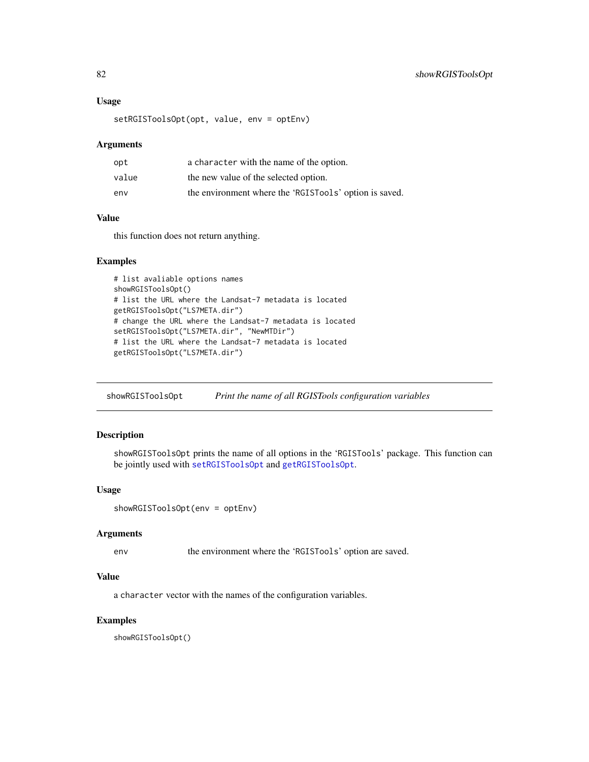## <span id="page-81-1"></span>Usage

setRGISToolsOpt(opt, value, env = optEnv)

#### Arguments

| opt   | a character with the name of the option.               |
|-------|--------------------------------------------------------|
| value | the new value of the selected option.                  |
| env   | the environment where the 'RGISTools' option is saved. |

# Value

this function does not return anything.

## Examples

```
# list avaliable options names
showRGISToolsOpt()
# list the URL where the Landsat-7 metadata is located
getRGISToolsOpt("LS7META.dir")
# change the URL where the Landsat-7 metadata is located
setRGISToolsOpt("LS7META.dir", "NewMTDir")
# list the URL where the Landsat-7 metadata is located
getRGISToolsOpt("LS7META.dir")
```
<span id="page-81-0"></span>showRGISToolsOpt *Print the name of all RGISTools configuration variables*

## Description

showRGISToolsOpt prints the name of all options in the 'RGISTools' package. This function can be jointly used with [setRGISToolsOpt](#page-80-0) and [getRGISToolsOpt](#page-18-0).

## Usage

```
showRGISToolsOpt(env = optEnv)
```
# Arguments

env the environment where the 'RGISTools' option are saved.

# Value

a character vector with the names of the configuration variables.

# Examples

showRGISToolsOpt()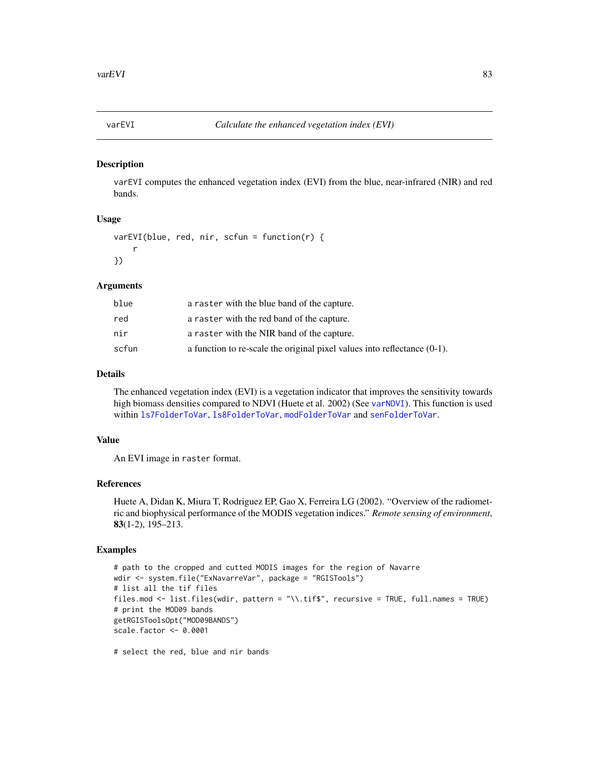<span id="page-82-1"></span><span id="page-82-0"></span>

## Description

varEVI computes the enhanced vegetation index (EVI) from the blue, near-infrared (NIR) and red bands.

#### Usage

```
varEVI(blue, red, nir, scfun = function(r) {
    r
})
```
#### Arguments

| blue  | a raster with the blue band of the capture.                                 |
|-------|-----------------------------------------------------------------------------|
| red   | a raster with the red band of the capture.                                  |
| nir   | a raster with the NIR band of the capture.                                  |
| scfun | a function to re-scale the original pixel values into reflectance $(0-1)$ . |

## Details

The enhanced vegetation index (EVI) is a vegetation indicator that improves the sensitivity towards high biomass densities compared to NDVI (Huete et al. 2002) (See [varNDVI](#page-87-0)). This function is used within [ls7FolderToVar](#page-19-0), [ls8FolderToVar](#page-24-0), [modFolderToVar](#page-57-0) and [senFolderToVar](#page-71-0).

# Value

An EVI image in raster format.

#### References

Huete A, Didan K, Miura T, Rodriguez EP, Gao X, Ferreira LG (2002). "Overview of the radiometric and biophysical performance of the MODIS vegetation indices." *Remote sensing of environment*, 83(1-2), 195–213.

## Examples

```
# path to the cropped and cutted MODIS images for the region of Navarre
wdir <- system.file("ExNavarreVar", package = "RGISTools")
# list all the tif files
files.mod <- list.files(wdir, pattern = "\\.tif$", recursive = TRUE, full.names = TRUE)
# print the MOD09 bands
getRGISToolsOpt("MOD09BANDS")
scale.factor <- 0.0001
```
# select the red, blue and nir bands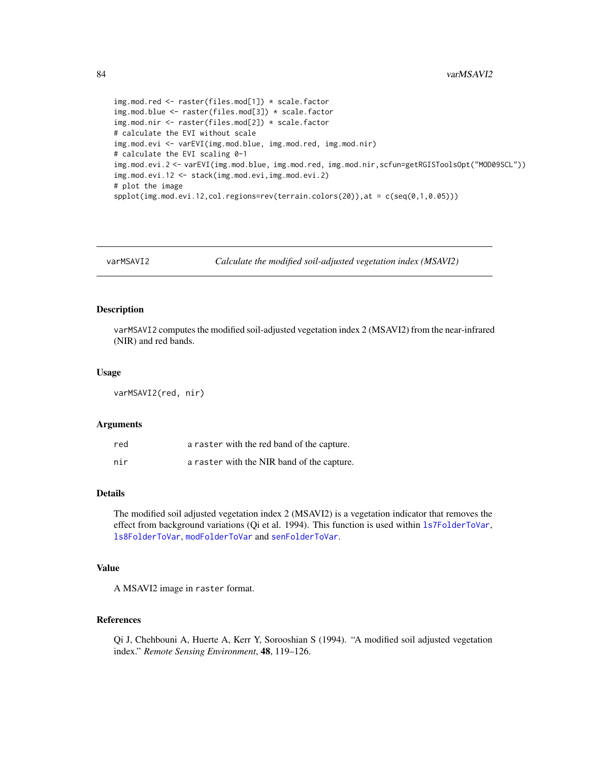```
img.mod.red <- raster(files.mod[1]) * scale.factor
img.mod.blue <- raster(files.mod[3]) * scale.factor
img.mod.nir <- raster(files.mod[2]) * scale.factor
# calculate the EVI without scale
img.mod.evi <- varEVI(img.mod.blue, img.mod.red, img.mod.nir)
# calculate the EVI scaling 0-1
img.mod.evi.2 <- varEVI(img.mod.blue, img.mod.red, img.mod.nir,scfun=getRGISToolsOpt("MOD09SCL"))
img.mod.evi.12 <- stack(img.mod.evi,img.mod.evi.2)
# plot the image
spplot(img.mod.eui.12, col. regions=rev(ternain.colors(20)), at = c(seq(0,1,0.05)))
```
varMSAVI2 *Calculate the modified soil-adjusted vegetation index (MSAVI2)*

#### **Description**

varMSAVI2 computes the modified soil-adjusted vegetation index 2 (MSAVI2) from the near-infrared (NIR) and red bands.

#### Usage

varMSAVI2(red, nir)

#### Arguments

| red | a raster with the red band of the capture. |
|-----|--------------------------------------------|
| nir | a raster with the NIR band of the capture. |

# Details

The modified soil adjusted vegetation index 2 (MSAVI2) is a vegetation indicator that removes the effect from background variations (Qi et al. 1994). This function is used within [ls7FolderToVar](#page-19-0), [ls8FolderToVar](#page-24-0), [modFolderToVar](#page-57-0) and [senFolderToVar](#page-71-0).

## Value

A MSAVI2 image in raster format.

## References

Qi J, Chehbouni A, Huerte A, Kerr Y, Sorooshian S (1994). "A modified soil adjusted vegetation index." *Remote Sensing Environment*, 48, 119–126.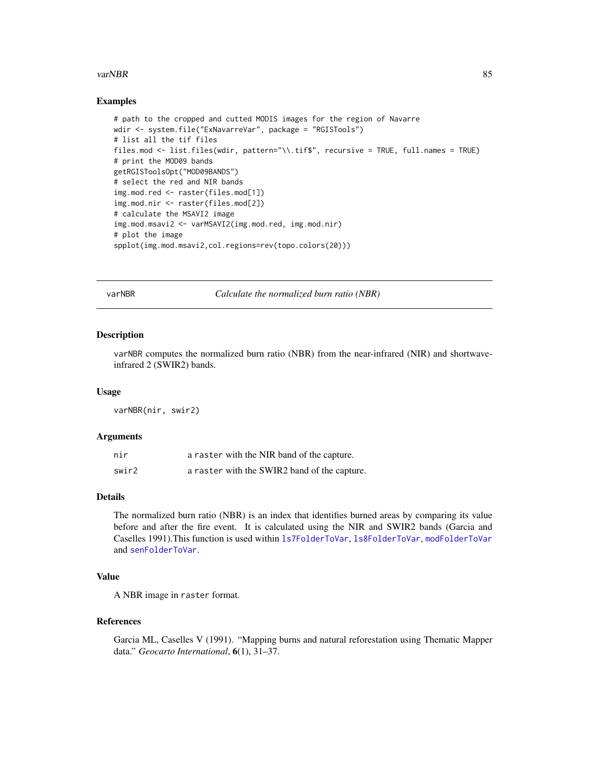#### <span id="page-84-0"></span>varNBR 85

## Examples

```
# path to the cropped and cutted MODIS images for the region of Navarre
wdir <- system.file("ExNavarreVar", package = "RGISTools")
# list all the tif files
files.mod <- list.files(wdir, pattern="\\.tif$", recursive = TRUE, full.names = TRUE)
# print the MOD09 bands
getRGISToolsOpt("MOD09BANDS")
# select the red and NIR bands
img.mod.red <- raster(files.mod[1])
img.mod.nir <- raster(files.mod[2])
# calculate the MSAVI2 image
img.mod.msavi2 <- varMSAVI2(img.mod.red, img.mod.nir)
# plot the image
spplot(img.mod.msavi2,col.regions=rev(topo.colors(20)))
```
varNBR *Calculate the normalized burn ratio (NBR)*

#### Description

varNBR computes the normalized burn ratio (NBR) from the near-infrared (NIR) and shortwaveinfrared 2 (SWIR2) bands.

#### Usage

varNBR(nir, swir2)

#### Arguments

| nir   | a raster with the NIR band of the capture.   |
|-------|----------------------------------------------|
| swir2 | a raster with the SWIR2 band of the capture. |

# Details

The normalized burn ratio (NBR) is an index that identifies burned areas by comparing its value before and after the fire event. It is calculated using the NIR and SWIR2 bands (Garcia and Caselles 1991).This function is used within [ls7FolderToVar](#page-19-0), [ls8FolderToVar](#page-24-0), [modFolderToVar](#page-57-0) and [senFolderToVar](#page-71-0).

# Value

A NBR image in raster format.

#### References

Garcia ML, Caselles V (1991). "Mapping burns and natural reforestation using Thematic Mapper data." *Geocarto International*, 6(1), 31–37.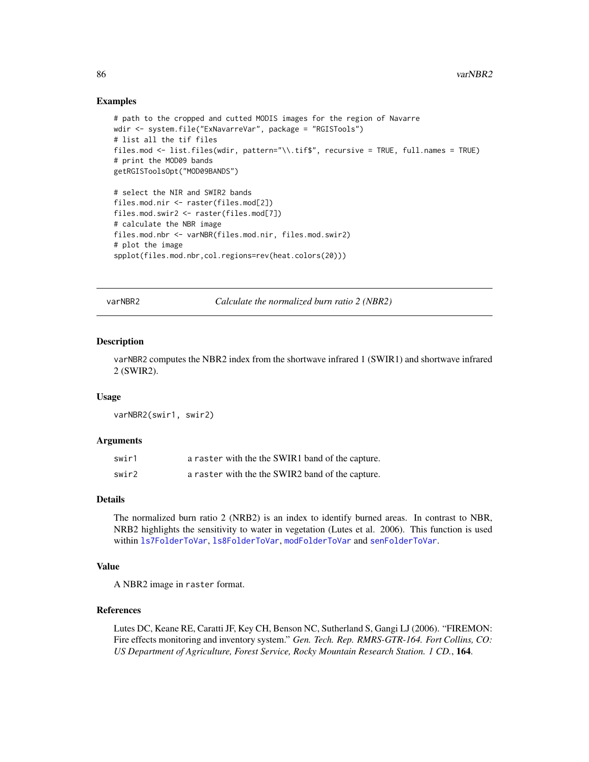```
# path to the cropped and cutted MODIS images for the region of Navarre
wdir <- system.file("ExNavarreVar", package = "RGISTools")
# list all the tif files
files.mod <- list.files(wdir, pattern="\\.tif$", recursive = TRUE, full.names = TRUE)
# print the MOD09 bands
getRGISToolsOpt("MOD09BANDS")
# select the NIR and SWIR2 bands
files.mod.nir <- raster(files.mod[2])
files.mod.swir2 <- raster(files.mod[7])
# calculate the NBR image
files.mod.nbr <- varNBR(files.mod.nir, files.mod.swir2)
# plot the image
spplot(files.mod.nbr,col.regions=rev(heat.colors(20)))
```
varNBR2 *Calculate the normalized burn ratio 2 (NBR2)*

#### Description

varNBR2 computes the NBR2 index from the shortwave infrared 1 (SWIR1) and shortwave infrared 2 (SWIR2).

## Usage

varNBR2(swir1, swir2)

#### Arguments

| swir1 | a raster with the the SWIR1 band of the capture. |
|-------|--------------------------------------------------|
| swir2 | a raster with the the SWIR2 band of the capture. |

#### Details

The normalized burn ratio 2 (NRB2) is an index to identify burned areas. In contrast to NBR, NRB2 highlights the sensitivity to water in vegetation (Lutes et al. 2006). This function is used within [ls7FolderToVar](#page-19-0), [ls8FolderToVar](#page-24-0), [modFolderToVar](#page-57-0) and [senFolderToVar](#page-71-0).

## Value

A NBR2 image in raster format.

## References

Lutes DC, Keane RE, Caratti JF, Key CH, Benson NC, Sutherland S, Gangi LJ (2006). "FIREMON: Fire effects monitoring and inventory system." *Gen. Tech. Rep. RMRS-GTR-164. Fort Collins, CO: US Department of Agriculture, Forest Service, Rocky Mountain Research Station. 1 CD.*, 164.

<span id="page-85-0"></span>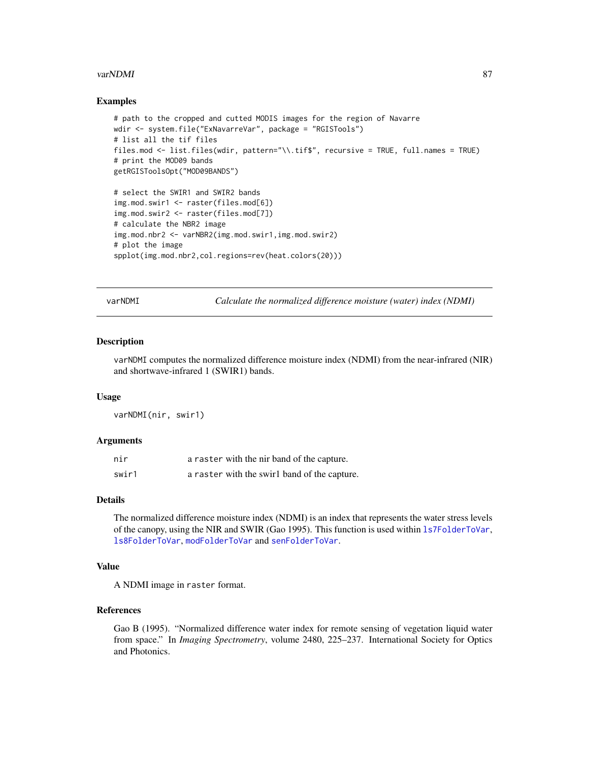#### <span id="page-86-0"></span>varNDMI 87

## Examples

```
# path to the cropped and cutted MODIS images for the region of Navarre
wdir <- system.file("ExNavarreVar", package = "RGISTools")
# list all the tif files
files.mod <- list.files(wdir, pattern="\\.tif$", recursive = TRUE, full.names = TRUE)
# print the MOD09 bands
getRGISToolsOpt("MOD09BANDS")
# select the SWIR1 and SWIR2 bands
img.mod.swir1 <- raster(files.mod[6])
img.mod.swir2 <- raster(files.mod[7])
# calculate the NBR2 image
img.mod.nbr2 <- varNBR2(img.mod.swir1,img.mod.swir2)
# plot the image
spplot(img.mod.nbr2,col.regions=rev(heat.colors(20)))
```
varNDMI *Calculate the normalized difference moisture (water) index (NDMI)*

## Description

varNDMI computes the normalized difference moisture index (NDMI) from the near-infrared (NIR) and shortwave-infrared 1 (SWIR1) bands.

## Usage

varNDMI(nir, swir1)

#### Arguments

| nir   | a raster with the nir band of the capture.   |
|-------|----------------------------------------------|
| swir1 | a raster with the swirl band of the capture. |

#### Details

The normalized difference moisture index (NDMI) is an index that represents the water stress levels of the canopy, using the NIR and SWIR (Gao 1995). This function is used within [ls7FolderToVar](#page-19-0), [ls8FolderToVar](#page-24-0), [modFolderToVar](#page-57-0) and [senFolderToVar](#page-71-0).

# Value

A NDMI image in raster format.

# References

Gao B (1995). "Normalized difference water index for remote sensing of vegetation liquid water from space." In *Imaging Spectrometry*, volume 2480, 225–237. International Society for Optics and Photonics.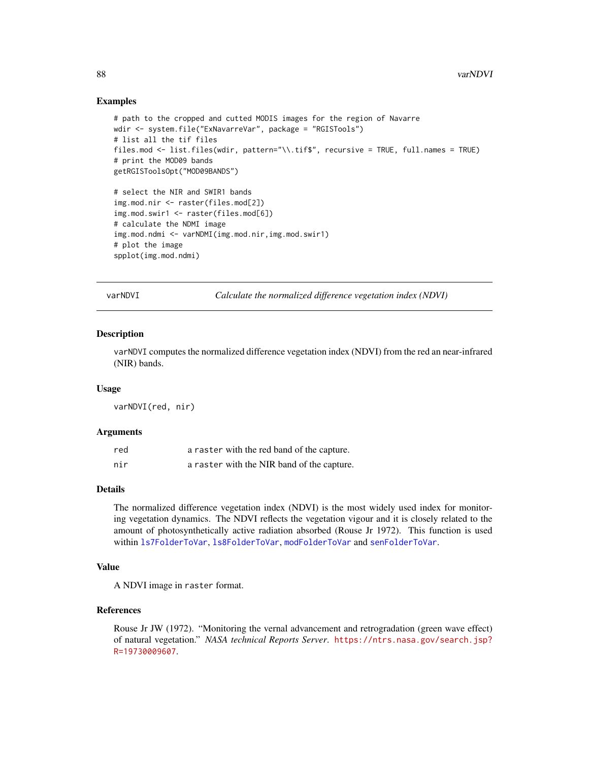```
# path to the cropped and cutted MODIS images for the region of Navarre
wdir <- system.file("ExNavarreVar", package = "RGISTools")
# list all the tif files
files.mod <- list.files(wdir, pattern="\\.tif$", recursive = TRUE, full.names = TRUE)
# print the MOD09 bands
getRGISToolsOpt("MOD09BANDS")
# select the NIR and SWIR1 bands
img.mod.nir <- raster(files.mod[2])
img.mod.swir1 <- raster(files.mod[6])
# calculate the NDMI image
img.mod.ndmi <- varNDMI(img.mod.nir,img.mod.swir1)
# plot the image
spplot(img.mod.ndmi)
```
<span id="page-87-0"></span>varNDVI *Calculate the normalized difference vegetation index (NDVI)*

## Description

varNDVI computes the normalized difference vegetation index (NDVI) from the red an near-infrared (NIR) bands.

#### Usage

varNDVI(red, nir)

## Arguments

| red | a raster with the red band of the capture. |
|-----|--------------------------------------------|
| nir | a raster with the NIR band of the capture. |

## Details

The normalized difference vegetation index (NDVI) is the most widely used index for monitoring vegetation dynamics. The NDVI reflects the vegetation vigour and it is closely related to the amount of photosynthetically active radiation absorbed (Rouse Jr 1972). This function is used within [ls7FolderToVar](#page-19-0), [ls8FolderToVar](#page-24-0), [modFolderToVar](#page-57-0) and [senFolderToVar](#page-71-0).

## Value

A NDVI image in raster format.

## References

Rouse Jr JW (1972). "Monitoring the vernal advancement and retrogradation (green wave effect) of natural vegetation." *NASA technical Reports Server*. [https://ntrs.nasa.gov/search.jsp?](https://ntrs.nasa.gov/search.jsp?R=19730009607) [R=19730009607](https://ntrs.nasa.gov/search.jsp?R=19730009607).

<span id="page-87-1"></span>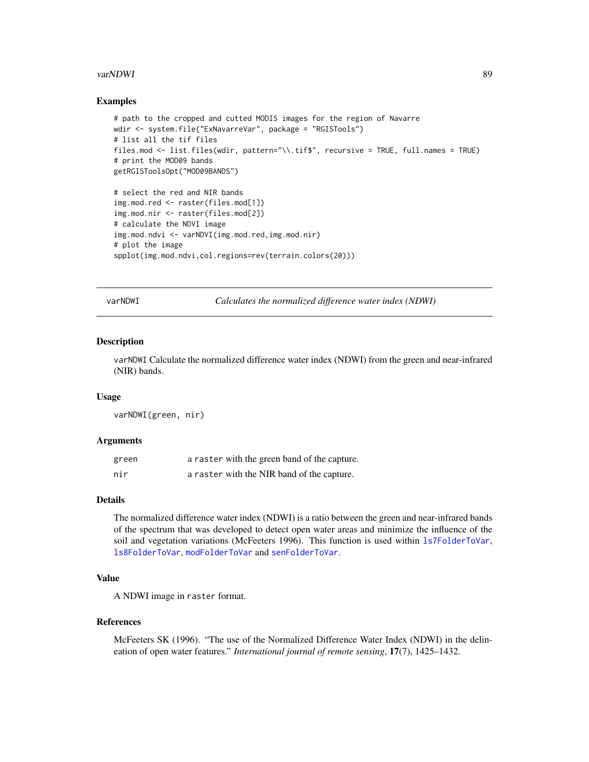#### <span id="page-88-0"></span>varNDWI 89

## Examples

```
# path to the cropped and cutted MODIS images for the region of Navarre
wdir <- system.file("ExNavarreVar", package = "RGISTools")
# list all the tif files
files.mod <- list.files(wdir, pattern="\\.tif$", recursive = TRUE, full.names = TRUE)
# print the MOD09 bands
getRGISToolsOpt("MOD09BANDS")
# select the red and NIR bands
img.mod.red <- raster(files.mod[1])
img.mod.nir <- raster(files.mod[2])
# calculate the NDVI image
img.mod.ndvi <- varNDVI(img.mod.red,img.mod.nir)
# plot the image
spplot(img.mod.ndvi,col.regions=rev(terrain.colors(20)))
```
varNDWI *Calculates the normalized difference water index (NDWI)*

## Description

varNDWI Calculate the normalized difference water index (NDWI) from the green and near-infrared (NIR) bands.

## Usage

varNDWI(green, nir)

#### **Arguments**

| green | a raster with the green band of the capture. |
|-------|----------------------------------------------|
| nir   | a raster with the NIR band of the capture.   |

#### Details

The normalized difference water index (NDWI) is a ratio between the green and near-infrared bands of the spectrum that was developed to detect open water areas and minimize the influence of the soil and vegetation variations (McFeeters 1996). This function is used within [ls7FolderToVar](#page-19-0), [ls8FolderToVar](#page-24-0), [modFolderToVar](#page-57-0) and [senFolderToVar](#page-71-0).

# Value

A NDWI image in raster format.

#### References

McFeeters SK (1996). "The use of the Normalized Difference Water Index (NDWI) in the delineation of open water features." *International journal of remote sensing*, 17(7), 1425–1432.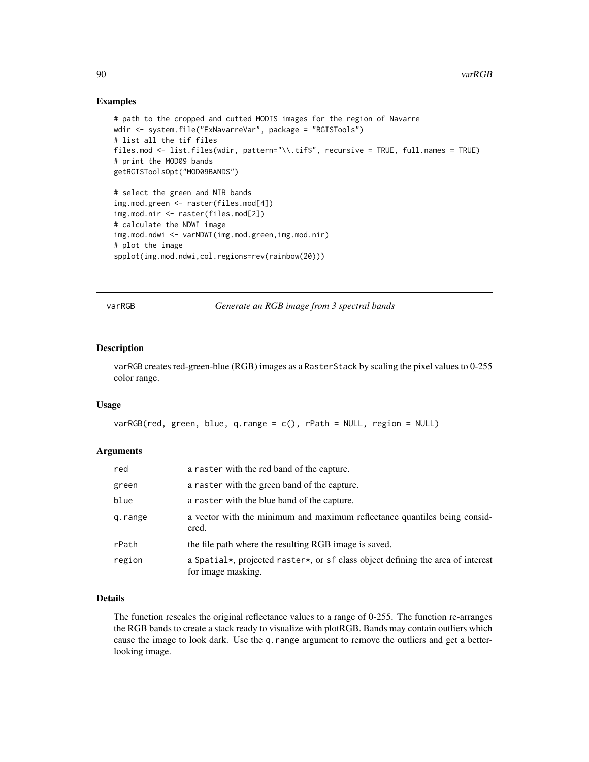```
# path to the cropped and cutted MODIS images for the region of Navarre
wdir <- system.file("ExNavarreVar", package = "RGISTools")
# list all the tif files
files.mod <- list.files(wdir, pattern="\\.tif$", recursive = TRUE, full.names = TRUE)
# print the MOD09 bands
getRGISToolsOpt("MOD09BANDS")
# select the green and NIR bands
img.mod.green <- raster(files.mod[4])
img.mod.nir <- raster(files.mod[2])
# calculate the NDWI image
img.mod.ndwi <- varNDWI(img.mod.green,img.mod.nir)
# plot the image
spplot(img.mod.ndwi,col.regions=rev(rainbow(20)))
```
varRGB *Generate an RGB image from 3 spectral bands*

# Description

varRGB creates red-green-blue (RGB) images as a RasterStack by scaling the pixel values to 0-255 color range.

#### Usage

```
varRGB(\text{red}, \text{green}, \text{blue}, \text{q-range} = c(), rPath = NULL, region = NULL
```
#### Arguments

| red     | a raster with the red band of the capture.                                                            |
|---------|-------------------------------------------------------------------------------------------------------|
| green   | a raster with the green band of the capture.                                                          |
| blue    | a raster with the blue band of the capture.                                                           |
| g.range | a vector with the minimum and maximum reflectance quantiles being consid-<br>ered.                    |
| rPath   | the file path where the resulting RGB image is saved.                                                 |
| region  | a Spatial*, projected raster*, or sf class object defining the area of interest<br>for image masking. |

## Details

The function rescales the original reflectance values to a range of 0-255. The function re-arranges the RGB bands to create a stack ready to visualize with plotRGB. Bands may contain outliers which cause the image to look dark. Use the q.range argument to remove the outliers and get a betterlooking image.

<span id="page-89-0"></span>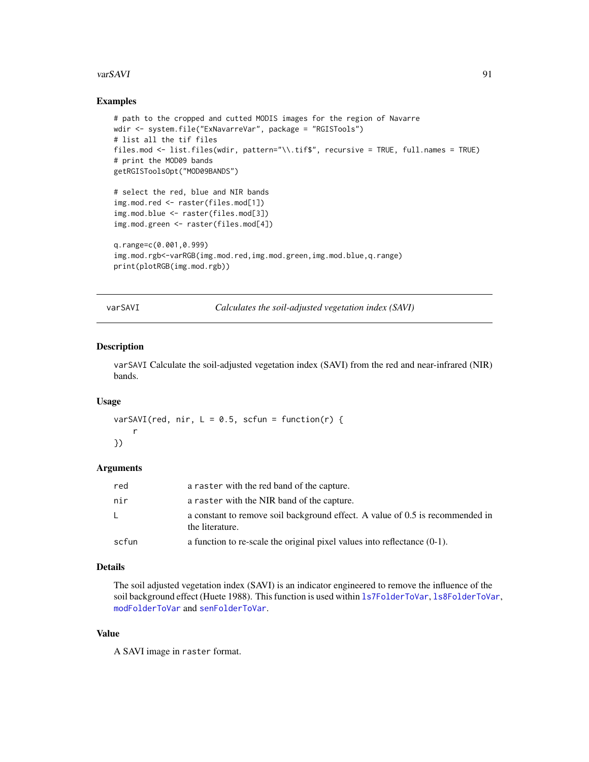#### <span id="page-90-0"></span>varSAVI 91

## Examples

```
# path to the cropped and cutted MODIS images for the region of Navarre
wdir <- system.file("ExNavarreVar", package = "RGISTools")
# list all the tif files
files.mod <- list.files(wdir, pattern="\\.tif$", recursive = TRUE, full.names = TRUE)
# print the MOD09 bands
getRGISToolsOpt("MOD09BANDS")
# select the red, blue and NIR bands
img.mod.red <- raster(files.mod[1])
img.mod.blue <- raster(files.mod[3])
img.mod.green <- raster(files.mod[4])
q.range=c(0.001,0.999)
img.mod.rgb<-varRGB(img.mod.red,img.mod.green,img.mod.blue,q.range)
print(plotRGB(img.mod.rgb))
```
varSAVI *Calculates the soil-adjusted vegetation index (SAVI)*

#### Description

varSAVI Calculate the soil-adjusted vegetation index (SAVI) from the red and near-infrared (NIR) bands.

# Usage

varSAVI(red, nir,  $L = 0.5$ , scfun = function(r) { r })

## Arguments

| red   | a raster with the red band of the capture.                                                       |
|-------|--------------------------------------------------------------------------------------------------|
| nir   | a raster with the NIR band of the capture.                                                       |
| - L - | a constant to remove soil background effect. A value of 0.5 is recommended in<br>the literature. |
| scfun | a function to re-scale the original pixel values into reflectance $(0-1)$ .                      |

# Details

The soil adjusted vegetation index (SAVI) is an indicator engineered to remove the influence of the soil background effect (Huete 1988). This function is used within [ls7FolderToVar](#page-19-0), [ls8FolderToVar](#page-24-0), [modFolderToVar](#page-57-0) and [senFolderToVar](#page-71-0).

## Value

A SAVI image in raster format.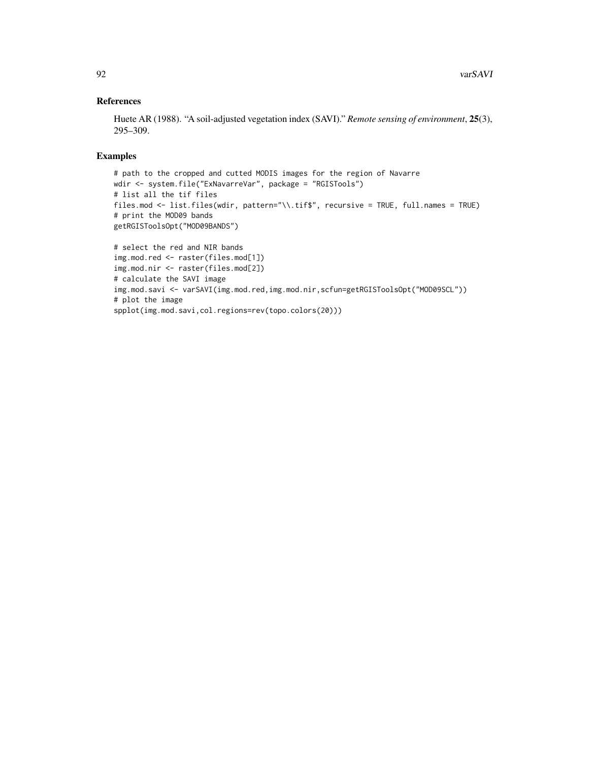# References

Huete AR (1988). "A soil-adjusted vegetation index (SAVI)." *Remote sensing of environment*, 25(3), 295–309.

# Examples

```
# path to the cropped and cutted MODIS images for the region of Navarre
wdir <- system.file("ExNavarreVar", package = "RGISTools")
# list all the tif files
files.mod <- list.files(wdir, pattern="\\.tif$", recursive = TRUE, full.names = TRUE)
# print the MOD09 bands
getRGISToolsOpt("MOD09BANDS")
# select the red and NIR bands
img.mod.red <- raster(files.mod[1])
img.mod.nir <- raster(files.mod[2])
# calculate the SAVI image
img.mod.savi <- varSAVI(img.mod.red,img.mod.nir,scfun=getRGISToolsOpt("MOD09SCL"))
# plot the image
```
spplot(img.mod.savi,col.regions=rev(topo.colors(20)))